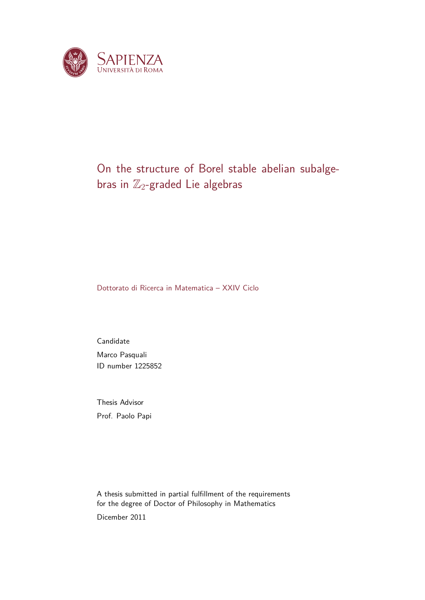

## On the structure of Borel stable abelian subalgebras in  $\mathbb{Z}_2$ -graded Lie algebras

Dottorato di Ricerca in Matematica – XXIV Ciclo

Candidate Marco Pasquali ID number 1225852

Thesis Advisor Prof. Paolo Papi

A thesis submitted in partial fulfillment of the requirements for the degree of Doctor of Philosophy in Mathematics Dicember 2011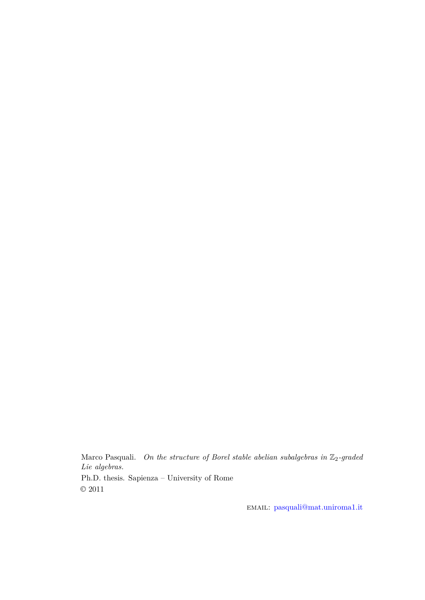Marco Pasquali. *On the structure of Borel stable abelian subalgebras in*  $\mathbb{Z}_2$ -graded *Lie algebras.* Ph.D. thesis. Sapienza – University of Rome  $\odot$  2011

email: [pasquali@mat.uniroma1.it](mailto:pasquali@mat.uniroma1.it)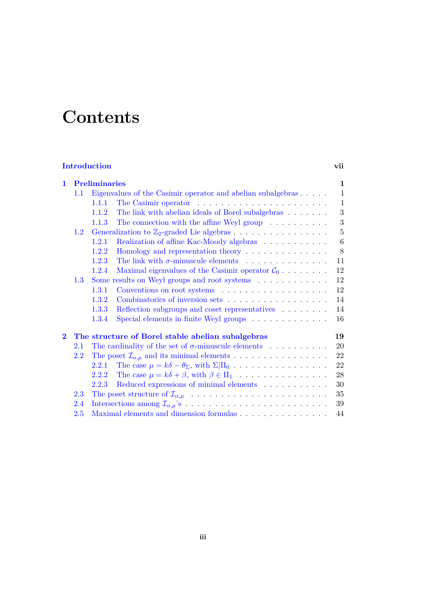# **Contents**

## **[Introduction](#page-4-0) vii**

| 1        | <b>Preliminaries</b>                                                 |                                                             |                                                                                                | 1            |
|----------|----------------------------------------------------------------------|-------------------------------------------------------------|------------------------------------------------------------------------------------------------|--------------|
|          | $1.1\,$                                                              | Eigenvalues of the Casimir operator and abelian subalgebras |                                                                                                |              |
|          |                                                                      | 1.1.1                                                       | The Casimir operator $\dots \dots \dots \dots \dots \dots \dots \dots$                         | $\mathbf{1}$ |
|          |                                                                      | 1.1.2                                                       | The link with abelian ideals of Borel subalgebras                                              | 3            |
|          |                                                                      | 1.1.3                                                       | The connection with the affine Weyl group $\ldots \ldots \ldots$                               | 3            |
|          | Generalization to $\mathbb{Z}_2$ -graded Lie algebras<br>1.2         |                                                             |                                                                                                | 5            |
|          |                                                                      | 1.2.1                                                       | Realization of affine Kac-Moody algebras $\hfill\ldots\ldots\ldots\ldots\ldots$                | 6            |
|          |                                                                      | 1.2.2                                                       | Homology and representation theory                                                             | 8            |
|          |                                                                      | 1.2.3                                                       | The link with $\sigma$ -minuscule elements                                                     | 11           |
|          |                                                                      | 1.2.4                                                       | Maximal eigenvalues of the Casimir operator $C_0$                                              | 12           |
|          | 1.3                                                                  |                                                             | Some results on Weyl groups and root systems $\ldots \ldots \ldots$                            | 12           |
|          |                                                                      | 1.3.1                                                       |                                                                                                | 12           |
|          |                                                                      | 1.3.2                                                       | Combinatorics of inversion sets                                                                | 14           |
|          |                                                                      | 1.3.3                                                       | Reflection subgroups and coset representatives $\hfill\ldots$ $\ldots$ $\ldots$ $\ldots$       | 14           |
|          |                                                                      | 1.3.4                                                       | Special elements in finite Weyl groups                                                         | 16           |
| $\bf{2}$ | The structure of Borel stable abelian subalgebras<br>19              |                                                             |                                                                                                |              |
|          | 2.1                                                                  |                                                             | The cardinality of the set of $\sigma$ -minuscule elements                                     | 20           |
|          | The poset $\mathcal{I}_{\alpha,\mu}$ and its minimal elements<br>2.2 |                                                             |                                                                                                | 22           |
|          |                                                                      | 2.2.1                                                       | The case $\mu = k\delta - \theta_{\Sigma}$ , with $\Sigma \Pi_0 \dots \dots \dots \dots \dots$ | 22           |
|          |                                                                      | 2.2.2                                                       | The case $\mu = k\delta + \beta$ , with $\beta \in \Pi_1$                                      | 28           |
|          |                                                                      | 2.2.3                                                       | Reduced expressions of minimal elements                                                        | 30           |
|          | 2.3                                                                  |                                                             |                                                                                                | 35           |
|          | 2.4                                                                  | 39                                                          |                                                                                                |              |
|          | 2.5                                                                  |                                                             |                                                                                                | 44           |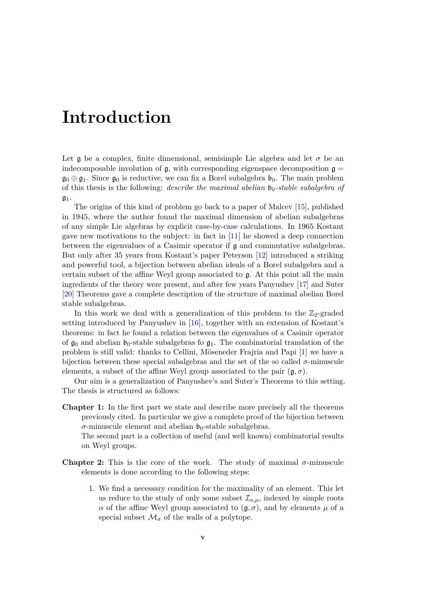## <span id="page-4-0"></span>**Introduction**

Let g be a complex, finite dimensional, semisimple Lie algebra and let  $\sigma$  be an indecomposable involution of  $\mathfrak{g}$ , with corresponding eigenspace decomposition  $\mathfrak{g} =$  $\mathfrak{g}_0 \oplus \mathfrak{g}_1$ . Since  $\mathfrak{g}_0$  is reductive, we can fix a Borel subalgebra  $\mathfrak{b}_0$ . The main problem of this thesis is the following: *describe the maximal abelian*  $b_0$ -stable subalgebra of  $\mathfrak{g}_1.$ 

The origins of this kind of problem go back to a paper of Malcev [\[15\]](#page-57-0), published in 1945, where the author found the maximal dimension of abelian subalgebras of any simple Lie algebras by explicit case-by-case calculations. In 1965 Kostant gave new motivations to the subject: in fact in [\[11\]](#page-56-0) he showed a deep connection between the eigenvalues of a Casimir operator if  $\mathfrak g$  and commutative subalgebras. But only after 35 years from Kostant's paper Peterson [\[12\]](#page-56-1) introduced a striking and powerful tool, a bijection between abelian ideals of a Borel subalgebra and a certain subset of the affine Weyl group associated to g. At this point all the main ingredients of the theory were present, and after few years Panyushev [\[17\]](#page-57-1) and Suter [\[20\]](#page-57-2) Theorems gave a complete description of the structure of maximal abelian Borel stable subalgebras.

In this work we deal with a generalization of this problem to the  $\mathbb{Z}_2$ -graded setting introduced by Panyushev in [\[16\]](#page-57-3), together with an extension of Kostant's theorems: in fact he found a relation between the eigenvalues of a Casimir operator of  $\mathfrak{g}_0$  and abelian  $\mathfrak{b}_0$ -stable subalgebras fo  $\mathfrak{g}_1$ . The combinatorial translation of the problem is still valid: thanks to Cellini, Möseneder Frajria and Papi [\[1\]](#page-56-2) we have a bijection between these special subalgebras and the set of the so called  $\sigma$ -minuscule elements, a subset of the affine Weyl group associated to the pair  $(g, \sigma)$ .

Our aim is a generalization of Panyushev's and Suter's Theorems to this setting. The thesis is structured as follows:

**Chapter 1:** In the first part we state and describe more precisely all the theorems previously cited. In particular we give a complete proof of the bijection between  $\sigma$ -minuscule element and abelian  $\mathfrak{b}_0$ -stable subalgebras.

The second part is a collection of useful (and well known) combinatorial results on Weyl groups.

- **Chapter 2:** This is the core of the work. The study of maximal  $\sigma$ -minuscule elements is done according to the following steps:
	- 1. We find a necessary condition for the maximality of an element. This let us reduce to the study of only some subset  $\mathcal{I}_{\alpha,\mu}$ , indexed by simple roots *α* of the affine Weyl group associated to  $(g, σ)$ , and by elements  $\mu$  of a special subset  $\mathcal{M}_{\sigma}$  of the walls of a polytope.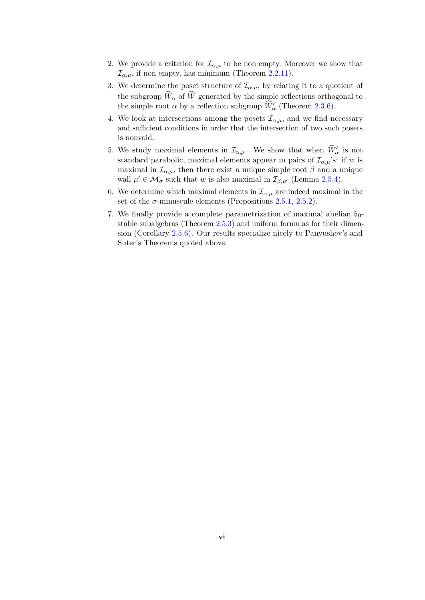- 2. We provide a criterion for  $\mathcal{I}_{\alpha,\mu}$  to be non empty. Moreover we show that  $\mathcal{I}_{\alpha,\mu}$ , if non empty, has minimum (Theorem [2.2.11\)](#page-35-1).
- 3. We determine the poset structure of  $\mathcal{I}_{\alpha,\mu}$ , by relating it to a quotient of the subgroup  $\widehat{W}_{\alpha}$  of  $\widehat{W}$  generated by the simple reflections orthogonal to the simple root  $\alpha$  by a reflection subgroup  $\widehat{W}'_{\alpha}$  (Theorem [2.3.6\)](#page-44-1).
- 4. We look at intersections among the posets  $\mathcal{I}_{\alpha,\mu}$ , and we find necessary and sufficient conditions in order that the intersection of two such posets is nonvoid.
- 5. We study maximal elements in  $\mathcal{I}_{\alpha,\mu}$ . We show that when  $\widehat{W}'_{\alpha}$  is not standard parabolic, maximal elements appear in pairs of  $\mathcal{I}_{\alpha,\mu}$ 's: if *w* is maximal in  $\mathcal{I}_{\alpha,\mu}$ , then there exist a unique simple root  $\beta$  and a unique wall  $\mu' \in \mathcal{M}_{\sigma}$  such that *w* is also maximal in  $\mathcal{I}_{\beta,\mu'}$  (Lemma [2.5.4\)](#page-50-0).
- 6. We determine which maximal elements in  $\mathcal{I}_{\alpha,\mu}$  are indeed maximal in the set of the  $\sigma$ -minuscule elements (Propositions [2.5.1,](#page-49-1) [2.5.2\)](#page-49-2).
- 7. We finally provide a complete parametrization of maximal abelian  $\mathfrak{b}_0$ stable subalgebras (Theorem [2.5.3\)](#page-50-1) and uniform formulas for their dimension (Corollary [2.5.6\)](#page-53-0). Our results specialize nicely to Panyushev's and Suter's Theorems quoted above.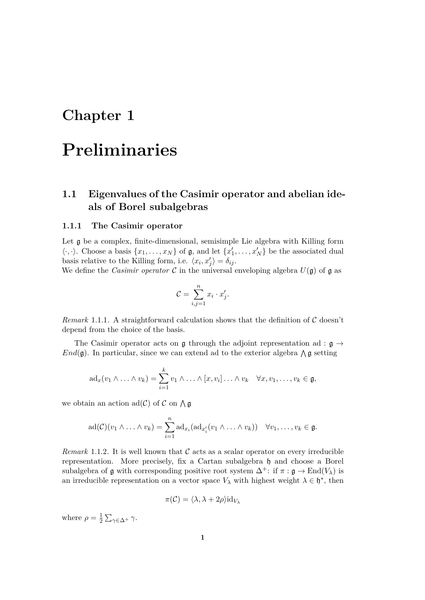## <span id="page-6-0"></span>**Chapter 1**

## **Preliminaries**

## <span id="page-6-1"></span>**1.1 Eigenvalues of the Casimir operator and abelian ideals of Borel subalgebras**

#### <span id="page-6-2"></span>**1.1.1 The Casimir operator**

Let g be a complex, finite-dimensional, semisimple Lie algebra with Killing form  $\langle \cdot, \cdot \rangle$ . Choose a basis  $\{x_1, \ldots, x_N\}$  of  $\mathfrak{g}$ , and let  $\{x'_1, \ldots, x'_N\}$  be the associated dual basis relative to the Killing form, i.e.  $\langle x_i, x'_j \rangle = \delta_{ij}$ .

We define the *Casimir operator*  $\mathcal C$  in the universal enveloping algebra  $U(\mathfrak g)$  of  $\mathfrak g$  as

$$
\mathcal{C} = \sum_{i,j=1}^n x_i \cdot x'_j.
$$

*Remark* 1.1.1*.* A straightforward calculation shows that the definition of C doesn't depend from the choice of the basis.

The Casimir operator acts on  $\mathfrak g$  through the adjoint representation ad :  $\mathfrak g \to$  $End(\mathfrak{g})$ . In particular, since we can extend ad to the exterior algebra  $\wedge \mathfrak{g}$  setting

$$
\mathrm{ad}_x(v_1\wedge\ldots\wedge v_k)=\sum_{i=1}^kv_1\wedge\ldots\wedge[x,v_i]\ldots\wedge v_k\quad\forall x,v_1,\ldots,v_k\in\mathfrak{g},
$$

we obtain an action  $\text{ad}(\mathcal{C})$  of  $\mathcal C$  on  $\bigwedge \mathfrak{g}$ 

$$
\mathrm{ad}(\mathcal{C})(v_1\wedge\ldots\wedge v_k)=\sum_{i=1}^n\mathrm{ad}_{x_i}(\mathrm{ad}_{x_i'}(v_1\wedge\ldots\wedge v_k))\quad\forall v_1,\ldots,v_k\in\mathfrak{g}.
$$

<span id="page-6-3"></span>*Remark* 1.1.2. It is well known that  $\mathcal C$  acts as a scalar operator on every irreducible representation. More precisely, fix a Cartan subalgebra h and choose a Borel subalgebra of  $\mathfrak g$  with corresponding positive root system  $\Delta^+$ : if  $\pi : \mathfrak g \to \text{End}(V_\lambda)$  is an irreducible representation on a vector space  $V_\lambda$  with highest weight  $\lambda \in \mathfrak{h}^*$ , then

$$
\pi(\mathcal{C}) = \langle \lambda, \lambda + 2\rho \rangle \mathrm{id}_{V_{\lambda}}
$$

where  $\rho = \frac{1}{2}$ <u>1</u> Σ<sub>γ∈Δ</sub>+ γ.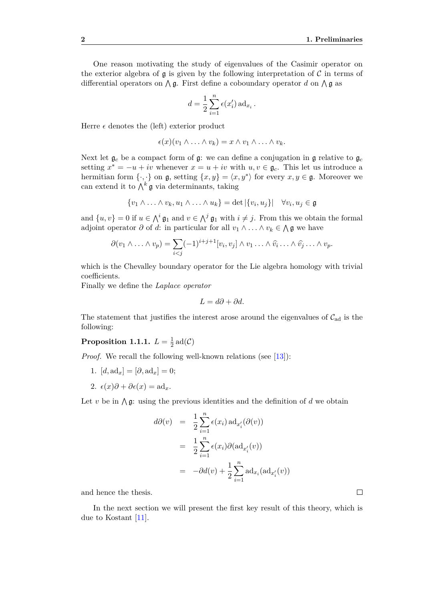One reason motivating the study of eigenvalues of the Casimir operator on the exterior algebra of  $\mathfrak g$  is given by the following interpretation of C in terms of differential operators on  $\Lambda$ **g**. First define a coboundary operator *d* on  $\Lambda$ **g** as

$$
d = \frac{1}{2} \sum_{i=1}^{n} \epsilon(x'_i) \operatorname{ad}_{x_i}.
$$

Herre  $\epsilon$  denotes the (left) exterior product

$$
\epsilon(x)(v_1 \wedge \ldots \wedge v_k) = x \wedge v_1 \wedge \ldots \wedge v_k.
$$

Next let  $\mathfrak{g}_c$  be a compact form of  $\mathfrak{g}$ : we can define a conjugation in  $\mathfrak{g}$  relative to  $\mathfrak{g}_c$ setting  $x^* = -u + iv$  whenever  $x = u + iv$  with  $u, v \in \mathfrak{g}_c$ . This let us introduce a hermitian form  $\{\cdot,\cdot\}$  on  $\mathfrak{g}$ , setting  $\{x,y\} = \langle x,y^* \rangle$  for every  $x,y \in \mathfrak{g}$ . Moreover we can extend it to  $\bigwedge^k \mathfrak{g}$  via determinants, taking

$$
\{v_1 \wedge \ldots \wedge v_k, u_1 \wedge \ldots \wedge u_k\} = \det |\{v_i, u_j\}| \quad \forall v_i, u_j \in \mathfrak{g}
$$

and  $\{u, v\} = 0$  if  $u \in \wedge^i \mathfrak{g}_1$  and  $v \in \wedge^j \mathfrak{g}_1$  with  $i \neq j$ . From this we obtain the formal adjoint operator  $\partial$  of  $d$ : in particular for all  $v_1 \wedge \ldots \wedge v_k \in \bigwedge \mathfrak{g}$  we have

$$
\partial(v_1 \wedge \ldots \wedge v_p) = \sum_{i < j} (-1)^{i+j+1} [v_i, v_j] \wedge v_1 \ldots \wedge \widehat{v_i} \ldots \wedge \widehat{v_j} \ldots \wedge v_p.
$$

which is the Chevalley boundary operator for the Lie algebra homology with trivial coefficients.

Finally we define the *Laplace operator*

$$
L = d\partial + \partial d.
$$

The statement that justifies the interest arose around the eigenvalues of  $\mathcal{C}_{ad}$  is the following:

#### <span id="page-7-0"></span>**Proposition 1.1.1.**  $L = \frac{1}{2}$  $\frac{1}{2}$  ad(C)

*Proof.* We recall the following well-known relations (see [\[13\]](#page-56-3)):

- 1.  $[d, ad_x] = [\partial, ad_x] = 0;$
- 2.  $\epsilon(x)\partial + \partial \epsilon(x) = \text{ad}_x$ .

Let *v* be in  $\bigwedge$  g: using the previous identities and the definition of *d* we obtain

$$
d\partial(v) = \frac{1}{2} \sum_{i=1}^{n} \epsilon(x_i) \operatorname{ad}_{x'_i}(\partial(v))
$$
  

$$
= \frac{1}{2} \sum_{i=1}^{n} \epsilon(x_i) \partial(\operatorname{ad}_{x'_i}(v))
$$
  

$$
= -\partial d(v) + \frac{1}{2} \sum_{i=1}^{n} \operatorname{ad}_{x_i}(\operatorname{ad}_{x'_i}(v))
$$

and hence the thesis.

In the next section we will present the first key result of this theory, which is due to Kostant [\[11\]](#page-56-0).

 $\Box$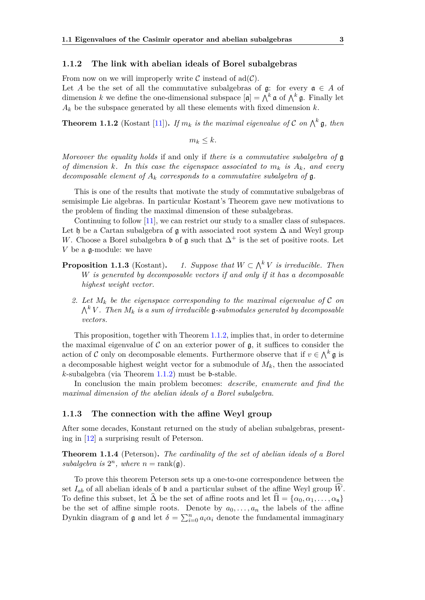#### <span id="page-8-0"></span>**1.1.2 The link with abelian ideals of Borel subalgebras**

From now on we will improperly write  $\mathcal C$  instead of ad $(\mathcal C)$ .

Let *A* be the set of all the commutative subalgebras of  $\mathfrak{g}$ : for every  $\mathfrak{a} \in A$  of dimension *k* we define the one-dimensional subspace  $[\mathfrak{a}] = \bigwedge^k \mathfrak{a}$  of  $\bigwedge^k \mathfrak{g}$ . Finally let  $A_k$  be the subspace generated by all these elements with fixed dimension  $k$ .

<span id="page-8-2"></span>**Theorem 1.1.2** (Kostant [\[11\]](#page-56-0)). If  $m_k$  is the maximal eigenvalue of C on  $\bigwedge^k \mathfrak{g}$ , then

 $m_k < k$ .

*Moreover the equality holds* if and only if *there is a commutative subalgebra of* g *of dimension k.* In this case the eigenspace associated to  $m_k$  is  $A_k$ *, and every decomposable element of*  $A_k$  *corresponds to a commutative subalgebra of*  $\mathfrak{g}$ *.* 

This is one of the results that motivate the study of commutative subalgebras of semisimple Lie algebras. In particular Kostant's Theorem gave new motivations to the problem of finding the maximal dimension of these subalgebras.

Continuing to follow [\[11\]](#page-56-0), we can restrict our study to a smaller class of subspaces. Let h be a Cartan subalgebra of g with associated root system  $\Delta$  and Weyl group *W*. Choose a Borel subalgebra  $\mathfrak b$  of  $\mathfrak g$  such that  $\Delta^+$  is the set of positive roots. Let *V* be a g-module: we have

- <span id="page-8-3"></span>**Proposition 1.1.3** (Kostant). *1. Suppose that*  $W \subset \bigwedge^k V$  *is irreducible. Then W is generated by decomposable vectors if and only if it has a decomposable highest weight vector.*
	- 2. Let  $M_k$  be the eigenspace corresponding to the maximal eigenvalue of  $\mathcal C$  on  $\bigwedge^k V$ . Then  $M_k$  is a sum of irreducible g-submodules generated by decomposable *vectors.*

This proposition, together with Theorem [1.1.2,](#page-8-2) implies that, in order to determine the maximal eigenvalue of  $\mathcal C$  on an exterior power of  $\mathfrak g$ , it suffices to consider the action of C only on decomposable elements. Furthermore observe that if  $v \in \bigwedge^k \mathfrak{g}$  is a decomposable highest weight vector for a submodule of  $M_k$ , then the associated *k*-subalgebra (via Theorem [1.1.2\)](#page-8-2) must be b-stable.

In conclusion the main problem becomes: *describe, enumerate and find the maximal dimension of the abelian ideals of a Borel subalgebra*.

#### <span id="page-8-1"></span>**1.1.3 The connection with the affine Weyl group**

After some decades, Konstant returned on the study of abelian subalgebras, presenting in [\[12\]](#page-56-1) a surprising result of Peterson.

<span id="page-8-4"></span>**Theorem 1.1.4** (Peterson)**.** *The cardinality of the set of abelian ideals of a Borel* subalgebra is  $2^n$ , where  $n = \text{rank}(\mathfrak{g})$ .

To prove this theorem Peterson sets up a one-to-one correspondence between the set  $I_{ab}$  of all abelian ideals of  $\mathfrak b$  and a particular subset of the affine Weyl group  $\widehat{W}$ . To define this subset, let  $\widehat{\Delta}$  be the set of affine roots and let  $\widehat{\Pi} = {\alpha_0, \alpha_1, \ldots, \alpha_n}$ be the set of affine simple roots. Denote by  $a_0, \ldots, a_n$  the labels of the affine Dynkin diagram of  $\mathfrak g$  and let  $\delta = \sum_{i=0}^n a_i \alpha_i$  denote the fundamental immaginary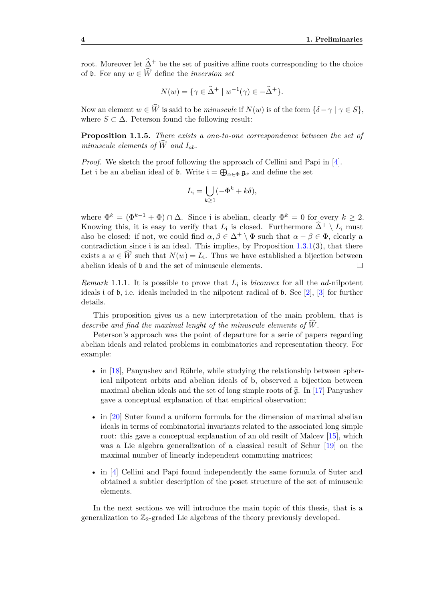root. Moreover let  $\hat{\Delta}^+$  be the set of positive affine roots corresponding to the choice of **b**. For any  $w \in \widehat{W}$  define the *inversion set* 

$$
N(w) = \{ \gamma \in \widehat{\Delta}^+ \mid w^{-1}(\gamma) \in -\widehat{\Delta}^+ \}.
$$

Now an element  $w \in \widehat{W}$  is said to be *minuscule* if  $N(w)$  is of the form  $\{\delta - \gamma \mid \gamma \in S\}$ , where  $S \subset \Delta$ . Peterson found the following result:

<span id="page-9-0"></span>**Proposition 1.1.5.** *There exists a one-to-one correspondence between the set of minuscule elements of*  $\widehat{W}$  *and*  $I_{ab}$ *.* 

*Proof.* We sketch the proof following the approach of Cellini and Papi in [\[4\]](#page-56-4). Let i be an abelian ideal of  $\mathfrak{b}$ . Write  $\mathfrak{i} = \bigoplus_{\alpha \in \Phi} \mathfrak{g}_{\alpha}$  and define the set

$$
L_{\mathfrak{i}} = \bigcup_{k \ge 1} (-\Phi^k + k\delta),
$$

where  $\Phi^k = (\Phi^{k-1} + \Phi) \cap \Delta$ . Since i is abelian, clearly  $\Phi^k = 0$  for every  $k \geq 2$ . Knowing this, it is easy to verify that  $L_i$  is closed. Furthermore  $\hat{\Delta}^+ \setminus L_i$  must also be closed: if not, we could find  $\alpha, \beta \in \Delta^+ \setminus \Phi$  such that  $\alpha - \beta \in \Phi$ , clearly a contradiction since i is an ideal. This implies, by Proposition  $1.3.1(3)$  $1.3.1(3)$ , that there exists a  $w \in W$  such that  $N(w) = L_i$ . Thus we have established a bijection between abelian ideals of b and the set of minuscule elements.  $\Box$ 

*Remark* 1.1.1*.* It is possible to prove that *L*<sup>i</sup> is *biconvex* for all the *ad*-nilpotent ideals i of b, i.e. ideals included in the nilpotent radical of b. See [\[2\]](#page-56-5), [\[3\]](#page-56-6) for further details.

This proposition gives us a new interpretation of the main problem, that is *describe and find the maximal lenght of the minuscule elements of*  $W$ .

Peterson's approach was the point of departure for a serie of papers regarding abelian ideals and related problems in combinatorics and representation theory. For example:

- in [\[18\]](#page-57-4), Panyushev and Röhrle, while studying the relationship between spherical nilpotent orbits and abelian ideals of b, observed a bijection between maximal abelian ideals and the set of long simple roots of  $\hat{\mathfrak{g}}$ . In [\[17\]](#page-57-1) Panyushev gave a conceptual explanation of that empirical observation;
- in [\[20\]](#page-57-2) Suter found a uniform formula for the dimension of maximal abelian ideals in terms of combinatorial invariants related to the associated long simple root: this gave a conceptual explanation of an old resilt of Malcev [\[15\]](#page-57-0), which was a Lie algebra generalization of a classical result of Schur [\[19\]](#page-57-5) on the maximal number of linearly independent commuting matrices;
- in [\[4\]](#page-56-4) Cellini and Papi found independently the same formula of Suter and obtained a subtler description of the poset structure of the set of minuscule elements.

In the next sections we will introduce the main topic of this thesis, that is a generalization to  $\mathbb{Z}_2$ -graded Lie algebras of the theory previously developed.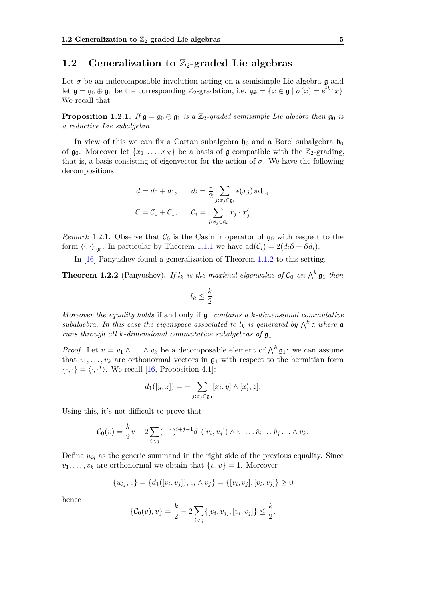## <span id="page-10-0"></span>1.2 Generalization to  $\mathbb{Z}_2$ -graded Lie algebras

Let  $\sigma$  be an indecomposable involution acting on a semisimple Lie algebra  $\mathfrak g$  and let  $\mathfrak{g} = \mathfrak{g}_0 \oplus \mathfrak{g}_1$  be the corresponding  $\mathbb{Z}_2$ -gradation, i.e.  $\mathfrak{g}_k = \{x \in \mathfrak{g} \mid \sigma(x) = e^{ik\pi}x\}.$ We recall that

**Proposition 1.2.1.** *If*  $\mathfrak{g} = \mathfrak{g}_0 \oplus \mathfrak{g}_1$  *is a*  $\mathbb{Z}_2$ -graded semisimple Lie algebra then  $\mathfrak{g}_0$  *is a reductive Lie subalgebra.*

In view of this we can fix a Cartan subalgebra  $\mathfrak{h}_0$  and a Borel subalgebra  $\mathfrak{b}_0$ of  $\mathfrak{g}_0$ . Moreover let  $\{x_1, \ldots, x_N\}$  be a basis of  $\mathfrak{g}$  compatible with the  $\mathbb{Z}_2$ -grading, that is, a basis consisting of eigenvector for the action of  $\sigma$ . We have the following decompositions:

$$
d = d_0 + d_1, \qquad d_i = \frac{1}{2} \sum_{j:x_j \in \mathfrak{g}_i} \epsilon(x_j) \operatorname{ad}_{x_j}
$$

$$
C = C_0 + C_1, \qquad C_i = \sum_{j:x_j \in \mathfrak{g}_i} x_j \cdot x_j'
$$

*Remark* 1.2.1. Observe that  $\mathcal{C}_0$  is the Casimir operator of  $\mathfrak{g}_0$  with respect to the form  $\langle \cdot, \cdot \rangle_{|\mathfrak{g}_0}$ . In particular by Theorem [1.1.1](#page-7-0) we have  $ad(\mathcal{C}_i) = 2(d_i \partial + \partial d_i)$ .

In [\[16\]](#page-57-3) Panyushev found a generalization of Theorem [1.1.2](#page-8-2) to this setting.

<span id="page-10-1"></span>**Theorem 1.2.2** (Panyushev). If  $l_k$  is the maximal eigenvalue of  $C_0$  on  $\bigwedge^k \mathfrak{g}_1$  then

$$
l_k \leq \frac{k}{2}.
$$

*Moreover the equality holds* if and only if  $\mathfrak{g}_1$  *contains a k-dimensional commutative subalgebra.* In this case the eigenspace associated to  $l_k$  is generated by  $\bigwedge^k \mathfrak{a}$  where  $\mathfrak{a}$ *runs through all k-dimensional commutative subalgebras of*  $\mathfrak{g}_1$ .

*Proof.* Let  $v = v_1 \wedge \ldots \wedge v_k$  be a decomposable element of  $\bigwedge^k \mathfrak{g}_1$ : we can assume that  $v_1, \ldots, v_k$  are orthonormal vectors in  $\mathfrak{g}_1$  with respect to the hermitian form  $\{\cdot,\cdot\} = \langle \cdot,\cdot^* \rangle$ . We recall [\[16,](#page-57-3) Proposition 4.1]:

$$
d_1([y, z]) = - \sum_{j:x_j \in \mathfrak{g}_0} [x_i, y] \wedge [x'_i, z].
$$

Using this, it's not difficult to prove that

$$
C_0(v) = \frac{k}{2}v - 2\sum_{i < j} (-1)^{i+j-1} d_1([v_i, v_j]) \wedge v_1 \dots \hat{v}_i \dots \hat{v}_j \dots \wedge v_k.
$$

Define  $u_{ij}$  as the generic summand in the right side of the previous equality. Since  $v_1, \ldots, v_k$  are orthonormal we obtain that  $\{v, v\} = 1$ . Moreover

$$
\{u_{ij}, v\} = \{d_1([v_i, v_j]), v_i \wedge v_j\} = \{[v_i, v_j], [v_i, v_j]\} \ge 0
$$

hence

$$
\{\mathcal{C}_0(v), v\} = \frac{k}{2} - 2 \sum_{i < j} \{ [v_i, v_j], [v_i, v_j] \} \le \frac{k}{2}.
$$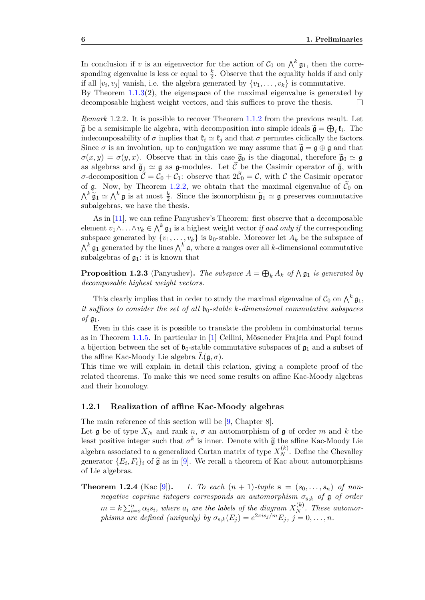In conclusion if *v* is an eigenvector for the action of  $C_0$  on  $\bigwedge^k \mathfrak{g}_1$ , then the corresponding eigenvalue is less or equal to  $\frac{k}{2}$ . Observe that the equality holds if and only if all  $[v_i, v_j]$  vanish, i.e. the algebra generated by  $\{v_1, \ldots, v_k\}$  is commutative.

By Theorem  $1.1.3(2)$  $1.1.3(2)$ , the eigenspace of the maximal eigenvalue is generated by decomposable highest weight vectors, and this suffices to prove the thesis.  $\Box$ 

<span id="page-11-2"></span>*Remark* 1.2.2*.* It is possible to recover Theorem [1.1.2](#page-8-2) from the previous result. Let  $\widetilde{\mathfrak{g}}$  be a semisimple lie algebra, with decomposition into simple ideals  $\widetilde{\mathfrak{g}} = \bigoplus_i \mathfrak{k}_i$ . The indecomposability of  $\sigma$  implies that  $\mathfrak{k}_i \simeq \mathfrak{k}_i$  and that  $\sigma$  permutes ciclically the factors. Since  $\sigma$  is an involution, up to conjugation we may assume that  $\tilde{\mathfrak{g}} = \mathfrak{g} \oplus \mathfrak{g}$  and that  $\sigma(x, y) = \sigma(y, x)$ . Observe that in this case  $\tilde{\mathfrak{g}}_0$  is the diagonal, therefore  $\tilde{\mathfrak{g}}_0 \simeq \mathfrak{g}$ as algebras and  $\tilde{\mathfrak{g}}_1 \simeq \mathfrak{g}$  as g-modules. Let  $\tilde{\mathfrak{C}}$  be the Casimir operator of  $\tilde{\mathfrak{g}}$ , with *σ*-decomposition  $C = C_0 + C_1$ : observe that  $2C_0 = C$ , with C the Casimir operator of g. Now, by Theorem [1.2.2,](#page-10-1) we obtain that the maximal eigenvalue of  $\tilde{C}_0$  on  $\bigwedge^k \widetilde{\mathfrak{g}}_1 \simeq \bigwedge^k \mathfrak{g}$  is at most  $\frac{k}{2}$ . Since the isomorphism  $\widetilde{\mathfrak{g}}_1 \simeq \mathfrak{g}$  preserves commutative subalgebras, we have the thesis.

As in [\[11\]](#page-56-0), we can refine Panyushev's Theorem: first observe that a decomposable element  $v_1 \wedge \ldots \wedge v_k \in \bigwedge^k \mathfrak{g}_1$  is a highest weight vector *if and only if* the corresponding subspace generated by  $\{v_1, \ldots, v_k\}$  is  $\mathfrak{b}_0$ -stable. Moreover let  $A_k$  be the subspace of  $\bigwedge^k \mathfrak{g}_1$  generated by the lines  $\bigwedge^k \mathfrak{a}$ , where  $\mathfrak{a}$  ranges over all *k*-dimensional commutative subalgebras of  $\mathfrak{g}_1$ : it is known that

**Proposition 1.2.3** (Panyushev). The subspace  $A = \bigoplus_k A_k$  of  $\bigwedge \mathfrak{g}_1$  is generated by *decomposable highest weight vectors.*

This clearly implies that in order to study the maximal eigenvalue of  $C_0$  on  $\bigwedge^k \mathfrak{g}_1$ , *it suffices to consider the set of all*  $\mathfrak{b}_0$ *-stable k-dimensional commutative subspaces of*  $\mathfrak{g}_1$ .

Even in this case it is possible to translate the problem in combinatorial terms as in Theorem [1.1.5.](#page-9-0) In particular in [\[1\]](#page-56-2) Cellini, Möseneder Frajria and Papi found a bijection between the set of  $\mathfrak{b}_0$ -stable commutative subspaces of  $\mathfrak{g}_1$  and a subset of the affine Kac-Moody Lie algebra  $\widehat{L}(\mathfrak{g}, \sigma)$ .

This time we will explain in detail this relation, giving a complete proof of the related theorems. To make this we need some results on affine Kac-Moody algebras and their homology.

#### <span id="page-11-0"></span>**1.2.1 Realization of affine Kac-Moody algebras**

The main reference of this section will be [\[9,](#page-56-7) Chapter 8].

Let  $\mathfrak g$  be of type  $X_N$  and rank  $n, \sigma$  an automorphism of  $\mathfrak g$  of order  $m$  and  $k$  the least positive integer such that  $\sigma^k$  is inner. Denote with  $\hat{\mathfrak{g}}$  the affine Kac-Moody Lie algebra associated to a generalized Cartan matrix of type  $X_N^{(k)}$ . Define the Chevalley generator  $\{E_i, F_i\}_i$  of  $\hat{\mathfrak{g}}$  as in [\[9\]](#page-56-7). We recall a theorem of Kac about automorphisms of Lie algebras.

<span id="page-11-1"></span>**Theorem 1.2.4** (Kac [\[9\]](#page-56-7)). 1. To each  $(n + 1)$ -tuple  $s = (s_0, \ldots, s_n)$  of non*negative coprime integers corresponds an automorphism*  $\sigma_{s,k}$  *of*  $\mathfrak{g}$  *of order*  $m = k \sum_{i=0}^{n} \alpha_i s_i$ , where  $a_i$  are the labels of the diagram  $X_N^{(k)}$ . These automor*phisms are defined (uniquely) by*  $\sigma_{\mathbf{s},k}(E_j) = e^{2\pi i s_j/m} E_j$ ,  $j = 0, \ldots, n$ .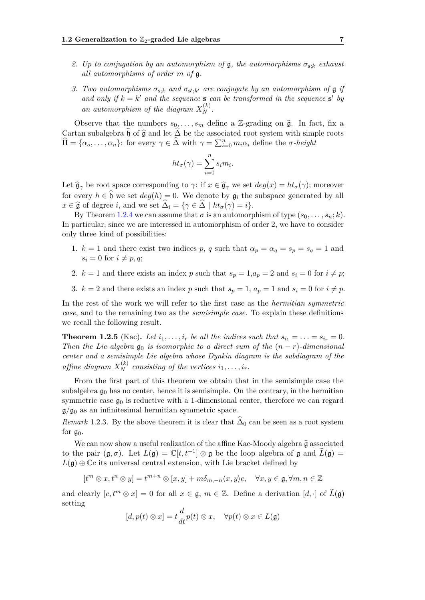- *2. Up to conjugation by an automorphism of* g*, the automorphisms σ***s**;*<sup>k</sup> exhaust all automorphisms of order m of* g*.*
- *3. Two automorphisms*  $\sigma_{s,k}$  *and*  $\sigma_{s',k'}$  *are conjugate by an automorphism of*  $\mathfrak{g}$  *if* and only if  $k = k'$  and the sequence **s** can be transformed in the sequence **s**' by an automorphism of the diagram  $X_N^{(k)}$ .

Observe that the numbers  $s_0, \ldots, s_m$  define a Z-grading on  $\hat{\mathfrak{g}}$ . In fact, fix a Cartan subalgebra  $\mathfrak h$  of  $\hat{\mathfrak g}$  and let  $\Delta$  be the associated root system with simple roots  $\widehat{\Pi} = {\alpha_0, \ldots, \alpha_n}$ : for every  $\gamma \in \widehat{\Delta}$  with  $\gamma = \sum_{i=0}^n m_i \alpha_i$  define the *σ-height* 

$$
ht_{\sigma}(\gamma) = \sum_{i=0}^{n} s_i m_i.
$$

Let  $\hat{\mathfrak{g}}_{\gamma}$  be root space corresponding to  $\gamma$ : if  $x \in \hat{\mathfrak{g}}_{\gamma}$  we set  $deg(x) = ht_{\sigma}(\gamma)$ ; moreover for every  $h \in \hat{\mathfrak{h}}$  we set  $deg(h) = 0$ . We denote by  $\mathfrak{g}_i$  the subspace generated by all  $x \in \hat{\mathfrak{g}}$  of degree *i*, and we set  $\Delta_i = {\gamma \in \Delta \mid ht_{\sigma}(\gamma) = i}.$ 

By Theorem [1.2.4](#page-11-1) we can assume that  $\sigma$  is an automorphism of type  $(s_0, \ldots, s_n; k)$ . In particular, since we are interessed in automorphism of order 2, we have to consider only three kind of possibilities:

- 1.  $k = 1$  and there exist two indices p, q such that  $\alpha_p = \alpha_q = s_p = s_q = 1$  and  $s_i = 0$  for  $i \neq p, q$ ;
- 2.  $k = 1$  and there exists an index p such that  $s_p = 1, a_p = 2$  and  $s_i = 0$  for  $i \neq p$ ;
- 3.  $k = 2$  and there exists an index *p* such that  $s_p = 1$ ,  $a_p = 1$  and  $s_i = 0$  for  $i \neq p$ .

In the rest of the work we will refer to the first case as the *hermitian symmetric case*, and to the remaining two as the *semisimple case*. To explain these definitions we recall the following result.

**Theorem 1.2.5** (Kac). Let  $i_1, \ldots, i_r$  be all the indices such that  $s_{i_1} = \ldots = s_{i_r} = 0$ . *Then the Lie algebra*  $\mathfrak{g}_0$  *is isomorphic to a direct sum of the*  $(n - r)$ *-dimensional center and a semisimple Lie algebra whose Dynkin diagram is the subdiagram of the affine diagram*  $X_N^{(k)}$  *consisting of the vertices*  $i_1, \ldots, i_r$ *.* 

From the first part of this theorem we obtain that in the semisimple case the subalgebra  $\mathfrak{g}_0$  has no center, hence it is semisimple. On the contrary, in the hermitian symmetric case  $\mathfrak{g}_0$  is reductive with a 1-dimensional center, therefore we can regard  $g/g_0$  as an infinitesimal hermitian symmetric space.

<span id="page-12-0"></span>*Remark* 1.2.3. By the above theorem it is clear that  $\Delta_0$  can be seen as a root system for  $g_0$ .

We can now show a useful realization of the affine Kac-Moody algebra  $\hat{\mathfrak{g}}$  associated to the pair  $(\mathfrak{g}, \sigma)$ . Let  $L(\mathfrak{g}) = \mathbb{C}[t, t^{-1}] \otimes \mathfrak{g}$  be the loop algebra of  $\mathfrak{g}$  and  $\widetilde{L}(\mathfrak{g}) =$  $L(\mathfrak{g}) \oplus \mathbb{C}c$  its universal central extension, with Lie bracket defined by

$$
[t^m\otimes x,t^n\otimes y]=t^{m+n}\otimes [x,y]+m\delta_{m,-n}\langle x,y\rangle c, \quad \forall x,y\in \mathfrak{g}, \forall m,n\in \mathbb{Z}
$$

and clearly  $[c, t^m \otimes x] = 0$  for all  $x \in \mathfrak{g}, m \in \mathbb{Z}$ . Define a derivation  $[d, \cdot]$  of  $\widetilde{L}(\mathfrak{g})$ setting

$$
[d, p(t) \otimes x] = t \frac{d}{dt} p(t) \otimes x, \quad \forall p(t) \otimes x \in L(\mathfrak{g})
$$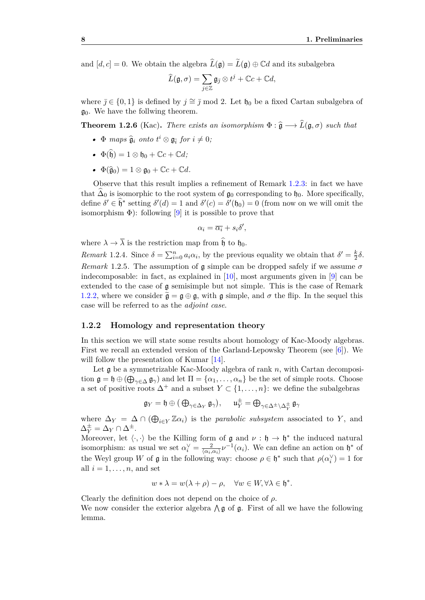and  $[d, c] = 0$ . We obtain the algebra  $\widehat{L}(\mathfrak{g}) = \widetilde{L}(\mathfrak{g}) \oplus \mathbb{C}d$  and its subalgebra

$$
\widehat{L}(\mathfrak{g},\sigma)=\sum_{j\in\mathbb{Z}}\mathfrak{g}_{\bar{\jmath}}\otimes t^j+\mathbb{C} c+\mathbb{C} d,
$$

where  $\bar{j} \in \{0, 1\}$  is defined by  $j \approx \bar{j} \mod 2$ . Let  $\mathfrak{h}_0$  be a fixed Cartan subalgebra of  $\mathfrak{g}_0$ . We have the follwing theorem.

**Theorem 1.2.6** (Kac). *There exists an isomorphism*  $\Phi : \hat{\mathfrak{g}} \longrightarrow \hat{L}(\mathfrak{g}, \sigma)$  *such that* 

- $\Phi$  *maps*  $\hat{\mathfrak{g}}_i$  *onto*  $t^i \otimes \mathfrak{g}_{\overline{i}}$  *for*  $i \neq 0$ *;*
- $\Phi(\widehat{\mathfrak{h}}) = 1 \otimes \mathfrak{h}_0 + \mathbb{C}c + \mathbb{C}d$ ;
- $\Phi(\widehat{\mathfrak{g}}_0) = 1 \otimes \mathfrak{g}_0 + \mathbb{C}c + \mathbb{C}d$ .

Observe that this result implies a refinement of Remark [1.2.3:](#page-12-0) in fact we have that  $\Delta_0$  is isomorphic to the root system of  $\mathfrak{g}_0$  corresponding to  $\mathfrak{h}_0$ . More specifically, define  $\delta' \in \hat{\mathfrak{h}}^*$  setting  $\delta'(d) = 1$  and  $\delta'(c) = \delta'( \mathfrak{h}_0 ) = 0$  (from now on we will omit the isomorphism  $\Phi$ ): following [\[9\]](#page-56-7) it is possible to prove that

$$
\alpha_i = \overline{\alpha_i} + s_i \delta',
$$

where  $\lambda \to \overline{\lambda}$  is the restriction map from  $\hat{\mathfrak{h}}$  to  $\mathfrak{h}_0$ .

*Remark* 1.2.4. Since  $\delta = \sum_{i=0}^{n} a_i \alpha_i$ , by the previous equality we obtain that  $\delta' = \frac{k}{2}$  $rac{k}{2}\delta$ . *Remark* 1.2.5. The assumption of g simple can be dropped safely if we assume  $\sigma$ indecomposable: in fact, as explained in [\[10\]](#page-56-8), most arguments given in [\[9\]](#page-56-7) can be extended to the case of g semisimple but not simple. This is the case of Remark [1.2.2,](#page-11-2) where we consider  $\tilde{\mathfrak{g}} = \mathfrak{g} \oplus \mathfrak{g}$ , with  $\mathfrak{g}$  simple, and  $\sigma$  the flip. In the sequel this case will be referred to as the *adjoint case*.

#### <span id="page-13-0"></span>**1.2.2 Homology and representation theory**

In this section we will state some results about homology of Kac-Moody algebras. First we recall an extended version of the Garland-Lepowsky Theorem (see  $[6]$ ). We will follow the presentation of Kumar [\[14\]](#page-57-6).

Let g be a symmetrizable Kac-Moody algebra of rank *n*, with Cartan decomposition  $\mathfrak{g} = \mathfrak{h} \oplus (\bigoplus_{\gamma \in \Delta} \mathfrak{g}_{\gamma})$  and let  $\Pi = \{\alpha_1, \ldots, \alpha_n\}$  be the set of simple roots. Choose a set of positive roots  $\Delta^+$  and a subset  $Y \subset \{1, \ldots, n\}$ : we define the subalgebras

$$
\mathfrak{g}_Y = \mathfrak{h} \oplus \big( \oplus_{\gamma \in \Delta_Y} \mathfrak{g}_\gamma \big), \quad \ \mathfrak{u}_Y^\pm = \oplus_{\gamma \in \Delta^\pm \backslash \Delta_Y^\pm} \mathfrak{g}_\gamma
$$

where  $\Delta_Y = \Delta \cap (\bigoplus_{i \in Y} \mathbb{Z} \alpha_i)$  is the *parabolic subsystem* associated to *Y*, and  $\Delta_Y^{\pm} = \Delta_Y \cap \Delta^{\pm}.$ 

Moreover, let  $\langle \cdot, \cdot \rangle$  be the Killing form of  $\mathfrak g$  and  $\nu : \mathfrak h \to \mathfrak h^*$  the induced natural isomorphism: as usual we set  $\alpha_i^{\vee} = \frac{2}{\langle \alpha_i, \cdot \rangle}$  $\frac{2}{\langle \alpha_i, \alpha_i \rangle} \nu^{-1}(\alpha_i)$ . We can define an action on  $\mathfrak{h}^*$  of the Weyl group *W* of  $\mathfrak{g}$  in the following way: choose  $\rho \in \mathfrak{h}^*$  such that  $\rho(\alpha_i^{\vee}) = 1$  for all  $i = 1, \ldots, n$ , and set

$$
w * \lambda = w(\lambda + \rho) - \rho, \quad \forall w \in W, \forall \lambda \in \mathfrak{h}^*.
$$

<span id="page-13-1"></span>Clearly the definition does not depend on the choice of *ρ*. We now consider the exterior algebra  $\Lambda$  g of g. First of all we have the following lemma.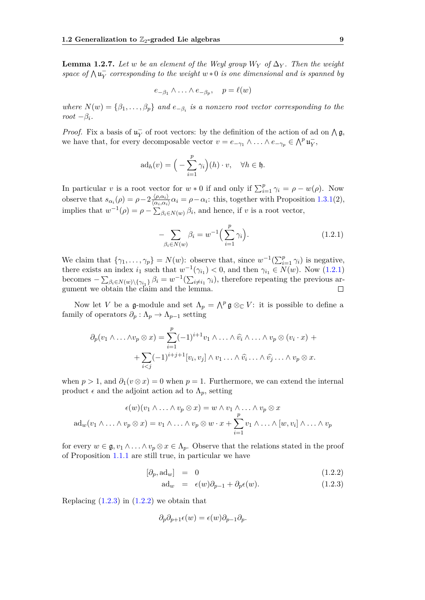**Lemma 1.2.7.** Let w be an element of the Weyl group  $W_Y$  of  $\Delta_Y$ . Then the weight  $\mathbf{p}$  *space of*  $\bigwedge \mathbf{u}_Y^-$  *corresponding to the weight*  $w * 0$  *is one dimensional and is spanned by* 

$$
e_{-\beta_1} \wedge \ldots \wedge e_{-\beta_p}, \quad p = \ell(w)
$$

*where*  $N(w) = \{\beta_1, \ldots, \beta_p\}$  *and*  $e_{-\beta_i}$  *is a nonzero root vector corresponding to the root*  $-\beta_i$ *.* 

*Proof.* Fix a basis of  $\mathfrak{u}_Y^-$  of root vectors: by the definition of the action of ad on  $\wedge \mathfrak{g}$ , we have that, for every decomposable vector  $v = e_{-\gamma_1} \wedge \ldots \wedge e_{-\gamma_p} \in \bigwedge^p \mathfrak{u}_Y^-$ ,

$$
ad_h(v) = \Big(-\sum_{i=1}^p \gamma_i\Big)(h) \cdot v, \quad \forall h \in \mathfrak{h}.
$$

In particular *v* is a root vector for  $w * 0$  if and only if  $\sum_{i=1}^{p} \gamma_i = \rho - w(\rho)$ . Now observe that  $s_{\alpha_i}(\rho) = \rho - 2 \frac{\langle \rho, \alpha_i \rangle}{\langle \alpha_i, \alpha_i \rangle}$  $\frac{\langle \rho, \alpha_i \rangle}{\langle \alpha_i, \alpha_i \rangle}$   $\alpha_i = \rho - \alpha_i$ : this, together with Proposition [1.3.1\(](#page-19-2)2), implies that  $w^{-1}(\rho) = \rho - \sum_{\beta_i \in N(w)} \beta_i$ , and hence, if *v* is a root vector,

<span id="page-14-0"></span>
$$
-\sum_{\beta_i \in N(w)} \beta_i = w^{-1} \Big(\sum_{i=1}^p \gamma_i\Big). \tag{1.2.1}
$$

We claim that  $\{\gamma_1, \ldots, \gamma_p\} = N(w)$ : observe that, since  $w^{-1}(\sum_{i=1}^p \gamma_i)$  is negative, there exists an index  $i_1$  such that  $w^{-1}(\gamma_{i_1}) < 0$ , and then  $\gamma_{i_1} \in N(w)$ . Now [\(1.2.1\)](#page-14-0) becomes  $-\sum_{\beta_i \in N(w) \setminus {\gamma_{i_1}}} \beta_i = w^{-1}(\sum_{i \neq i_1} \gamma_i)$ , therefore repeating the previous argument we obtain the claim and the lemma.

Now let *V* be a g-module and set  $\Lambda_p = \Lambda^p$  g  $\otimes_{\mathbb{C}} V$ : it is possible to define a family of operators  $\partial_p : \Lambda_p \to \Lambda_{p-1}$  setting

$$
\partial_p(v_1 \wedge \ldots \wedge v_p \otimes x) = \sum_{i=1}^p (-1)^{i+1} v_1 \wedge \ldots \wedge \widehat{v_i} \wedge \ldots \wedge v_p \otimes (v_i \cdot x) + + \sum_{i < j} (-1)^{i+j+1} [v_i, v_j] \wedge v_1 \ldots \wedge \widehat{v_i} \ldots \wedge \widehat{v_j} \ldots \wedge v_p \otimes x.
$$

when  $p > 1$ , and  $\partial_1(v \otimes x) = 0$  when  $p = 1$ . Furthermore, we can extend the internal product  $\epsilon$  and the adjoint action ad to  $\Lambda_p$ , setting

$$
\epsilon(w)(v_1 \wedge \ldots \wedge v_p \otimes x) = w \wedge v_1 \wedge \ldots \wedge v_p \otimes x
$$
  
ad<sub>w</sub> $(v_1 \wedge \ldots \wedge v_p \otimes x) = v_1 \wedge \ldots \wedge v_p \otimes w \cdot x + \sum_{i=1}^p v_1 \wedge \ldots \wedge [w, v_i] \wedge \ldots \wedge v_p$ 

for every  $w \in \mathfrak{g}, v_1 \wedge \ldots \wedge v_p \otimes x \in \Lambda_p$ . Observe that the relations stated in the proof of Proposition [1.1.1](#page-7-0) are still true, in particular we have

<span id="page-14-1"></span>
$$
[\partial_p, \mathrm{ad}_w] = 0 \tag{1.2.2}
$$

$$
\mathrm{ad}_{w} = \epsilon(w)\partial_{p-1} + \partial_{p}\epsilon(w). \tag{1.2.3}
$$

Replacing  $(1.2.3)$  in  $(1.2.2)$  we obtain that

$$
\partial_p \partial_{p+1} \epsilon(w) = \epsilon(w) \partial_{p-1} \partial_p.
$$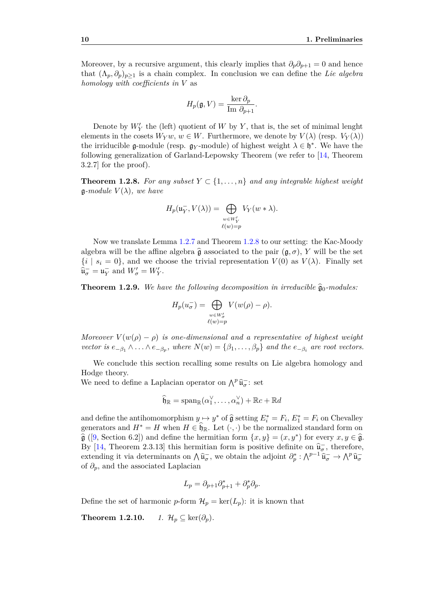Moreover, by a recursive argument, this clearly implies that  $\partial_p \partial_{p+1} = 0$  and hence that  $(\Lambda_p, \partial_p)_{p>1}$  is a chain complex. In conclusion we can define the *Lie algebra homology with coefficients in V* as

$$
H_p(\mathfrak{g}, V) = \frac{\ker \partial_p}{\text{Im } \partial_{p+1}}.
$$

Denote by  $W'_{Y}$  the (left) quotient of  $W$  by  $Y$ , that is, the set of minimal lenght elements in the cosets  $W_Yw, w \in W$ . Furthermore, we denote by  $V(\lambda)$  (resp.  $V_Y(\lambda)$ ) the irriducible  $\mathfrak{g}\text{-module}$  (resp.  $\mathfrak{g}\text{-module}$ ) of highest weight  $\lambda \in \mathfrak{h}^*$ . We have the following generalization of Garland-Lepowsky Theorem (we refer to [\[14,](#page-57-6) Theorem 3.2.7] for the proof).

<span id="page-15-0"></span>**Theorem 1.2.8.** For any subset  $Y \subset \{1, \ldots, n\}$  and any integrable highest weight  $\mathfrak{g}\text{-}module \ V(\lambda)$ *, we have* 

$$
H_p(\mathfrak{u}_Y^-, V(\lambda)) = \bigoplus_{\substack{w \in W'_Y \\ \ell(w) = p}} V_Y(w * \lambda).
$$

Now we translate Lemma [1.2.7](#page-13-1) and Theorem [1.2.8](#page-15-0) to our setting: the Kac-Moody algebra will be the affine algebra  $\hat{\mathfrak{g}}$  associated to the pair  $(\mathfrak{g}, \sigma)$ , *Y* will be the set  $\{i \mid s_i = 0\}$ , and we choose the trivial representation  $V(0)$  as  $V(\lambda)$ . Finally set  $\hat{\mathfrak{u}}_{\sigma}^{-} = \mathfrak{u}_{Y}^{-}$  and  $W'_{\sigma} = W'_{Y}$ .

<span id="page-15-1"></span>**Theorem 1.2.9.** We have the following decomposition in irreducible  $\hat{\mathfrak{g}}_0$ -modules:

$$
H_p(u_{\sigma}^-) = \bigoplus_{\substack{w \in W_{\sigma}' \\ \ell(w) = p}} V(w(\rho) - \rho).
$$

*Moreover*  $V(w(\rho) - \rho)$  *is one-dimensional and a representative of highest weight vector is*  $e_{-\beta_1} \wedge \ldots \wedge e_{-\beta_p}$ , where  $N(w) = \{\beta_1, \ldots, \beta_p\}$  and the  $e_{-\beta_i}$  are root vectors.

We conclude this section recalling some results on Lie algebra homology and Hodge theory.

We need to define a Laplacian operator on  $\bigwedge^p \widehat{\mathfrak{u}}^-_{{\sigma}}$ : set

$$
\widehat{\mathfrak{h}}_{\mathbb{R}} = \mathrm{span}_{\mathbb{R}}(\alpha_1^{\vee}, \dots, \alpha_n^{\vee}) + \mathbb{R}c + \mathbb{R}d
$$

and define the antihomomorphism  $y \mapsto y^*$  of  $\hat{g}$  setting  $E_i^* = F_i$ ,  $E_1^* = F_i$  on Chevalley generators and  $H^* = H$  when  $H \in \mathfrak{h}_\mathbb{R}$ . Let  $(\cdot, \cdot)$  be the normalized standard form on  $\hat{\mathfrak{g}}$  ([\[9,](#page-56-7) Section 6.2]) and define the hermitian form  $\{x, y\} = (x, y^*)$  for every  $x, y \in \hat{\mathfrak{g}}$ . By [\[14,](#page-57-6) Theorem 2.3.13] this hermitian form is positive definite on  $\hat{\mathfrak{u}}_{\sigma}^-$ , therefore, extending it via determinants on  $\hat{\mu}_{\sigma}$ , we obtain the adjoint  $\partial_p^* : \hat{\mu}_{\sigma}^{p-1} \hat{\mu}_{\sigma}^- \to \hat{\mu}_{\sigma}^p \hat{\mu}_{\sigma}^$ of *∂p*, and the associated Laplacian

$$
L_p = \partial_{p+1}\partial_{p+1}^* + \partial_p^*\partial_p.
$$

Define the set of harmonic *p*-form  $\mathcal{H}_p = \text{ker}(L_p)$ : it is known that

**Theorem 1.2.10.** *1.*  $\mathcal{H}_p \subseteq \text{ker}(\partial_p)$ .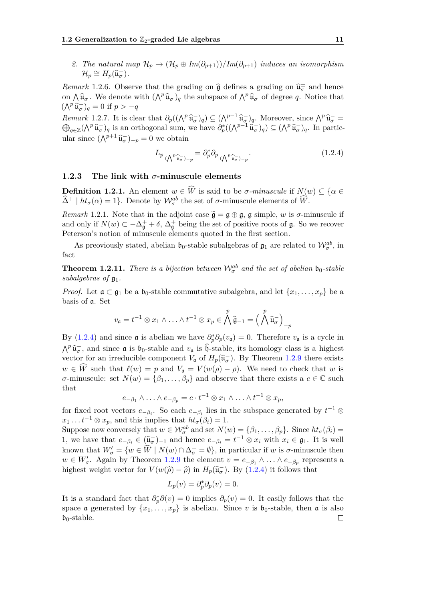2. *The natural map*  $\mathcal{H}_p \to (\mathcal{H}_p \oplus Im(\partial_{p+1}))/Im(\partial_{p+1})$  *induces an isomorphism*  $\mathcal{H}_p \cong H_p(\widehat{\mathfrak{u}}_{\sigma}^-).$ 

*Remark* 1.2.6*.* Observe that the grading on  $\hat{\mathfrak{g}}$  defines a grading on  $\hat{\mathfrak{u}}_{\sigma}^{\pm}$  and hence on  $\bigwedge \hat{\mathfrak{u}}_{\sigma}^-$ . We denote with  $(\bigwedge^p \hat{\mathfrak{u}}_{\sigma}^-)_q$  the subspace of  $\bigwedge^p \hat{\mathfrak{u}}_{\sigma}^-$  of degree *q*. Notice that  $(\bigwedge^p \widehat{\mathfrak{u}}_{\sigma}^-)_q = 0$  if  $p > -q$ 

*Remark* 1.2.7*.* It is clear that  $\partial_p((\bigwedge^p \hat{u}_\sigma^-)_q) \subseteq (\bigwedge^{p-1} \hat{u}_\sigma^-)_q$ . Moreover, since  $\bigwedge^p \hat{u}_\sigma^- =$  $\bigoplus_{q \in \mathbb{Z}} (\bigwedge^p \widehat{\mathfrak{u}}_{\sigma}^-)_q$  is an orthogonal sum, we have  $\partial_p^*((\bigwedge^{p-1} \widehat{\mathfrak{u}}_{\sigma}^-)_q) \subseteq (\bigwedge^p \widehat{\mathfrak{u}}_{\sigma}^-)_q$ . In particular since  $(\bigwedge^{p+1} \widehat{\mathfrak{u}}_{\sigma}^-)_{-p} = 0$  we obtain

<span id="page-16-1"></span>
$$
L_{p_{|\langle \bigwedge^{p} \widehat{u_{\sigma}} \rangle_{-p}}} = \partial_p^* \partial_{p_{|\langle \bigwedge^{p} \widehat{u_{\sigma}} \rangle_{-p}}}.
$$
\n(1.2.4)

#### <span id="page-16-0"></span>**1.2.3 The link with** *σ***-minuscule elements**

**Definition 1.2.1.** An element  $w \in \widehat{W}$  is said to be *σ-minuscule* if  $N(w) \subset \{ \alpha \in$  $\widehat{\Delta}^+ \mid ht_{\sigma}(\alpha) = 1$ . Denote by  $\mathcal{W}_{\sigma}^{ab}$  the set of  $\sigma$ -minuscule elements of  $\widehat{W}$ .

*Remark* 1.2.1. Note that in the adjoint case  $\tilde{\mathfrak{g}} = \mathfrak{g} \oplus \mathfrak{g}$ ,  $\mathfrak{g}$  simple, *w* is  $\sigma$ -minuscule if and only if  $N(w) \subset -\Delta_{\mathfrak{g}}^+ + \delta$ ,  $\Delta_{\mathfrak{g}}^+$  being the set of positive roots of  $\mathfrak{g}$ . So we recover Peterson's notion of minuscule elements quoted in the first section.

As preoviously stated, abelian  $\mathfrak{b}_0$ -stable subalgebras of  $\mathfrak{g}_1$  are related to  $\mathcal{W}_{\sigma}^{ab}$ , in fact

**Theorem 1.2.11.** *There is a bijection between*  $\mathcal{W}_{\sigma}^{ab}$  *and the set of abelian*  $\mathfrak{b}_0$ -stable *subalgebras of*  $\mathfrak{g}_1$ *.* 

*Proof.* Let  $\mathfrak{a} \subset \mathfrak{g}_1$  be a  $\mathfrak{b}_0$ -stable commutative subalgebra, and let  $\{x_1, \ldots, x_p\}$  be a basis of a. Set

$$
v_{\mathfrak{a}} = t^{-1} \otimes x_1 \wedge \ldots \wedge t^{-1} \otimes x_p \in \bigwedge^p \widehat{\mathfrak{g}}_{-1} = \Big(\bigwedge^p \widehat{\mathfrak{u}}_{\sigma}^{-}\Big)_{-p}
$$

By [\(1.2.4\)](#page-16-1) and since  $\mathfrak{a}$  is abelian we have  $\partial_p^* \partial_p (v_{\mathfrak{a}}) = 0$ . Therefore  $v_{\mathfrak{a}}$  is a cycle in  $\Lambda^p \hat{u}^-$ , and since  $\mathfrak{a}$  is  $\mathfrak{b}_0$ -stable and  $v_{\mathfrak{a}}$  is  $\hat{\mathfrak{b}}$ -stable, its homology class is a highest vector for an irreducible component  $V_a$  of  $H_p(\hat{\mathfrak{u}}_{\sigma}^-)$ . By Theorem [1.2.9](#page-15-1) there exists  $w \in \widehat{W}$  such that  $\ell(w) = p$  and  $V_{\mathfrak{a}} = V(w(\rho) - \rho)$ . We need to check that *w* is *σ*-minuscule: set  $N(w) = {\beta_1, ..., \beta_p}$  and observe that there exists a  $c \in \mathbb{C}$  such that

$$
e_{-\beta_1} \wedge \ldots \wedge e_{-\beta_p} = c \cdot t^{-1} \otimes x_1 \wedge \ldots \wedge t^{-1} \otimes x_p,
$$

for fixed root vectors  $e_{-\beta_i}$ . So each  $e_{-\beta_i}$  lies in the subspace generated by  $t^{-1} \otimes$  $x_1 \ldots t^{-1} \otimes x_p$ , and this implies that  $ht_{\sigma}(\beta_i) = 1$ .

Suppose now conversely that  $w \in \mathcal{W}_{\sigma}^{ab}$  and set  $N(w) = {\beta_1, \ldots, \beta_p}$ . Since  $ht_{\sigma}(\beta_i) =$ 1, we have that  $e_{-\beta_i} \in (\widehat{\mathfrak{u}}_{\sigma}^-)_{-1}$  and hence  $e_{-\beta_i} = t^{-1} \otimes x_i$  with  $x_i \in \mathfrak{g}_1$ . It is well known that  $W'_{\sigma} = \{w \in \widehat{W} \mid N(w) \cap \Delta_{\sigma}^+ = \emptyset\}$ , in particular if *w* is  $\sigma$ -minuscule then *w* ∈ *W*<sup>*g*</sup>. Again by Theorem [1.2.9](#page-15-1) the element *v* =  $e_{-\beta_1} \wedge \ldots \wedge e_{-\beta_p}$  represents a highest weight vector for  $V(w(\hat{\rho}) - \hat{\rho})$  in  $H_p(\hat{\mathfrak{u}}_{\sigma}^{-})$ . By [\(1.2.4\)](#page-16-1) it follows that

$$
L_p(v) = \partial_p^* \partial_p(v) = 0.
$$

It is a standard fact that  $\partial_p^* \partial(v) = 0$  implies  $\partial_p(v) = 0$ . It easily follows that the space  $\mathfrak a$  generated by  $\{x_1, \ldots, x_p\}$  is abelian. Since *v* is  $\mathfrak b_0$ -stable, then  $\mathfrak a$  is also  $\mathfrak{b}_0$ -stable.  $\Box$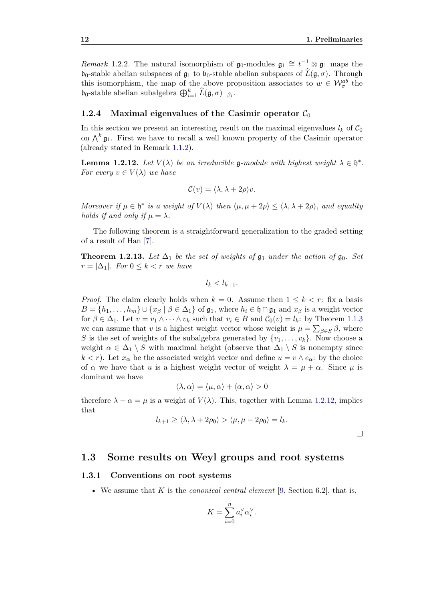<span id="page-17-4"></span>*Remark* 1.2.2. The natural isomorphism of  $\mathfrak{g}_0$ -modules  $\mathfrak{g}_1 \cong t^{-1} \otimes \mathfrak{g}_1$  maps the  $\mathfrak{b}_0$ -stable abelian subspaces of  $\mathfrak{g}_1$  to  $\mathfrak{b}_0$ -stable abelian subspaces of  $\widehat{L}(\mathfrak{g}, \sigma)$ . Through this isomorphism, the map of the above proposition associates to  $w \in \mathcal{W}_{\sigma}^{ab}$  the **b**<sub>0</sub>-stable abelian subalgebra  $\bigoplus_{i=1}^{k} \widehat{L}(\mathfrak{g}, \sigma)_{-\beta_i}$ .

#### <span id="page-17-0"></span>**1.2.4** Maximal eigenvalues of the Casimir operator  $C_0$

In this section we present an interesting result on the maximal eigenvalues  $l_k$  of  $C_0$ on  $\bigwedge^k \mathfrak{g}_1$ . First we have to recall a well known property of the Casimir operator (already stated in Remark [1.1.2\)](#page-6-3).

<span id="page-17-3"></span>**Lemma 1.2.12.** Let  $V(\lambda)$  be an irreducible g-module with highest weight  $\lambda \in \mathfrak{h}^*$ . *For every*  $v \in V(\lambda)$  *we have* 

$$
\mathcal{C}(v) = \langle \lambda, \lambda + 2\rho \rangle v.
$$

*Moreover* if  $\mu \in \mathfrak{h}^*$  is a weight of  $V(\lambda)$  then  $\langle \mu, \mu + 2\rho \rangle \leq \langle \lambda, \lambda + 2\rho \rangle$ , and equality *holds if and only if*  $\mu = \lambda$ *.* 

The following theorem is a straightforward generalization to the graded setting of a result of Han [\[7\]](#page-56-10).

**Theorem 1.2.13.** Let  $\Delta_1$  be the set of weights of  $\mathfrak{g}_1$  under the action of  $\mathfrak{g}_0$ . Set  $r = |\Delta_1|$ *. For*  $0 \leq k < r$  *we have* 

$$
l_k < l_{k+1}.
$$

*Proof.* The claim clearly holds when  $k = 0$ . Assume then  $1 \leq k \leq r$ : fix a basis  $B = \{h_1, \ldots, h_m\} \cup \{x_\beta \mid \beta \in \Delta_1\}$  of  $\mathfrak{g}_1$ , where  $h_i \in \mathfrak{h} \cap \mathfrak{g}_1$  and  $x_\beta$  is a weight vector for  $\beta \in \Delta_1$ . Let  $v = v_1 \wedge \cdots \wedge v_k$  such that  $v_i \in B$  and  $C_0(v) = l_k$ : by Theorem [1.1.3](#page-8-3) we can assume that *v* is a highest weight vector whose weight is  $\mu = \sum_{\beta \in S} \beta$ , where *S* is the set of weights of the subalgebra generated by  $\{v_1, \ldots, v_k\}$ . Now choose a weight  $\alpha \in \Delta_1 \setminus S$  with maximal height (observe that  $\Delta_1 \setminus S$  is nonempty since  $k < r$ ). Let  $x_{\alpha}$  be the associated weight vector and define  $u = v \wedge e_{\alpha}$ : by the choice of  $\alpha$  we have that *u* is a highest weight vector of weight  $\lambda = \mu + \alpha$ . Since  $\mu$  is dominant we have

$$
\langle \lambda, \alpha \rangle = \langle \mu, \alpha \rangle + \langle \alpha, \alpha \rangle > 0
$$

therefore  $\lambda - \alpha = \mu$  is a weight of  $V(\lambda)$ . This, together with Lemma [1.2.12,](#page-17-3) implies that

$$
l_{k+1} \ge \langle \lambda, \lambda + 2\rho_0 \rangle > \langle \mu, \mu - 2\rho_0 \rangle = l_k.
$$

### <span id="page-17-1"></span>**1.3 Some results on Weyl groups and root systems**

#### <span id="page-17-2"></span>**1.3.1 Conventions on root systems**

• We assume that *K* is the *canonical central element* [\[9,](#page-56-7) Section 6.2], that is,

$$
K = \sum_{i=0}^{n} a_i^{\vee} \alpha_i^{\vee}.
$$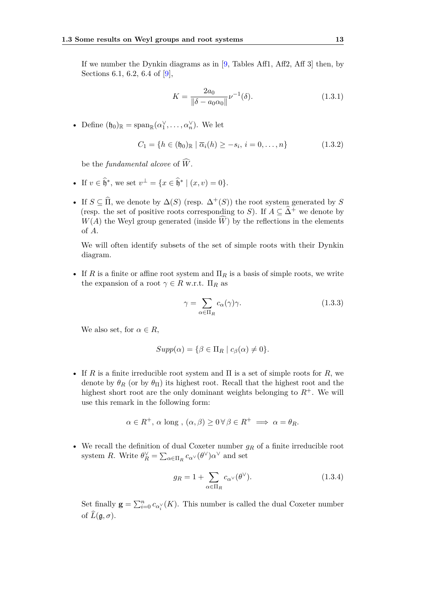If we number the Dynkin diagrams as in [\[9,](#page-56-7) Tables Aff1, Aff2, Aff 3] then, by Sections 6.1, 6.2, 6.4 of [\[9\]](#page-56-7),

<span id="page-18-1"></span>
$$
K = \frac{2a_0}{\|\delta - a_0 \alpha_0\|} \nu^{-1}(\delta). \tag{1.3.1}
$$

• Define  $(\mathfrak{h}_0)_{\mathbb{R}} = \text{span}_{\mathbb{R}}(\alpha_1^{\vee}, \ldots, \alpha_n^{\vee})$ . We let

$$
C_1 = \{ h \in (\mathfrak{h}_0)_{\mathbb{R}} \mid \overline{\alpha}_i(h) \ge -s_i, i = 0, \dots, n \}
$$
 (1.3.2)

be the *fundamental alcove* of  $\widehat{W}$ .

- If  $v \in \hat{\mathfrak{h}}^*$ , we set  $v^{\perp} = \{x \in \hat{\mathfrak{h}}^* \mid (x, v) = 0\}.$
- If  $S \subseteq \widehat{\Pi}$ , we denote by  $\Delta(S)$  (resp.  $\Delta^+(S)$ ) the root system generated by  $S$ (resp. the set of positive roots corresponding to *S*). If  $A \subseteq \hat{\Delta}^+$  we denote by  $W(A)$  the Weyl group generated (inside  $\widehat{W}$ ) by the reflections in the elements of *A*.

We will often identify subsets of the set of simple roots with their Dynkin diagram.

• If *R* is a finite or affine root system and  $\Pi_R$  is a basis of simple roots, we write the expansion of a root  $\gamma \in R$  w.r.t.  $\Pi_R$  as

$$
\gamma = \sum_{\alpha \in \Pi_R} c_{\alpha}(\gamma)\gamma.
$$
 (1.3.3)

We also set, for  $\alpha \in R$ ,

$$
Supp(\alpha) = \{ \beta \in \Pi_R \mid c_{\beta}(\alpha) \neq 0 \}.
$$

• If *R* is a finite irreducible root system and Π is a set of simple roots for *R*, we denote by  $\theta_R$  (or by  $\theta_{\Pi}$ ) its highest root. Recall that the highest root and the highest short root are the only dominant weights belonging to  $R^+$ . We will use this remark in the following form:

$$
\alpha \in R^+, \, \alpha \text{ long }, (\alpha, \beta) \geq 0 \,\forall \,\beta \in R^+ \implies \alpha = \theta_R.
$$

• We recall the definition of dual Coxeter number *g<sup>R</sup>* of a finite irreducible root system *R*. Write  $\theta_R^{\vee} = \sum_{\alpha \in \Pi_R} c_{\alpha^{\vee}}(\theta^{\vee}) \alpha^{\vee}$  and set

<span id="page-18-0"></span>
$$
g_R = 1 + \sum_{\alpha \in \Pi_R} c_{\alpha^{\vee}}(\theta^{\vee}).
$$
\n(1.3.4)

Set finally  $\mathbf{g} = \sum_{i=0}^{n} c_{\alpha_i^{\vee}}(K)$ . This number is called the dual Coxeter number of  $\widehat{L}(\mathfrak{g}, \sigma)$ .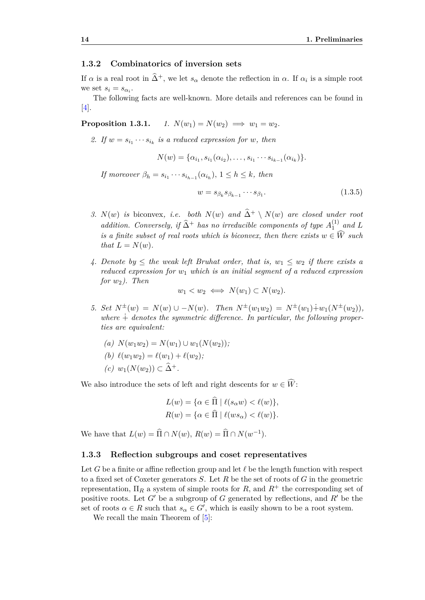#### <span id="page-19-0"></span>**1.3.2 Combinatorics of inversion sets**

If  $\alpha$  is a real root in  $\hat{\Delta}^+$ , we let  $s_\alpha$  denote the reflection in  $\alpha$ . If  $\alpha_i$  is a simple root we set  $s_i = s_{\alpha_i}$ .

The following facts are well-known. More details and references can be found in [\[4\]](#page-56-4).

<span id="page-19-2"></span>**Proposition 1.3.1.**  $1. N(w_1) = N(w_2) \implies w_1 = w_2.$ 

2. If  $w = s_{i_1} \cdots s_{i_k}$  is a reduced expression for  $w$ *, then* 

$$
N(w) = \{\alpha_{i_1}, s_{i_1}(\alpha_{i_2}), \ldots, s_{i_1} \cdots s_{i_{k-1}}(\alpha_{i_k})\}.
$$

*If moreover*  $\beta_h = s_{i_1} \cdots s_{i_{h-1}} (\alpha_{i_h}), 1 \leq h \leq k$ , then

<span id="page-19-4"></span>
$$
w = s_{\beta_k} s_{\beta_{k-1}} \cdots s_{\beta_1}.
$$
\n
$$
(1.3.5)
$$

- *3.*  $N(w)$  *is* biconvex, *i.e.* both  $N(w)$  and  $\hat{\Delta}^+ \setminus N(w)$  are closed under root *addition. Conversely, if*  $\widehat{\Delta}^+$  *has no irreducible components of type*  $A_1^{(1)}$  $\int_1^{(1)}$  and L *is a finite subset of real roots which is biconvex, then there exists*  $w \in \widehat{W}$  *such that*  $L = N(w)$ *.*
- *4.* Denote by  $\leq$  the weak left Bruhat order, that is,  $w_1 \leq w_2$  if there exists a *reduced expression for w*<sup>1</sup> *which is an initial segment of a reduced expression for w*2*). Then*

$$
w_1 < w_2 \iff N(w_1) \subset N(w_2).
$$

- *5. Set*  $N^{\pm}(w) = N(w) \cup -N(w)$ *. Then*  $N^{\pm}(w_1w_2) = N^{\pm}(w_1) \dot{+} w_1(N^{\pm}(w_2))$ *,* where  $\dot{+}$  denotes the symmetric difference. In particular, the following proper*ties are equivalent:*
	- $(a)$   $N(w_1w_2) = N(w_1) \cup w_1(N(w_2));$
	- *(b)*  $\ell(w_1w_2) = \ell(w_1) + \ell(w_2);$
	- $(c)$  *w*<sub>1</sub>(*N*(*w*<sub>2</sub>)) ⊂  $\widehat{\Delta}^+$ .

We also introduce the sets of left and right descents for  $w \in \widehat{W}$ :

$$
L(w) = \{ \alpha \in \overline{\Pi} \mid \ell(s_{\alpha}w) < \ell(w) \},
$$
  

$$
R(w) = \{ \alpha \in \widehat{\Pi} \mid \ell(ws_{\alpha}) < \ell(w) \}.
$$

We have that  $L(w) = \widehat{\Pi} \cap N(w), R(w) = \widehat{\Pi} \cap N(w^{-1}).$ 

#### <span id="page-19-1"></span>**1.3.3 Reflection subgroups and coset representatives**

Let *G* be a finite or affine reflection group and let  $\ell$  be the length function with respect to a fixed set of Coxeter generators *S*. Let *R* be the set of roots of *G* in the geometric representation,  $\Pi_R$  a system of simple roots for R, and  $R^+$  the corresponding set of positive roots. Let  $G'$  be a subgroup of  $G$  generated by reflections, and  $R'$  be the set of roots  $\alpha \in R$  such that  $s_{\alpha} \in G'$ , which is easily shown to be a root system.

<span id="page-19-3"></span>We recall the main Theorem of  $[5]$ :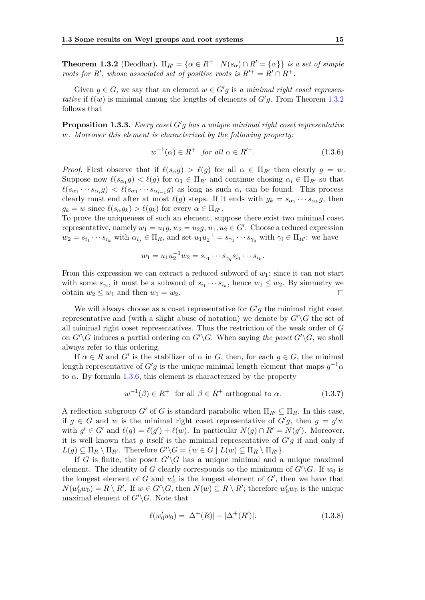**Theorem 1.3.2** (Deodhar).  $\Pi_{R'} = {\alpha \in R^+ | N(s_\alpha) \cap R' = {\alpha}}$  *is a set of simple roots for*  $R'$ , whose associated set of positive roots is  $R'^{+} = R' \cap R^{+}$ .

Given  $g \in G$ , we say that an element  $w \in G'g$  is a minimal right coset represen*tative* if  $\ell(w)$  is minimal among the lengths of elements of  $G'g$ . From Theorem [1.3.2](#page-19-3) follows that

**Proposition 1.3.3.** *Every coset*  $G'g$  *has a unique minimal right coset representative w. Moreover this element is characterized by the following property:*

<span id="page-20-0"></span>
$$
w^{-1}(\alpha) \in R^+ \quad \text{for all } \alpha \in R'^+.
$$
\n
$$
(1.3.6)
$$

*Proof.* First observe that if  $\ell(s_\alpha g) > \ell(g)$  for all  $\alpha \in \Pi_{R'}$  then clearly  $g = w$ . Suppose now  $\ell(s_{\alpha_1}g) < \ell(g)$  for  $\alpha_1 \in \Pi_{R'}$  and continue chosing  $\alpha_i \in \Pi_{R'}$  so that  $\ell(s_{\alpha_1} \cdots s_{\alpha_i} g) < \ell(s_{\alpha_1} \cdots s_{\alpha_{i-1}} g)$  as long as such  $\alpha_i$  can be found. This process clearly must end after at most  $\ell(g)$  steps. If it ends with  $g_k = s_{\alpha_1} \cdots s_{\alpha_k} g$ , then  $g_k = w$  since  $\ell(s_\alpha g_k) > \ell(g_k)$  for every  $\alpha \in \Pi_{R}$ .

To prove the uniqueness of such an element, suppose there exist two minimal coset representative, namely  $w_1 = u_1g, w_2 = u_2g, u_1, u_2 \in G'$ . Choose a reduced expression  $w_2 = s_{i_1} \cdots s_{i_k}$  with  $\alpha_{i_j} \in \Pi_R$ , and set  $u_1 u_2^{-1} = s_{\gamma_1} \cdots s_{\gamma_q}$  with  $\gamma_i \in \Pi_{R'}$ : we have

$$
w_1 = u_1 u_2^{-1} w_2 = s_{\gamma_1} \cdots s_{\gamma_q} s_{i_1} \cdots s_{i_k}.
$$

From this expression we can extract a reduced subword of  $w_1$ : since it can not start with some  $s_{\gamma_i}$ , it must be a subword of  $s_{i_1} \cdots s_{i_k}$ , hence  $w_1 \leq w_2$ . By simmetry we obtain  $w_2 \leq w_1$  and then  $w_1 = w_2$ .  $\Box$ 

We will always choose as a coset representative for  $G'g$  the minimal right coset representative and (with a slight abuse of notation) we denote by  $G' \backslash G$  the set of all minimal right coset representatives. Thus the restriction of the weak order of *G* on  $G'\backslash G$  induces a partial ordering on  $G'\backslash G$ . When saying the poset  $G'\backslash G$ , we shall always refer to this ordering.

If  $\alpha \in R$  and  $G'$  is the stabilizer of  $\alpha$  in  $G$ , then, for each  $g \in G$ , the minimal length representative of  $G'g$  is the unique minimal length element that maps  $g^{-1}\alpha$ to  $\alpha$ . By formula [1.3.6,](#page-20-0) this element is characterized by the property

$$
w^{-1}(\beta) \in R^+ \text{ for all } \beta \in R^+ \text{ orthogonal to } \alpha. \tag{1.3.7}
$$

A reflection subgroup *G'* of *G* is standard parabolic when  $\Pi_{R'} \subseteq \Pi_R$ . In this case, if  $g \in G$  and w is the minimal right coset representative of  $G'g$ , then  $g = g'w$ with  $g' \in G'$  and  $\ell(g) = \ell(g') + \ell(w)$ . In particular  $N(g) \cap R' = N(g')$ . Moreover, it is well known that  $g$  itself is the minimal representative of  $G'g$  if and only if  $L(q) \subseteq \Pi_R \setminus \Pi_{R'}$ . Therefore  $G' \setminus G = \{w \in G \mid L(w) \subseteq \Pi_R \setminus \Pi_{R'}\}.$ 

If *G* is finite, the poset  $G' \backslash G$  has a unique minimal and a unique maximal element. The identity of *G* clearly corresponds to the minimum of  $G'\backslash G$ . If  $w_0$  is the longest element of *G* and  $w'_0$  is the longest element of *G'*, then we have that  $N(w'_0 w_0) = R \setminus R'$ . If  $w \in G' \setminus G$ , then  $N(w) \subseteq R \setminus R'$ ; therefore  $w'_0 w_0$  is the unique maximal element of  $G'\G$ . Note that

<span id="page-20-1"></span>
$$
\ell(w'_0 w_0) = |\Delta^+(R)| - |\Delta^+(R')|.
$$
\n(1.3.8)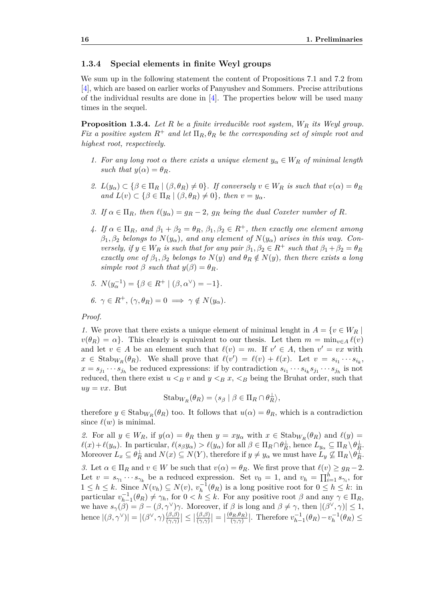#### <span id="page-21-0"></span>**1.3.4 Special elements in finite Weyl groups**

We sum up in the following statement the content of Propositions 7.1 and 7.2 from [\[4\]](#page-56-4), which are based on earlier works of Panyushev and Sommers. Precise attributions of the individual results are done in [\[4\]](#page-56-4). The properties below will be used many times in the sequel.

<span id="page-21-1"></span>**Proposition 1.3.4.** *Let R be a finite irreducible root system, W<sup>R</sup> its Weyl group. Fix a positive system*  $R^+$  *and let*  $\Pi_R$ ,  $\theta_R$  *be the corresponding set of simple root and highest root, respectively.*

- *1.* For any long root  $\alpha$  there exists a unique element  $y_{\alpha} \in W_R$  of minimal length *such that*  $y(\alpha) = \theta_R$ *.*
- *2.*  $L(y_\alpha) \subset \{\beta \in \Pi_R \mid (\beta, \theta_R) \neq 0\}$ . If conversely  $v \in W_R$  is such that  $v(\alpha) = \theta_R$  $and L(v) \subset {\beta \in \Pi_R \mid (\beta, \theta_R) \neq 0}$ , then  $v = y_\alpha$ .
- <span id="page-21-2"></span>*3. If*  $\alpha \in \Pi_R$ *, then*  $\ell(y_\alpha) = g_R - 2$ *,*  $g_R$  *being the dual Coxeter number of R.*
- *4. If*  $\alpha \in \Pi_R$ *, and*  $\beta_1 + \beta_2 = \theta_R$ *,*  $\beta_1, \beta_2 \in R^+$ *, then exactly one element among*  $\beta_1, \beta_2$  *belongs to*  $N(y_\alpha)$ *, and any element of*  $N(y_\alpha)$  *arises in this way. Conversely, if*  $y \in W_R$  *is such that for any pair*  $\beta_1, \beta_2 \in R^+$  *such that*  $\beta_1 + \beta_2 = \theta_R$ *exactly one of*  $\beta_1, \beta_2$  *belongs to*  $N(y)$  *and*  $\theta_R \notin N(y)$ *, then there exists a long simple root*  $\beta$  *such that*  $y(\beta) = \theta_R$ *.*
- *5.*  $N(y_\alpha^{-1}) = {\beta \in R^+ | (\beta, \alpha^\vee) = -1}.$

$$
6. \ \gamma \in R^+, \ (\gamma, \theta_R) = 0 \implies \gamma \notin N(y_\alpha).
$$

#### *Proof.*

*1.* We prove that there exists a unique element of minimal lenght in  $A = \{v \in W_R\}$  $v(\theta_R) = \alpha$ . This clearly is equivalent to our thesis. Let then  $m = \min_{v \in A} \ell(v)$ and let  $v \in A$  be an element such that  $\ell(v) = m$ . If  $v' \in A$ , then  $v' = vx$  with  $x \in$  Stab<sub>*W<sub>R</sub>*</sub>( $\theta$ *R*). We shall prove that  $\ell(v') = \ell(v) + \ell(x)$ . Let  $v = s_{i_1} \cdots s_{i_k}$ ,  $x = s_{j_1} \cdots s_{j_h}$  be reduced expressions: if by contradiction  $s_{i_1} \cdots s_{i_k} s_{j_1} \cdots s_{j_h}$  is not reduced, then there exist  $u < B$  *v* and  $y < B$  *x*,  $\lt B$  being the Bruhat order, such that  $uy = vx$ . But

$$
Stab_{W_R}(\theta_R) = \langle s_\beta \mid \beta \in \Pi_R \cap \theta_R^{\perp} \rangle,
$$

therefore  $y \in \text{Stab}_{W_R}(\theta_R)$  too. It follows that  $u(\alpha) = \theta_R$ , which is a contradiction since  $\ell(w)$  is minimal.

*2.* For all  $y \in W_R$ , if  $y(\alpha) = \theta_R$  then  $y = xy_\alpha$  with  $x \in \text{Stab}_{W_R}(\theta_R)$  and  $\ell(y) =$  $\ell(x)+\ell(y_\alpha)$ . In particular,  $\ell(s_\beta y_\alpha) > \ell(y_\alpha)$  for all  $\beta \in \Pi_R \cap \theta_R^{\perp}$ , hence  $L_{y_\alpha} \subseteq \Pi_R \setminus \theta_R^{\perp}$ . Moreover  $L_x \subseteq \theta_R^{\perp}$  and  $N(x) \subseteq N(Y)$ , therefore if  $y \neq y_\alpha$  we must have  $L_y \nsubseteq \Pi_R \backslash \theta_R^{\perp}$ . *3.* Let  $\alpha \in \Pi_R$  and  $v \in W$  be such that  $v(\alpha) = \theta_R$ . We first prove that  $\ell(v) \geq g_R - 2$ . Let  $v = s_{\gamma_1} \cdots s_{\gamma_k}$  be a reduced expression. Set  $v_0 = 1$ , and  $v_h = \prod_{i=1}^h s_{\gamma_i}$ , for  $1 \leq h \leq k$ . Since  $N(v_h) \subseteq N(v)$ ,  $v_h^{-1}(\theta_R)$  is a long positive root for  $0 \leq h \leq k$ : in particular  $v_{h-1}^{-1}(\theta_R) \neq \gamma_h$ , for  $0 < h \leq k$ . For any positive root  $\beta$  and any  $\gamma \in \Pi_R$ , we have  $s_\gamma(\beta) = \beta - (\beta, \gamma^\vee)\gamma$ . Moreover, if  $\beta$  is long and  $\beta \neq \gamma$ , then  $|(\beta^\vee, \gamma)| \leq 1$ , hence  $|(\beta, \gamma^{\vee})| = |(\beta^{\vee}, \gamma)\frac{(\beta, \beta)}{(\gamma, \gamma)}$  $\frac{(\beta,\beta)}{(\gamma,\gamma)}| \leq |$ (*β,β*)  $\left|\frac{(\beta,\beta)}{(\gamma,\gamma)}\right| = |$  $(\theta_R, \theta_R)$  $\frac{\partial_R, \theta_R}{\partial(\gamma, \gamma)}$ . Therefore  $v_{h-1}^{-1}(\theta_R) - v_h^{-1}(\theta_R) \leq$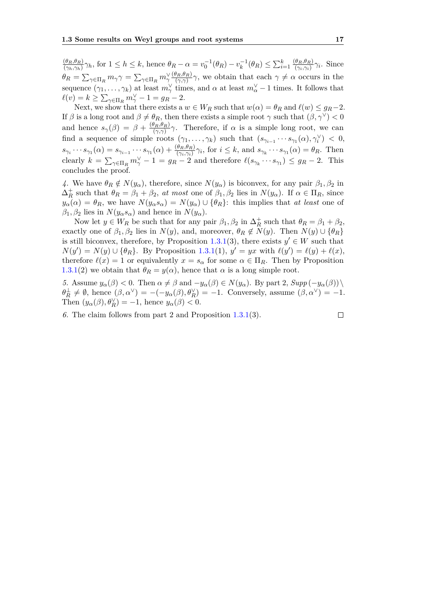$(\theta_R, \theta_R)$  $\frac{(\theta_R,\theta_R)}{(\gamma_h,\gamma_h)}\gamma_h$ , for  $1 \leq h \leq k$ , hence  $\theta_R - \alpha = v_0^{-1}(\theta_R) - v_k^{-1}(\theta_R) \leq \sum_{i=1}^k \frac{(\theta_R,\theta_R)}{(\gamma_i,\gamma_i)}$  $\frac{\langle \theta_R, \theta_R \rangle}{(\gamma_i, \gamma_i)} \gamma_i$ . Since *θR* =  $\sum_{\gamma \in \Pi_R} m_{\gamma} \gamma = \sum_{\gamma \in \Pi_R} m_{\gamma}^{\vee} \frac{(\theta_R, \theta_R)}{(\gamma, \gamma)}$  $\frac{\partial R_i \theta_R}{(\gamma, \gamma)} \gamma$ , we obtain that each  $\gamma \neq \alpha$  occurs in the sequence  $(\gamma_1, \ldots, \gamma_k)$  at least  $m_\gamma^\vee$  times, and  $\alpha$  at least  $m_\alpha^\vee - 1$  times. It follows that  $\ell(v) = k \ge \sum_{\gamma \in \Pi_R} m_{\gamma}^{\vee} - 1 = g_R - 2.$ 

Next, we show that there exists a  $w \in W_R$  such that  $w(\alpha) = \theta_R$  and  $\ell(w) \leq g_R - 2$ . If  $\beta$  is a long root and  $\beta \neq \theta_R$ , then there exists a simple root  $\gamma$  such that  $(\beta, \gamma^{\vee}) < 0$ and hence  $s_\gamma(\beta) = \beta + \frac{(\theta_R, \theta_R)}{(\gamma, \gamma)}$  $\frac{\partial R_i \theta_R}{(\gamma, \gamma)}$  *γ*. Therefore, if *α* is a simple long root, we can find a sequence of simple roots  $(\gamma_1, \ldots, \gamma_k)$  such that  $(s_{\gamma_{i-1}} \cdots s_{\gamma_1}(\alpha), \gamma_i^{\vee}) < 0$ ,  $s_{\gamma_i} \cdots s_{\gamma_1}(\alpha) = s_{\gamma_{i-1}} \cdots s_{\gamma_1}(\alpha) + \frac{(\theta_R, \theta_R)}{(\gamma_i, \gamma_i)} \gamma_i$ , for  $i \leq k$ , and  $s_{\gamma_k} \cdots s_{\gamma_1}(\alpha) = \theta_R$ . Then clearly  $k = \sum_{\gamma \in \Pi_R} m_{\gamma}^{\vee} - 1 = g_R - 2$  and therefore  $\ell(s_{\gamma_k} \cdots s_{\gamma_1}) \leq g_R - 2$ . This concludes the proof.

*4.* We have  $\theta_R \notin N(y_\alpha)$ , therefore, since  $N(y_\alpha)$  is biconvex, for any pair  $\beta_1, \beta_2$  in  $\Delta_R^+$  such that  $\theta_R = \beta_1 + \beta_2$ , *at most* one of  $\beta_1, \beta_2$  lies in  $N(y_\alpha)$ . If  $\alpha \in \Pi_R$ , since  $y_{\alpha}(\alpha) = \theta_R$ , we have  $N(y_{\alpha}s_{\alpha}) = N(y_{\alpha}) \cup {\theta_R}$ : this implies that *at least* one of  $\beta_1, \beta_2$  lies in  $N(y_\alpha s_\alpha)$  and hence in  $N(y_\alpha)$ .

Now let  $y \in W_R$  be such that for any pair  $\beta_1, \beta_2$  in  $\Delta_R^+$  such that  $\theta_R = \beta_1 + \beta_2$ , exactly one of  $\beta_1, \beta_2$  lies in  $N(y)$ , and, moreover,  $\theta_R \notin N(y)$ . Then  $N(y) \cup {\theta_R}$ is still biconvex, therefore, by Proposition [1.3.1\(](#page-19-2)3), there exists  $y' \in W$  such that  $N(y') = N(y) \cup {\theta_R}$ . By Proposition [1.3.1\(](#page-19-2)1),  $y' = yx$  with  $\ell(y') = \ell(y) + \ell(x)$ , therefore  $\ell(x) = 1$  or equivalently  $x = s_\alpha$  for some  $\alpha \in \Pi_R$ . Then by Proposition [1.3.1\(](#page-19-2)2) we obtain that  $\theta_R = y(\alpha)$ , hence that  $\alpha$  is a long simple root.

*5.* Assume  $y_{\alpha}(\beta) < 0$ . Then  $\alpha \neq \beta$  and  $-y_{\alpha}(\beta) \in N(y_{\alpha})$ . By part 2,  $Supp(-y_{\alpha}(\beta))$  $\theta_R^{\perp} \neq \emptyset$ , hence  $(\beta, \alpha^{\vee}) = -(-y_\alpha(\beta), \theta_R^{\vee}) = -1$ . Conversely, assume  $(\beta, \alpha^{\vee}) = -1$ . Then  $(y_\alpha(\beta), \theta_R^{\vee}) = -1$ , hence  $y_\alpha(\beta) < 0$ .

*6.* The claim follows from part 2 and Proposition [1.3.1\(](#page-19-2)3).

$$
\Box
$$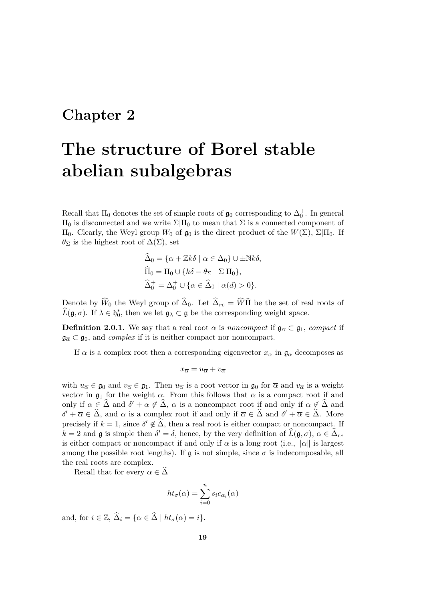## <span id="page-24-0"></span>**Chapter 2**

# **The structure of Borel stable abelian subalgebras**

Recall that  $\Pi_0$  denotes the set of simple roots of  $\mathfrak{g}_0$  corresponding to  $\Delta_0^+$ . In general  $\Pi_0$  is disconnected and we write  $\Sigma|\Pi_0$  to mean that  $\Sigma$  is a connected component of  $\Pi$ <sub>0</sub>. Clearly, the Weyl group  $W_0$  of  $\mathfrak{g}_0$  is the direct product of the  $W(Σ)$ ,  $\Sigma|\Pi_0$ . If  $\theta_{\Sigma}$  is the highest root of  $\Delta(\Sigma)$ , set

$$
\begin{aligned}\n\widehat{\Delta}_0 &= \{ \alpha + \mathbb{Z}k\delta \mid \alpha \in \Delta_0 \} \cup \pm \mathbb{N}k\delta, \\
\widehat{\Pi}_0 &= \Pi_0 \cup \{ k\delta - \theta_\Sigma \mid \Sigma | \Pi_0 \}, \\
\widehat{\Delta}_0^+ &= \Delta_0^+ \cup \{ \alpha \in \widehat{\Delta}_0 \mid \alpha(d) > 0 \}.\n\end{aligned}
$$

Denote by  $W_0$  the Weyl group of  $\Delta_0$ . Let  $\Delta_{re} = W\Pi$  be the set of real roots of  $\widehat{L}(\mathfrak{g}, \sigma)$ . If  $\lambda \in \mathfrak{h}_0^*$ , then we let  $\mathfrak{g}_\lambda \subset \mathfrak{g}$  be the corresponding weight space.

**Definition 2.0.1.** We say that a real root *α* is *noncompact* if  $\mathfrak{g}_{\overline{\alpha}} \subset \mathfrak{g}_1$ , *compact* if  $\mathfrak{g}_{\overline{\alpha}} \subset \mathfrak{g}_0$ , and *complex* if it is neither compact nor noncompact.

If  $\alpha$  is a complex root then a corresponding eigenvector  $x_{\overline{\alpha}}$  in  $\mathfrak{g}_{\overline{\alpha}}$  decomposes as

$$
x_{\overline{\alpha}} = u_{\overline{\alpha}} + v_{\overline{\alpha}}
$$

with  $u_{\overline{\alpha}} \in \mathfrak{g}_0$  and  $v_{\overline{\alpha}} \in \mathfrak{g}_1$ . Then  $u_{\overline{\alpha}}$  is a root vector in  $\mathfrak{g}_0$  for  $\overline{\alpha}$  and  $v_{\overline{\alpha}}$  is a weight vector in  $\mathfrak{g}_1$  for the weight  $\overline{\alpha}$ . From this follows that  $\alpha$  is a compact root if and only if  $\overline{\alpha} \in \widehat{\Delta}$  and  $\delta' + \overline{\alpha} \notin \widehat{\Delta}$ ,  $\alpha$  is a noncompact root if and only if  $\overline{\alpha} \notin \widehat{\Delta}$  and  $\delta' + \overline{\alpha} \in \widehat{\Delta}$ , and  $\alpha$  is a complex root if and only if  $\overline{\alpha} \in \widehat{\Delta}$  and  $\delta' + \overline{\alpha} \in \widehat{\Delta}$ . More precisely if  $k = 1$ , since  $\delta' \notin \widehat{\Delta}$ , then a real root is either compact or noncompact. If  $k = 2$  and **g** is simple then  $\delta' = \delta$ , hence, by the very definition of  $\widehat{L}(\mathfrak{g}, \sigma)$ ,  $\alpha \in \widehat{\Delta}_{re}$ is either compact or noncompact if and only if  $\alpha$  is a long root (i.e.,  $\|\alpha\|$  is largest among the possible root lengths). If  $\mathfrak g$  is not simple, since  $\sigma$  is indecomposable, all the real roots are complex.

Recall that for every  $\alpha \in \tilde{\Delta}$ 

$$
ht_{\sigma}(\alpha) = \sum_{i=0}^{n} s_i c_{\alpha_i}(\alpha)
$$

<span id="page-24-1"></span>and, for  $i \in \mathbb{Z}$ ,  $\widehat{\Delta}_i = {\alpha \in \widehat{\Delta} \mid ht_{\sigma}(\alpha) = i}.$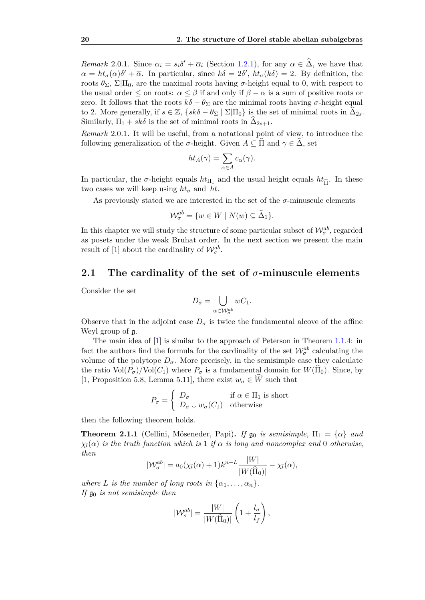*Remark* 2.0.1*.* Since  $\alpha_i = s_i \delta' + \overline{\alpha}_i$  (Section [1.2.1\)](#page-11-0), for any  $\alpha \in \widehat{\Delta}$ , we have that  $\alpha = ht_{\sigma}(\alpha)\delta' + \overline{\alpha}$ . In particular, since  $k\delta = 2\delta'$ ,  $ht_{\sigma}(k\delta) = 2$ . By definition, the roots  $θ_{\Sigma}$ ,  $\Sigma|\Pi_0$ , are the maximal roots having *σ*-height equal to 0, with respect to the usual order  $\leq$  on roots:  $\alpha \leq \beta$  if and only if  $\beta - \alpha$  is a sum of positive roots or zero. It follows that the roots  $k\delta - \theta_{\Sigma}$  are the minimal roots having  $\sigma$ -height equal to 2. More generally, if  $s \in \mathbb{Z}$ ,  $\{sk\delta - \theta_{\Sigma} \mid \Sigma | \Pi_0\}$  is the set of minimal roots in  $\widehat{\Delta}_{2s}$ . Similarly,  $\Pi_1 + sk\delta$  is the set of minimal roots in  $\Delta_{2s+1}$ .

*Remark* 2.0.1*.* It will be useful, from a notational point of view, to introduce the following generalization of the  $\sigma$ -height. Given  $A \subseteq \Pi$  and  $\gamma \in \Delta$ , set

$$
ht_A(\gamma) = \sum_{\alpha \in A} c_{\alpha}(\gamma).
$$

In particular, the *σ*-height equals  $ht_{\Pi_1}$  and the usual height equals  $ht_{\hat{\Pi}}$ . In these two cases we will keep using  $ht_{\tau}$  and  $ht$ two cases we will keep using  $ht_{\sigma}$  and  $ht$ .

As previously stated we are interested in the set of the  $\sigma$ -minuscule elements

$$
\mathcal{W}_{\sigma}^{ab} = \{ w \in W \mid N(w) \subseteq \widehat{\Delta}_1 \}.
$$

In this chapter we will study the structure of some particular subset of  $\mathcal{W}_{\sigma}^{ab}$ , regarded as posets under the weak Bruhat order. In the next section we present the main result of [\[1\]](#page-56-2) about the cardinality of  $\mathcal{W}_{\sigma}^{ab}$ .

## <span id="page-25-0"></span>**2.1 The cardinality of the set of** *σ***-minuscule elements**

Consider the set

$$
D_{\sigma} = \bigcup_{w \in \mathcal{W}_{\sigma}^{ab}} wC_1.
$$

Observe that in the adjoint case  $D_{\sigma}$  is twice the fundamental alcove of the affine Weyl group of g.

The main idea of [\[1\]](#page-56-2) is similar to the approach of Peterson in Theorem [1.1.4:](#page-8-4) in fact the authors find the formula for the cardinality of the set  $\mathcal{W}_{\sigma}^{ab}$  calculating the volume of the polytope  $D_{\sigma}$ . More precisely, in the semisimple case they calculate the ratio  $Vol(P_{\sigma})/Vol(C_1)$  where  $P_{\sigma}$  is a fundamental domain for  $W(\Pi_0)$ . Since, by [\[1,](#page-56-2) Proposition 5.8, Lemma 5.11], there exist  $w_{\sigma} \in \widehat{W}$  such that

$$
P_{\sigma} = \begin{cases} D_{\sigma} & \text{if } \alpha \in \Pi_1 \text{ is short} \\ D_{\sigma} \cup w_{\sigma}(C_1) & \text{otherwise} \end{cases}
$$

then the following theorem holds.

**Theorem 2.1.1** (Cellini, Möseneder, Papi). If  $\mathfrak{g}_0$  is semisimple,  $\Pi_1 = {\alpha}$  and  $\chi_l(\alpha)$  *is the truth function which is* 1 *if*  $\alpha$  *is long and noncomplex and* 0 *otherwise. then*

$$
|\mathcal{W}_{\sigma}^{ab}| = a_0(\chi_l(\alpha) + 1)k^{n-L} \frac{|W|}{|W(\hat{\Pi}_0)|} - \chi_l(\alpha),
$$

*where L is the number of long roots in*  $\{\alpha_1, \ldots, \alpha_n\}$ *. If*  $\mathfrak{g}_0$  *is not semisimple then* 

$$
|\mathcal{W}_{\sigma}^{ab}| = \frac{|W|}{|W(\widehat{\Pi}_0)|} \left(1 + \frac{l_{\sigma}}{l_{f}}\right),\,
$$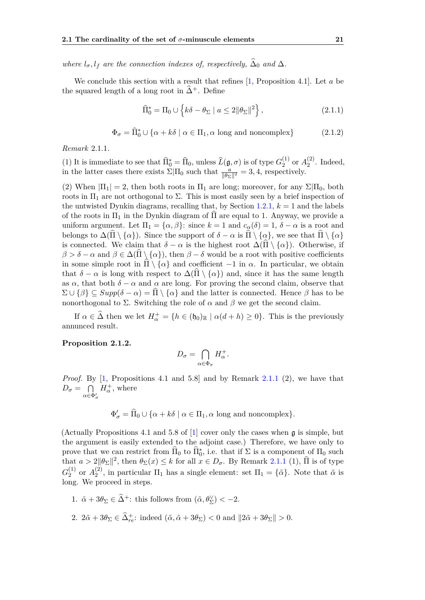*where*  $l_{\sigma}$ ,  $l_f$  *are the connection indexes of, respectively,*  $\Delta_0$  *and*  $\Delta$ *.* 

We conclude this section with a result that refines [\[1,](#page-56-2) Proposition 4.1]. Let *a* be the squared length of a long root in  $\hat{\Delta}^+$ . Define

<span id="page-26-2"></span>
$$
\widehat{\Pi}_0^* = \Pi_0 \cup \left\{ k\delta - \theta_\Sigma \mid a \le 2 \|\theta_\Sigma\|^2 \right\},\tag{2.1.1}
$$

<span id="page-26-3"></span>
$$
\Phi_{\sigma} = \widehat{\Pi}_0^* \cup \{ \alpha + k\delta \mid \alpha \in \Pi_1, \alpha \text{ long and noncomplex} \}
$$
 (2.1.2)

<span id="page-26-0"></span>*Remark* 2.1.1*.*

(1) It is immediate to see that  $\widehat{\Pi}_0^* = \widehat{\Pi}_0$ , unless  $\widehat{L}(\mathfrak{g}, \sigma)$  is of type  $G_2^{(1)}$  $_2^{(1)}$  or  $A_2^{(2)}$  $2^2$ . Indeed, in the latter cases there exists  $\Sigma|\Pi_0$  such that  $\frac{a}{\|\theta_{\Sigma}\|^2} = 3, 4$ , respectively.

(2) When  $|\Pi_1| = 2$ , then both roots in  $\Pi_1$  are long; moreover, for any  $\Sigma|\Pi_0$ , both roots in  $\Pi_1$  are not orthogonal to  $\Sigma$ . This is most easily seen by a brief inspection of the untwisted Dynkin diagrams, recalling that, by Section [1.2.1,](#page-11-0)  $k = 1$  and the labels of the roots in  $\Pi_1$  in the Dynkin diagram of  $\Pi$  are equal to 1. Anyway, we provide a uniform argument. Let  $\Pi_1 = {\alpha, \beta}$ : since  $k = 1$  and  $c_\alpha(\delta) = 1$ ,  $\delta - \alpha$  is a root and belongs to  $\Delta(\hat{\Pi} \setminus {\{\alpha\}})$ . Since the support of  $\delta - \alpha$  is  $\hat{\Pi} \setminus {\{\alpha\}}$ , we see that  $\hat{\Pi} \setminus {\{\alpha\}}$ is connected. We claim that  $\delta - \alpha$  is the highest root  $\Delta(\Pi \setminus {\alpha})$ . Otherwise, if  $\beta > \delta - \alpha$  and  $\beta \in \Delta(\Pi \setminus {\alpha})$ , then  $\beta - \delta$  would be a root with positive coefficients in some simple root in  $\Pi \setminus \{ \alpha \}$  and coefficient −1 in  $\alpha$ . In particular, we obtain that  $\delta - \alpha$  is long with respect to  $\Delta(\Pi \setminus {\alpha})$  and, since it has the same length as  $\alpha$ , that both  $\delta - \alpha$  and  $\alpha$  are long. For proving the second claim, observe that  $\Sigma \cup {\beta} \subseteq Supp(\delta - \alpha) = \Pi \setminus {\alpha}$  and the latter is connected. Hence  $\beta$  has to be nonorthogonal to  $\Sigma$ . Switching the role of  $\alpha$  and  $\beta$  we get the second claim.

If  $\alpha \in \widehat{\Delta}$  then we let  $H^+_{\alpha} = \{h \in (\mathfrak{h}_0)_{\mathbb{R}} \mid \alpha(d+h) \geq 0\}$ . This is the previously annunced result.

#### <span id="page-26-1"></span>**Proposition 2.1.2.**

$$
D_{\sigma} = \bigcap_{\alpha \in \Phi_{\sigma}} H_{\alpha}^{+}.
$$

*Proof.* By  $[1,$  Propositions 4.1 and 5.8] and by Remark [2.1.1](#page-26-0)  $(2)$ , we have that  $D_{\sigma} = \bigcap$  $\alpha \in \Phi'_\sigma$  $H^{\text{+}}_{\alpha}$ , where

 $\Phi'_{\sigma} = \widehat{\Pi}_0 \cup \{ \alpha + k\delta \mid \alpha \in \Pi_1, \alpha \text{ long and noncomplex} \}.$ 

(Actually Propositions 4.1 and 5.8 of [\[1\]](#page-56-2) cover only the cases when g is simple, but the argument is easily extended to the adjoint case.) Therefore, we have only to prove that we can restrict from  $\widehat{\Pi}_0$  to  $\widehat{\Pi}_0^*$ , i.e. that if  $\Sigma$  is a component of  $\Pi_0$  such that  $a > 2||\theta_{\Sigma}||^2$ , then  $\theta_{\Sigma}(x) \leq k$  for all  $x \in D_{\sigma}$ . By Remark [2.1.1](#page-26-0) (1),  $\widehat{\Pi}$  is of type  $G_2^{(1)}$  $_2^{(1)}$  or  $A_2^{(2)}$ <sup>(2)</sup>, in particular  $\Pi_1$  has a single element: set  $\Pi_1 = {\tilde{\alpha}}$ . Note that  $\tilde{\alpha}$  is long. We proceed in steps.

- 1.  $\tilde{\alpha} + 3\theta_{\Sigma} \in \hat{\Delta}^+$ : this follows from  $(\tilde{\alpha}, \theta_{\Sigma}^{\vee}) < -2$ .
- 2.  $2\tilde{\alpha} + 3\theta_{\Sigma} \in \widehat{\Delta}_{re}^{+}$ : indeed  $(\tilde{\alpha}, \tilde{\alpha} + 3\theta_{\Sigma}) < 0$  and  $||2\tilde{\alpha} + 3\theta_{\Sigma}|| > 0$ .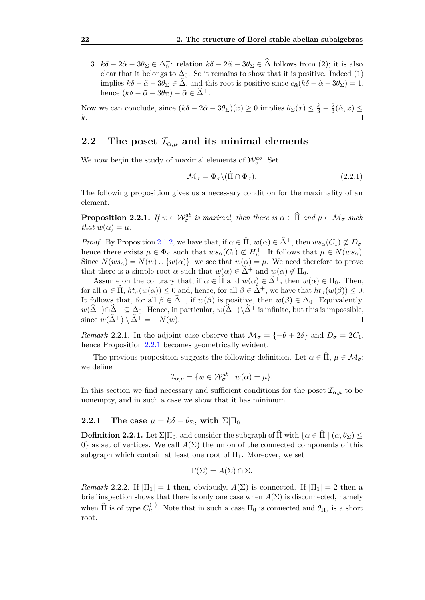3.  $k\delta - 2\tilde{\alpha} - 3\theta_{\Sigma} \in \Delta_0^+$ : relation  $k\delta - 2\tilde{\alpha} - 3\theta_{\Sigma} \in \hat{\Delta}$  follows from (2); it is also clear that it belongs to  $\Delta_0$ . So it remains to show that it is positive. Indeed (1) implies  $k\delta - \tilde{\alpha} - 3\theta_{\Sigma} \in \hat{\Delta}$ , and this root is positive since  $c_{\tilde{\alpha}}(k\delta - \tilde{\alpha} - 3\theta_{\Sigma}) = 1$ , hence  $(k\delta - \tilde{\alpha} - 3\theta_{\Sigma}) - \tilde{\alpha} \in \hat{\Delta}^+$ .

Now we can conclude, since  $(k\delta - 2\tilde{\alpha} - 3\theta_{\Sigma})(x) \ge 0$  implies  $\theta_{\Sigma}(x) \le \frac{k}{3} - \frac{2}{3}$  $\frac{2}{3}(\tilde{\alpha},x) \leq$ *k*.

## <span id="page-27-0"></span>**2.2** The poset  $\mathcal{I}_{\alpha,\mu}$  and its minimal elements

We now begin the study of maximal elements of  $\mathcal{W}_{\sigma}^{ab}$ . Set

<span id="page-27-3"></span>
$$
\mathcal{M}_{\sigma} = \Phi_{\sigma} \backslash (\hat{\Pi} \cap \Phi_{\sigma}). \tag{2.2.1}
$$

The following proposition gives us a necessary condition for the maximality of an element.

<span id="page-27-2"></span>**Proposition 2.2.1.** *If*  $w \in \mathcal{W}_{\sigma}^{ab}$  *is maximal, then there is*  $\alpha \in \widehat{\Pi}$  *and*  $\mu \in \mathcal{M}_{\sigma}$  *such that*  $w(\alpha) = \mu$ *.* 

*Proof.* By Proposition [2.1.2,](#page-26-1) we have that, if  $\alpha \in \hat{\Pi}$ ,  $w(\alpha) \in \hat{\Delta}^+$ , then  $ws_\alpha(C_1) \not\subset D_\sigma$ , hence there exists  $\mu \in \Phi_{\sigma}$  such that  $ws_{\alpha}(C_1) \not\subset H_{\mu}^+$ . It follows that  $\mu \in N(ws_{\alpha})$ . Since  $N(ws_\alpha)=N(w)\cup \{w(\alpha)\}\$ , we see that  $w(\alpha)=\mu$ . We need therefore to prove that there is a simple root  $\alpha$  such that  $w(\alpha) \in \widehat{\Delta}^+$  and  $w(\alpha) \notin \Pi_0$ .

Assume on the contrary that, if  $\alpha \in \widehat{\Pi}$  and  $w(\alpha) \in \widehat{\Delta}^+$ , then  $w(\alpha) \in \Pi_0$ . Then, for all  $\alpha \in \hat{\Pi}$ ,  $ht_{\sigma}(w(\alpha)) \leq 0$  and, hence, for all  $\beta \in \hat{\Delta}^+$ , we have that  $ht_{\sigma}(w(\beta)) \leq 0$ . It follows that, for all  $\beta \in \tilde{\Delta}^+$ , if  $w(\beta)$  is positive, then  $w(\beta) \in \Delta_0$ . Equivalently, *w*( $\Delta$ <sup>+</sup>)∩ $\Delta$ <sup>+</sup> ⊆  $\Delta$ <sub>0</sub>. Hence, in particular, *w*( $\widehat{\Delta}$ <sup>+</sup>)\ $\widehat{\Delta}$ <sup>+</sup> is infinite, but this is impossible, since *w*( $\widehat{\Delta}$ <sup>+</sup>) \ $\widehat{\Delta}$ <sup>+</sup> = −*N*(*w*). since  $w(\widehat{\Delta}^+) \setminus \widehat{\Delta}^+ = -N(w)$ .

*Remark* 2.2.1*.* In the adjoint case observe that  $\mathcal{M}_{\sigma} = \{-\theta + 2\delta\}$  and  $D_{\sigma} = 2C_1$ , hence Proposition [2.2.1](#page-27-2) becomes geometrically evident.

The previous proposition suggests the following definition. Let  $\alpha \in \hat{\Pi}$ ,  $\mu \in \mathcal{M}_{\sigma}$ : we define

$$
\mathcal{I}_{\alpha,\mu} = \{ w \in \mathcal{W}_{\sigma}^{ab} \mid w(\alpha) = \mu \}.
$$

In this section we find necessary and sufficient conditions for the poset  $\mathcal{I}_{\alpha,\mu}$  to be nonempty, and in such a case we show that it has minimum.

### <span id="page-27-1"></span>**2.2.1** The case  $\mu = k\delta - \theta_{\Sigma}$ , with  $\Sigma|\Pi_0|$

<span id="page-27-4"></span>**Definition 2.2.1.** Let  $\Sigma|\Pi_0$ , and consider the subgraph of  $\widehat{\Pi}$  with  $\{\alpha \in \widehat{\Pi} \mid (\alpha, \theta_{\Sigma}) \leq \pi\}$ 0} as set of vertices. We call  $A(\Sigma)$  the union of the connected components of this subgraph which contain at least one root of  $\Pi_1$ . Moreover, we set

$$
\Gamma(\Sigma) = A(\Sigma) \cap \Sigma.
$$

<span id="page-27-5"></span>*Remark* 2.2.2*.* If  $|\Pi_1| = 1$  then, obviously,  $A(\Sigma)$  is connected. If  $|\Pi_1| = 2$  then a brief inspection shows that there is only one case when  $A(\Sigma)$  is disconnected, namely when  $\widehat{\Pi}$  is of type  $C_n^{(1)}$ . Note that in such a case  $\Pi_0$  is connected and  $\theta_{\Pi_0}$  is a short root.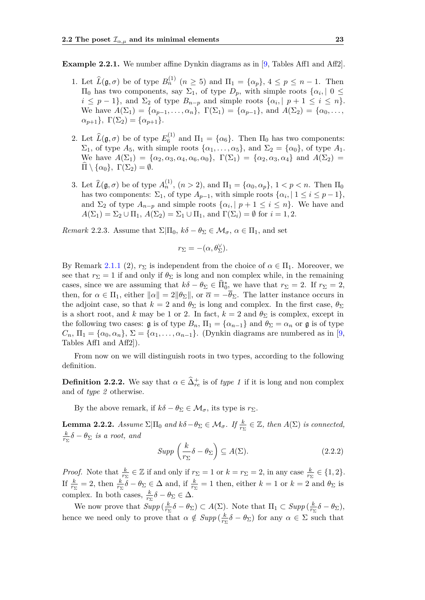**Example 2.2.1.** We number affine Dynkin diagrams as in [\[9,](#page-56-7) Tables Aff1 and Aff2].

- 1. Let  $\widehat{L}(\mathfrak{g}, \sigma)$  be of type  $B_n^{(1)}$   $(n \geq 5)$  and  $\Pi_1 = {\alpha_p}, 4 \leq p \leq n-1$ . Then  $\Pi_0$  has two components, say  $\Sigma_1$ , of type  $D_p$ , with simple roots  $\{\alpha_i, \mid 0 \leq \emptyset\}$  $i \leq p-1$ , and  $\Sigma_2$  of type  $B_{n-p}$  and simple roots  $\{\alpha_i, |p+1 \leq i \leq n\}$ . We have  $A(\Sigma_1) = \{\alpha_{p-1}, \ldots, \alpha_n\}, \Gamma(\Sigma_1) = \{\alpha_{p-1}\}, \text{ and } A(\Sigma_2) = \{\alpha_0, \ldots, \alpha_n\}.$  $\alpha_{p+1}$ },  $\Gamma(\Sigma_2) = \{\alpha_{p+1}\}.$
- 2. Let  $\widehat{L}(\mathfrak{g}, \sigma)$  be of type  $E_6^{(1)}$  $\mathcal{A}_6^{(1)}$  and  $\Pi_1 = {\alpha_6}$ . Then  $\Pi_0$  has two components:  $\Sigma_1$ , of type  $A_5$ , with simple roots  $\{\alpha_1, \dots, \alpha_5\}$ , and  $\Sigma_2 = \{\alpha_0\}$ , of type  $A_1$ . We have  $A(\Sigma_1) = {\alpha_2, \alpha_3, \alpha_4, \alpha_6, \alpha_0}, \Gamma(\Sigma_1) = {\alpha_2, \alpha_3, \alpha_4}$  and  $A(\Sigma_2) =$  $\Pi \setminus \{\alpha_0\}, \ \Gamma(\Sigma_2) = \emptyset.$
- 3. Let  $\hat{L}(\mathfrak{g}, \sigma)$  be of type  $A_n^{(1)}$ ,  $(n > 2)$ , and  $\Pi_1 = {\alpha_0, \alpha_p}$ ,  $1 < p < n$ . Then  $\Pi_0$ has two components:  $\Sigma_1$ , of type  $A_{p-1}$ , with simple roots  $\{\alpha_i, | 1 \le i \le p-1\},$ and  $\Sigma_2$  of type  $A_{n-p}$  and simple roots  $\{\alpha_i, |p+1 \leq i \leq n\}$ . We have and  $A(\Sigma_1) = \Sigma_2 \cup \Pi_1$ ,  $A(\Sigma_2) = \Sigma_1 \cup \Pi_1$ , and  $\Gamma(\Sigma_i) = \emptyset$  for  $i = 1, 2$ .

<span id="page-28-1"></span>*Remark* 2.2.3*.* Assume that  $\Sigma|\Pi_0, k\delta - \theta_\Sigma \in \mathcal{M}_{\sigma}, \alpha \in \Pi_1$ , and set

$$
r_\Sigma=-(\alpha,\theta_\Sigma^\vee).
$$

By Remark [2.1.1](#page-26-0) (2),  $r_{\Sigma}$  is independent from the choice of  $\alpha \in \Pi_1$ . Moreover, we see that  $r_{\Sigma} = 1$  if and only if  $\theta_{\Sigma}$  is long and non complex while, in the remaining cases, since we are assuming that  $k\delta - \theta_{\Sigma} \in \widehat{\Pi}_{0}^*$  we have that  $r_{\Sigma} = 2$ . If  $r_{\Sigma} = 2$ , then, for  $\alpha \in \Pi_1$ , either  $\|\alpha\| = 2\|\theta_{\Sigma}\|$ , or  $\overline{\alpha} = -\overline{\theta}_{\Sigma}$ . The latter instance occurs in the adjoint case, so that  $k = 2$  and  $\theta_{\Sigma}$  is long and complex. In the first case,  $\theta_{\Sigma}$ is a short root, and *k* may be 1 or 2. In fact,  $k = 2$  and  $\theta_{\Sigma}$  is complex, except in the following two cases:  $\mathfrak{g}$  is of type  $B_n$ ,  $\Pi_1 = {\alpha_{n-1}}$  and  $\theta_{\Sigma} = \alpha_n$  or  $\mathfrak{g}$  is of type  $C_n$ ,  $\Pi_1 = {\alpha_0, \alpha_n}, \Sigma = {\alpha_1, \ldots, \alpha_{n-1}}$ . (Dynkin diagrams are numbered as in [\[9,](#page-56-7) Tables Aff1 and Aff2]).

From now on we will distinguish roots in two types, according to the following definition.

**Definition 2.2.2.** We say that  $\alpha \in \hat{\Delta}_{re}^{+}$  is of *type 1* if it is long and non complex and of *type 2* otherwise.

By the above remark, if  $k\delta - \theta_{\Sigma} \in \mathcal{M}_{\sigma}$ , its type is  $r_{\Sigma}$ .

**Lemma 2.2.2.** *Assume*  $\Sigma|\Pi_0$  *and*  $k\delta - \theta_{\Sigma} \in \mathcal{M}_{\sigma}$ . If  $\frac{k}{r_{\Sigma}} \in \mathbb{Z}$ , then  $A(\Sigma)$  is connected, *k*  $\frac{k}{r_{\Sigma}}\delta - \theta_{\Sigma}$  *is a root, and* 

<span id="page-28-0"></span>
$$
Supp\left(\frac{k}{r_{\Sigma}}\delta - \theta_{\Sigma}\right) \subseteq A(\Sigma). \tag{2.2.2}
$$

*Proof.* Note that  $\frac{k}{r_{\Sigma}} \in \mathbb{Z}$  if and only if  $r_{\Sigma} = 1$  or  $k = r_{\Sigma} = 2$ , in any case  $\frac{k}{r_{\Sigma}} \in \{1, 2\}.$ If  $\frac{k}{r_{\Sigma}} = 2$ , then  $\frac{k}{r_{\Sigma}}\delta - \theta_{\Sigma} \in \Delta$  and, if  $\frac{k}{r_{\Sigma}} = 1$  then, either  $k = 1$  or  $k = 2$  and  $\theta_{\Sigma}$  is complex. In both cases,  $\frac{k}{r_{\Sigma}}\delta - \theta_{\Sigma} \in \Delta$ .

We now prove that  $Supp\left(\frac{k}{r_s}\right)$  $\frac{k}{r_{\Sigma}}\delta - \theta_{\Sigma}$ ) ⊂ *A*( $\Sigma$ ). Note that  $\Pi_1 \subset \text{Supp}\left(\frac{k}{r_2}\right)$  $\frac{k}{r_{\Sigma}}\delta - \theta_{\Sigma}$ ), hence we need only to prove that  $\alpha \notin \text{Supp}\left(\frac{k}{r^2}\right)$  $\frac{k}{r_{\Sigma}}\delta - \theta_{\Sigma}$ ) for any  $\alpha \in \Sigma$  such that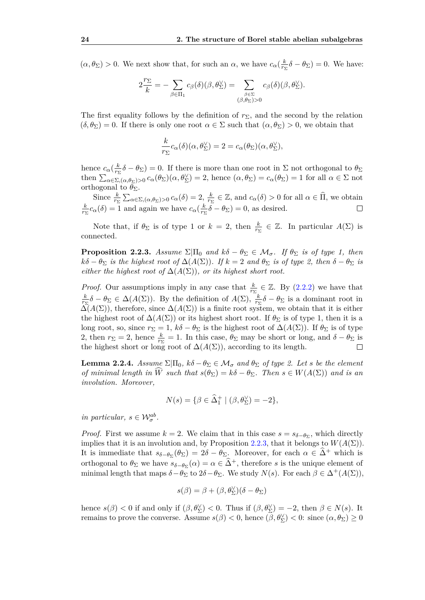$(\alpha, \theta_{\Sigma}) > 0$ . We next show that, for such an  $\alpha$ , we have  $c_{\alpha}(\frac{k}{r}$  $\frac{k}{r_{\Sigma}}\delta - \theta_{\Sigma}$ ) = 0. We have:

$$
2\frac{r_{\Sigma}}{k} = -\sum_{\beta \in \Pi_1} c_{\beta}(\delta)(\beta, \theta_{\Sigma}^{\vee}) = \sum_{\substack{\beta \in \Sigma \\ (\beta, \theta_{\Sigma}) > 0}} c_{\beta}(\delta)(\beta, \theta_{\Sigma}^{\vee}).
$$

The first equality follows by the definition of  $r_{\Sigma}$ , and the second by the relation  $(\delta, \theta_{\Sigma}) = 0$ . If there is only one root  $\alpha \in \Sigma$  such that  $(\alpha, \theta_{\Sigma}) > 0$ , we obtain that

$$
\frac{k}{r_{\Sigma}}c_{\alpha}(\delta)(\alpha,\theta_{\Sigma}^{\vee})=2=c_{\alpha}(\theta_{\Sigma})(\alpha,\theta_{\Sigma}^{\vee}),
$$

hence  $c_{\alpha}(\frac{k}{r_s})$  $\frac{k}{r_{\Sigma}}\delta - \theta_{\Sigma}$ ) = 0. If there is more than one root in  $\Sigma$  not orthogonal to  $\theta_{\Sigma}$ then  $\sum_{\alpha \in \Sigma, (\alpha, \theta_{\Sigma}) > 0} c_{\alpha}(\theta_{\Sigma}) (\alpha, \theta_{\Sigma}^{\vee}) = 2$ , hence  $(\alpha, \theta_{\Sigma}) = c_{\alpha}(\theta_{\Sigma}) = 1$  for all  $\alpha \in \Sigma$  not orthogonal to  $\theta_{\Sigma}$ .

Since  $\frac{k}{r_{\Sigma}} \sum_{\alpha \in \Sigma, (\alpha, \theta_{\Sigma}) > 0} c_{\alpha}(\delta) = 2, \frac{k}{r_{\Sigma}} \in \mathbb{Z}$ , and  $c_{\alpha}(\delta) > 0$  for all  $\alpha \in \widehat{\Pi}$ , we obtain Since  $\frac{k}{r_{\Sigma}} \sum_{\alpha \in \Sigma, (\alpha, \theta_{\Sigma}) > 0} c_{\alpha}(\delta) = 2, \frac{k}{r_{\Sigma}}$  $\frac{k}{r_{\Sigma}}c_{\alpha}(\delta) = 1$  and again we have  $c_{\alpha}(\frac{k}{r_{\Sigma}})$  $\frac{k}{r_{\Sigma}}\delta - \theta_{\Sigma}$ ) = 0, as desired.  $\Box$ 

Note that, if  $\theta_{\Sigma}$  is of type 1 or  $k = 2$ , then  $\frac{k}{r_{\Sigma}} \in \mathbb{Z}$ . In particular  $A(\Sigma)$  is connected.

<span id="page-29-0"></span>**Proposition 2.2.3.** *Assume*  $\Sigma|\Pi_0$  *and*  $k\delta - \theta_{\Sigma} \in \mathcal{M}_{\sigma}$ *. If*  $\theta_{\Sigma}$  *is of type 1, then*  $k\delta - \theta_{\Sigma}$  *is the highest root of*  $\Delta(A(\Sigma))$ *. If*  $k = 2$  *and*  $\theta_{\Sigma}$  *is of type* 2*, then*  $\delta - \theta_{\Sigma}$  *is either the highest root of*  $\Delta(A(\Sigma))$ *, or its highest short root.* 

*Proof.* Our assumptions imply in any case that  $\frac{k}{r_{\Sigma}} \in \mathbb{Z}$ . By [\(2.2.2\)](#page-28-0) we have that *k*  $\frac{k}{r\Sigma}$  *δ* − *θ*<sub>Σ</sub> ∈  $\Delta(A(\Sigma))$ . By the definition of *A*( $\Sigma$ ),  $\frac{k}{r\Sigma}$  $\frac{k}{r_{\Sigma}}\delta - \theta_{\Sigma}$  is a dominant root in  $\Delta(A(\Sigma))$ , therefore, since  $\Delta(A(\Sigma))$  is a finite root system, we obtain that it is either the highest root of  $\Delta(A(\Sigma))$  or its highest short root. If  $\theta_{\Sigma}$  is of type 1, then it is a long root, so, since  $r_{\Sigma} = 1$ ,  $k\delta - \theta_{\Sigma}$  is the highest root of  $\Delta(A(\Sigma))$ . If  $\theta_{\Sigma}$  is of type 2, then  $r_{\Sigma} = 2$ , hence  $\frac{k}{r_{\Sigma}} = 1$ . In this case,  $\theta_{\Sigma}$  may be short or long, and  $\delta - \theta_{\Sigma}$  is the highest short or long root of  $\Delta(A(\Sigma))$ , according to its length.

<span id="page-29-1"></span>**Lemma 2.2.4.** *Assume*  $\Sigma|\Pi_0, k\delta - \theta_\Sigma \in \mathcal{M}_{\sigma}$  *and*  $\theta_\Sigma$  *of type 2. Let s be the element of minimal length in*  $\widehat{W}$  *such that*  $s(\theta_{\Sigma}) = k\delta - \theta_{\Sigma}$ . Then  $s \in W(A(\Sigma))$  and is an *involution. Moreover,*

$$
N(s) = \{ \beta \in \widehat{\Delta}_1^+ \mid (\beta, \theta_{\Sigma}^{\vee}) = -2 \},
$$

*in particular,*  $s \in \mathcal{W}_{\sigma}^{ab}$ .

*Proof.* First we assume  $k = 2$ . We claim that in this case  $s = s_{\delta - \theta_{\Sigma}}$ , which directly implies that it is an involution and, by Proposition [2.2.3,](#page-29-0) that it belongs to  $W(A(\Sigma))$ . It is immediate that  $s_{\delta-\theta_{\Sigma}}(\theta_{\Sigma}) = 2\delta - \theta_{\Sigma}$ . Moreover, for each  $\alpha \in \widehat{\Delta}^+$  which is orthogonal to  $\theta_{\Sigma}$  we have  $s_{\delta-\theta_{\Sigma}}(\alpha) = \alpha \in \widehat{\Delta}^+$ , therefore *s* is the unique element of minimal length that maps  $\delta - \theta_{\Sigma}$  to  $2\delta - \theta_{\Sigma}$ . We study  $N(s)$ . For each  $\beta \in \Delta^+(A(\Sigma))$ ,

$$
s(\beta)=\beta+(\beta,\theta_{\Sigma}^{\vee})(\delta-\theta_{\Sigma})
$$

hence  $s(\beta) < 0$  if and only if  $(\beta, \theta_{\Sigma}^{\vee}) < 0$ . Thus if  $(\beta, \theta_{\Sigma}^{\vee}) = -2$ , then  $\beta \in N(s)$ . It remains to prove the converse. Assume  $s(\beta) < 0$ , hence  $(\beta, \theta_{\Sigma}^{\vee}) < 0$ : since  $(\alpha, \theta_{\Sigma}) \ge 0$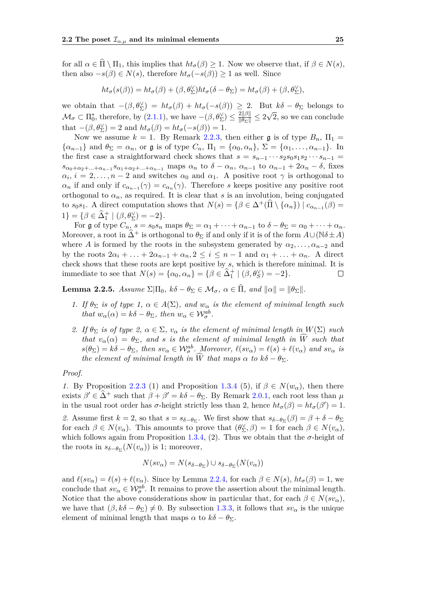for all  $\alpha \in \Pi \setminus \Pi_1$ , this implies that  $ht_{\sigma}(\beta) \geq 1$ . Now we observe that, if  $\beta \in N(s)$ , then also  $-s(\beta) \in N(s)$ , therefore  $ht_{\sigma}(-s(\beta)) \geq 1$  as well. Since

$$
ht_{\sigma}(s(\beta))=ht_{\sigma}(\beta)+(\beta,\theta_{\Sigma}^{\vee})ht_{\sigma}(\delta-\theta_{\Sigma})=ht_{\sigma}(\beta)+(\beta,\theta_{\Sigma}^{\vee}),
$$

we obtain that  $-(\beta, \theta_{\Sigma}^{\vee}) = ht_{\sigma}(\beta) + ht_{\sigma}(-s(\beta)) \geq 2$ . But  $k\delta - \theta_{\Sigma}$  belongs to  $\mathcal{M}_{\sigma} \subset \Pi_0^*$ , therefore, by  $(2.1.1)$ , we have  $-(\beta, \theta_{\Sigma}^{\vee}) \leq \frac{2||\beta||}{||\theta_{\Sigma}||} \leq 2$ √ 2, so we can conclude that  $-(\beta, \theta_{\Sigma}^{\vee}) = 2$  and  $ht_{\sigma}(\beta) = ht_{\sigma}(-s(\beta)) = 1.$ 

Now we assume  $k = 1$ . By Remark [2.2.3,](#page-28-1) then either g is of type  $B_n$ ,  $\Pi_1 =$  $\{\alpha_{n-1}\}\$  and  $\theta_{\Sigma} = \alpha_n$ , or g is of type  $C_n$ ,  $\Pi_1 = \{\alpha_0, \alpha_n\}, \ \Sigma = \{\alpha_1, \ldots, \alpha_{n-1}\}.$  In the first case a straightforward check shows that  $s = s_{n-1} \cdots s_2 s_0 s_1 s_2 \cdots s_{n-1} =$  $s_{\alpha_0+\alpha_2+\dots+\alpha_{n-1}}s_{\alpha_1+\alpha_2+\dots+\alpha_{n-1}}$  maps  $\alpha_n$  to  $\delta-\alpha_n$ ,  $\alpha_{n-1}$  to  $\alpha_{n-1}+2\alpha_n-\delta$ , fixes  $\alpha_i, i = 2, \ldots, n-2$  and switches  $\alpha_0$  and  $\alpha_1$ . A positive root  $\gamma$  is orthogonal to  $\alpha_n$  if and only if  $c_{\alpha_{n-1}}(\gamma) = c_{\alpha_n}(\gamma)$ . Therefore *s* keeps positive any positive root orthogonal to  $\alpha_n$ , as required. It is clear that *s* is an involution, being conjugated to  $s_0 s_1$ . A direct computation shows that  $N(s) = \{ \beta \in \Delta^+(\widehat{\Pi} \setminus {\{\alpha_n\}}) | c_{\alpha_{n-1}}(\beta) =$  $1$ } = { $\beta \in \widehat{\Delta}_1^+$  | ( $\beta, \theta_{\Sigma}^{\vee}$ ) = -2}.

For g of type  $C_n$ ,  $s = s_0s_n$  maps  $\theta_{\Sigma} = \alpha_1 + \cdots + \alpha_{n-1}$  to  $\delta - \theta_{\Sigma} = \alpha_0 + \cdots + \alpha_n$ . Moreover, a root in  $\widehat{\Delta}^+$  is orthogonal to  $\theta_{\Sigma}$  if and only if it is of the form  $A\cup(N\delta\pm A)$ where *A* is formed by the roots in the subsystem generated by  $\alpha_2, \ldots, \alpha_{n-2}$  and by the roots  $2\alpha_i + \ldots + 2\alpha_{n-1} + \alpha_n$ ,  $2 \leq i \leq n-1$  and  $\alpha_1 + \ldots + \alpha_n$ . A direct check shows that these roots are kept positive by *s*, which is therefore minimal. It is immediate to see that  $N(s) = {\alpha_0, \alpha_n} = {\beta \in \hat{\Delta}_1^+ | (\beta, \theta_S^{\vee}) = -2}.$  $\Box$ 

<span id="page-30-0"></span>**Lemma 2.2.5.** *Assume*  $\Sigma[\Pi_0, k\delta - \theta_{\Sigma} \in \mathcal{M}_{\sigma}, \alpha \in \widehat{\Pi}, \text{ and } ||\alpha|| = ||\theta_{\Sigma}||$ .

- *1. If*  $\theta_{\Sigma}$  *is of type 1,*  $\alpha \in A(\Sigma)$ *, and*  $w_{\alpha}$  *is the element of minimal length such that*  $w_{\alpha}(\alpha) = k\delta - \theta_{\Sigma}$ , then  $w_{\alpha} \in \mathcal{W}_{\sigma}^{ab}$ .
- *2. If*  $\theta_{\Sigma}$  *is of type 2,*  $\alpha \in \Sigma$ *,*  $v_{\alpha}$  *is the element of minimal length in*  $W(\Sigma)$  *such that*  $v_{\alpha}(\alpha) = \theta_{\Sigma}$ , and *s is the element of minimal length in*  $\widehat{W}$  *such that*  $s(\theta_{\Sigma}) = k\delta - \theta_{\Sigma}$ , then  $sv_{\alpha} \in \mathcal{W}_{\sigma}^{ab}$ . Moreover,  $\ell(sv_{\alpha}) = \ell(s) + \ell(v_{\alpha})$  and  $sv_{\alpha}$  is *the element of minimal length in*  $\widehat{W}$  *that maps*  $\alpha$  *to*  $k\delta - \theta_{\Sigma}$ *.*

*Proof.*

*1.* By Proposition [2.2.3](#page-29-0) (1) and Proposition [1.3.4](#page-21-1) (5), if  $\beta \in N(w_\alpha)$ , then there exists  $\beta' \in \widehat{\Delta}^+$  such that  $\beta + \beta' = k\delta - \theta_{\Sigma}$ . By Remark [2.0.1,](#page-24-1) each root less than  $\mu$ in the usual root order has *σ*-height strictly less than 2, hence  $ht_{\sigma}(\beta) = ht_{\sigma}(\beta') = 1$ . 2. Assume first  $k = 2$ , so that  $s = s_{\delta - \theta_{\Sigma}}$ . We first show that  $s_{\delta - \theta_{\Sigma}}(\beta) = \beta + \delta - \theta_{\Sigma}$ for each  $\beta \in N(v_\alpha)$ . This amounts to prove that  $(\theta_{\Sigma}^{\vee}, \beta) = 1$  for each  $\beta \in N(v_\alpha)$ , which follows again from Proposition [1.3.4,](#page-21-1) (2). Thus we obtain that the  $\sigma$ -height of the roots in  $s_{\delta-\theta_{\Sigma}}(N(v_{\alpha}))$  is 1; moreover,

$$
N(sv_{\alpha}) = N(s_{\delta - \theta_{\Sigma}}) \cup s_{\delta - \theta_{\Sigma}}(N(v_{\alpha}))
$$

and  $\ell(sv_\alpha) = \ell(s) + \ell(v_\alpha)$ . Since by Lemma [2.2.4,](#page-29-1) for each  $\beta \in N(s)$ ,  $ht_\sigma(\beta) = 1$ , we conclude that  $sv_\alpha \in \mathcal{W}_{\sigma}^{ab}$ . It remains to prove the assertion about the minimal length. Notice that the above considerations show in particular that, for each  $\beta \in N(sv_\alpha)$ , we have that  $(\beta, k\delta - \theta_{\Sigma}) \neq 0$ . By subsection [1.3.3,](#page-19-1) it follows that  $s v_{\alpha}$  is the unique element of minimal length that maps  $\alpha$  to  $k\delta - \theta_{\Sigma}$ .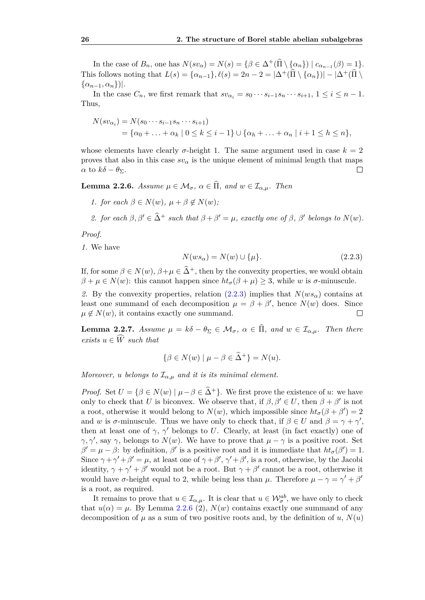In the case of  $B_n$ , one has  $N(sv_\alpha) = N(s) = \{\beta \in \Delta^+(\widehat{\Pi} \setminus {\alpha_n}\}) \mid c_{\alpha_{n-1}}(\beta) = 1\}.$ This follows noting that  $L(s) = {\alpha_{n-1}}$ ,  $\ell(s) = 2n - 2 = |\Delta^+(\hat{\Pi} \setminus {\alpha_n})| - |\Delta^+(\hat{\Pi} \setminus {\alpha_n})|$  $\{\alpha_{n-1}, \alpha_n\}\.$ 

In the case  $C_n$ , we first remark that  $sv_{\alpha_i} = s_0 \cdots s_{i-1} s_n \cdots s_{i+1}, 1 \leq i \leq n-1$ . Thus,

$$
N(sv_{\alpha_i}) = N(s_0 \cdots s_{i-1} s_n \cdots s_{i+1})
$$
  
= { $\alpha_0 + \ldots + \alpha_k | 0 \le k \le i-1$ }  $\cup$  { $\alpha_h + \ldots + \alpha_n | i+1 \le h \le n$ },

whose elements have clearly  $\sigma$ -height 1. The same argument used in case  $k = 2$ proves that also in this case  $sv_\alpha$  is the unique element of minimal length that maps *α* to  $k\delta - \theta$ Σ.  $\Box$ 

<span id="page-31-1"></span>**Lemma 2.2.6.** *Assume*  $\mu \in M_{\sigma}$ ,  $\alpha \in \widehat{\Pi}$ , and  $w \in \mathcal{I}_{\alpha,\mu}$ . Then

*1. for each*  $\beta \in N(w)$ ,  $\mu + \beta \notin N(w)$ ;

2. *for each*  $\beta, \beta' \in \hat{\Delta}^+$  *such that*  $\beta + \beta' = \mu$ *, exactly one of*  $\beta, \beta'$  *belongs to*  $N(w)$ *.* 

*Proof.*

*1.* We have

<span id="page-31-0"></span>
$$
N(ws_\alpha) = N(w) \cup \{\mu\}.\tag{2.2.3}
$$

If, for some  $\beta \in N(w)$ ,  $\beta + \mu \in \widehat{\Delta}^+$ , then by the convexity properties, we would obtain  $\beta + \mu \in N(w)$ : this cannot happen since  $ht_{\sigma}(\beta + \mu) \geq 3$ , while *w* is *σ*-minuscule.

2. By the convexity properties, relation [\(2.2.3\)](#page-31-0) implies that  $N(ws<sub>\alpha</sub>)$  contains at least one summand of each decomposition  $\mu = \beta + \beta'$ , hence  $N(w)$  does. Since  $\mu \notin N(w)$ , it contains exactly one summand.  $\Box$ 

<span id="page-31-2"></span>**Lemma 2.2.7.** *Assume*  $\mu = k\delta - \theta_{\Sigma} \in \mathcal{M}_{\sigma}, \ \alpha \in \widehat{\Pi}$ *, and*  $w \in \mathcal{I}_{\alpha,\mu}$ *. Then there*  $exists$   $u \in \widehat{W}$  *such that* 

$$
\{\beta \in N(w) \mid \mu - \beta \in \widehat{\Delta}^+\} = N(u).
$$

*Moreover, u belongs* to  $\mathcal{I}_{\alpha,\mu}$  *and it is its minimal element.* 

*Proof.* Set  $U = \{ \beta \in N(w) \mid \mu - \beta \in \hat{\Delta}^+ \}$ . We first prove the existence of *u*: we have only to check that *U* is biconvex. We observe that, if  $\beta, \beta' \in U$ , then  $\beta + \beta'$  is not a root, otherwise it would belong to  $N(w)$ , which impossible since  $ht_{\sigma}(\beta + \beta') = 2$ and *w* is *σ*-minuscule. Thus we have only to check that, if  $\beta \in U$  and  $\beta = \gamma + \gamma'$ , then at least one of  $\gamma$ ,  $\gamma'$  belongs to *U*. Clearly, at least (in fact exactly) one of *γ*, *γ'*, say *γ*, belongs to *N*(*w*). We have to prove that  $\mu - \gamma$  is a positive root. Set  $\beta' = \mu - \beta$ : by definition,  $\beta'$  is a positive root and it is immediate that  $ht_{\sigma}(\beta') = 1$ . Since  $\gamma + \gamma' + \beta' = \mu$ , at least one of  $\gamma + \beta'$ ,  $\gamma' + \beta'$ , is a root, otherwise, by the Jacobi identity,  $\gamma + \gamma' + \beta'$  would not be a root. But  $\gamma + \beta'$  cannot be a root, otherwise it would have  $\sigma$ -height equal to 2, while being less than  $\mu$ . Therefore  $\mu - \gamma = \gamma' + \beta'$ is a root, as required.

It remains to prove that  $u \in \mathcal{I}_{\alpha,\mu}$ . It is clear that  $u \in \mathcal{W}_{\sigma}^{ab}$ , we have only to check that  $u(\alpha) = \mu$ . By Lemma [2.2.6](#page-31-1) (2),  $N(w)$  contains exactly one summand of any decomposition of  $\mu$  as a sum of two positive roots and, by the definition of  $u$ ,  $N(u)$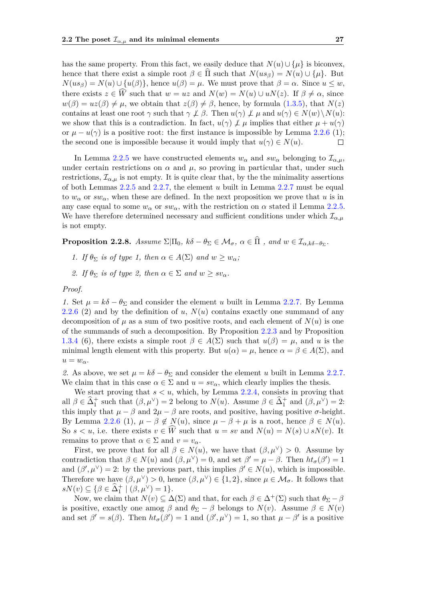has the same property. From this fact, we easily deduce that  $N(u) \cup {\mu}$  is biconvex, hence that there exist a simple root  $\beta \in \Pi$  such that  $N(u s_{\beta}) = N(u) \cup {\mu}$ . But  $N(us_{\beta}) = N(u) \cup \{u(\beta)\}\$ , hence  $u(\beta) = \mu$ . We must prove that  $\beta = \alpha$ . Since  $u \leq w$ , there exists  $z \in \widehat{W}$  such that  $w = uz$  and  $N(w) = N(u) \cup uN(z)$ . If  $\beta \neq \alpha$ , since  $w(\beta) = uz(\beta) \neq \mu$ , we obtain that  $z(\beta) \neq \beta$ , hence, by formula [\(1.3.5\)](#page-19-4), that  $N(z)$ contains at least one root *γ* such that  $\gamma \not\perp \beta$ . Then  $u(\gamma) \not\perp \mu$  and  $u(\gamma) \in N(w) \setminus N(u)$ : we show that this is a contradiction. In fact,  $u(\gamma) \not\perp \mu$  implies that either  $\mu + u(\gamma)$ or  $\mu - u(\gamma)$  is a positive root: the first instance is impossible by Lemma [2.2.6](#page-31-1) (1); the second one is impossible because it would imply that  $u(\gamma) \in N(u)$ .  $\Box$ 

In Lemma [2.2.5](#page-30-0) we have constructed elements  $w_\alpha$  and  $sw_\alpha$  belonging to  $\mathcal{I}_{\alpha,\mu}$ , under certain restrictions on  $\alpha$  and  $\mu$ , so proving in particular that, under such restrictions,  $\mathcal{I}_{\alpha,\mu}$  is not empty. It is quite clear that, by the the minimality assertions of both Lemmas [2.2.5](#page-30-0) and [2.2.7,](#page-31-2) the element *u* built in Lemma [2.2.7](#page-31-2) must be equal to  $w_\alpha$  or  $sw_\alpha$ , when these are defined. In the next proposition we prove that *u* is in any case equal to some  $w_\alpha$  or  $sw_\alpha$ , with the restriction on  $\alpha$  stated il Lemma [2.2.5.](#page-30-0) We have therefore determined necessary and sufficient conditions under which  $\mathcal{I}_{\alpha,\mu}$ is not empty.

<span id="page-32-0"></span>**Proposition 2.2.8.** *Assume*  $\Sigma|\Pi_0, k\delta - \theta_\Sigma \in \mathcal{M}_\sigma, \ \alpha \in \Pi$ , and  $w \in \mathcal{I}_{\alpha,k\delta-\theta_\Sigma}$ .

- *1. If*  $\theta_{\Sigma}$  *is of type 1, then*  $\alpha \in A(\Sigma)$  *and*  $w \geq w_{\alpha}$ *;*
- 2. If  $\theta_{\Sigma}$  *is of type 2, then*  $\alpha \in \Sigma$  *and*  $w \geq sv_{\alpha}$ *.*

*Proof.*

*1.* Set  $\mu = k\delta - \theta_{\Sigma}$  and consider the element *u* built in Lemma [2.2.7.](#page-31-2) By Lemma [2.2.6](#page-31-1) (2) and by the definition of *u*, *N*(*u*) contains exactly one summand of any decomposition of  $\mu$  as a sum of two positive roots, and each element of  $N(u)$  is one of the summands of such a decomposition. By Proposition [2.2.3](#page-29-0) and by Proposition [1.3.4](#page-21-1) (6), there exists a simple root  $\beta \in A(\Sigma)$  such that  $u(\beta) = \mu$ , and *u* is the minimal length element with this property. But  $u(\alpha) = \mu$ , hence  $\alpha = \beta \in A(\Sigma)$ , and  $u = w_{\alpha}$ .

2. As above, we set  $\mu = k\delta - \theta_{\Sigma}$  and consider the element *u* built in Lemma [2.2.7.](#page-31-2) We claim that in this case  $\alpha \in \Sigma$  and  $u = sv_\alpha$ , which clearly implies the thesis.

We start proving that  $s < u$ , which, by Lemma [2.2.4,](#page-29-1) consists in proving that all  $\beta \in \widehat{\Delta}_1^+$  such that  $(\beta, \mu^{\vee}) = 2$  belong to  $N(u)$ . Assume  $\beta \in \widehat{\Delta}_1^+$  and  $(\beta, \mu^{\vee}) = 2$ : this imply that  $\mu - \beta$  and  $2\mu - \beta$  are roots, and positive, having positive  $\sigma$ -height. By Lemma [2.2.6](#page-31-1) (1),  $\mu - \beta \notin N(u)$ , since  $\mu - \beta + \mu$  is a root, hence  $\beta \in N(u)$ . So  $s < u$ , i.e. there exists  $v \in \widehat{W}$  such that  $u = sv$  and  $N(u) = N(s) \cup sN(v)$ . It remains to prove that  $\alpha \in \Sigma$  and  $v = v_{\alpha}$ .

First, we prove that for all  $\beta \in N(u)$ , we have that  $(\beta, \mu^{\vee}) > 0$ . Assume by contradiction that  $\beta \in N(u)$  and  $(\beta, \mu^{\vee}) = 0$ , and set  $\beta' = \mu - \beta$ . Then  $ht_{\sigma}(\beta') = 1$ and  $(\beta', \mu^{\vee}) = 2$ : by the previous part, this implies  $\beta' \in N(u)$ , which is impossible. Therefore we have  $(\beta, \mu^{\vee}) > 0$ , hence  $(\beta, \mu^{\vee}) \in \{1, 2\}$ , since  $\mu \in \mathcal{M}_{\sigma}$ . It follows that  $sN(v) \subseteq {\beta \in \hat{\Delta}_1^+ \mid (\beta, \mu^{\vee}) = 1}.$ 

Now, we claim that  $N(v) \subseteq \Delta(\Sigma)$  and that, for each  $\beta \in \Delta^+(\Sigma)$  such that  $\theta_{\Sigma} - \beta$ is positive, exactly one amog  $\beta$  and  $\theta_{\Sigma} - \beta$  belongs to  $N(v)$ . Assume  $\beta \in N(v)$ and set  $\beta' = s(\beta)$ . Then  $ht_{\sigma}(\beta') = 1$  and  $(\beta', \mu^{\vee}) = 1$ , so that  $\mu - \beta'$  is a positive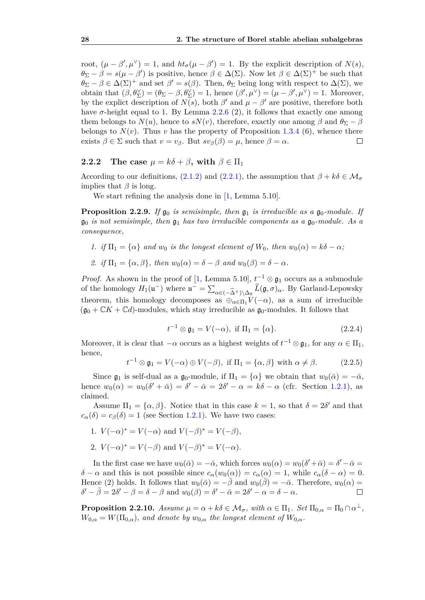root,  $(\mu - \beta', \mu^{\vee}) = 1$ , and  $ht_{\sigma}(\mu - \beta') = 1$ . By the explicit description of  $N(s)$ ,  $\theta_{\Sigma} - \beta = s(\mu - \beta')$  is positive, hence  $\beta \in \Delta(\Sigma)$ . Now let  $\beta \in \Delta(\Sigma)^{+}$  be such that  $\theta_{\Sigma} - \beta \in \Delta(\Sigma)^+$  and set  $\beta' = s(\beta)$ . Then,  $\theta_{\Sigma}$  being long with respect to  $\Delta(\Sigma)$ , we obtain that  $(\beta, \theta_{\Sigma}^{\vee}) = (\theta_{\Sigma} - \beta, \theta_{\Sigma}^{\vee}) = 1$ , hence  $(\beta', \mu^{\vee}) = (\mu - \beta', \mu^{\vee}) = 1$ . Moreover, by the explict description of  $N(s)$ , both  $\beta'$  and  $\mu - \beta'$  are positive, therefore both have  $\sigma$ -height equal to 1. By Lemma [2.2.6](#page-31-1) (2), it follows that exactly one among them belongs to  $N(u)$ , hence to  $sN(v)$ , therefore, exactly one among  $\beta$  and  $\theta_{\Sigma} - \beta$ belongs to  $N(v)$ . Thus *v* has the property of Proposition [1.3.4](#page-21-1) (6), whence there exists  $\beta \in \Sigma$  such that  $v = v_{\beta}$ . But  $sv_{\beta}(\beta) = \mu$ , hence  $\beta = \alpha$ .  $\Box$ 

#### <span id="page-33-0"></span>**2.2.2** The case  $\mu = k\delta + \beta$ , with  $\beta \in \Pi_1$

According to our definitions, [\(2.1.2\)](#page-26-3) and [\(2.2.1\)](#page-27-3), the assumption that  $\beta + k\delta \in \mathcal{M}_{\sigma}$ implies that *β* is long.

We start refining the analysis done in  $[1, \text{Lemma } 5.10].$  $[1, \text{Lemma } 5.10].$ 

<span id="page-33-1"></span>**Proposition 2.2.9.** *If*  $\mathfrak{g}_0$  *is semisimple, then*  $\mathfrak{g}_1$  *is irreducible as a*  $\mathfrak{g}_0$ *-module. If*  $\mathfrak{g}_0$  *is not semisimple, then*  $\mathfrak{g}_1$  *has two irreducible components as a*  $\mathfrak{g}_0$ *-module. As a consequence,*

- *1. if*  $\Pi_1 = {\alpha}$  *and*  $w_0$  *is the longest element of*  $W_0$ *, then*  $w_0(\alpha) = k\delta \alpha$ ;
- *2. if*  $\Pi_1 = {\alpha, \beta}$ *, then*  $w_0(\alpha) = \delta \beta$  *and*  $w_0(\beta) = \delta \alpha$ *.*

*Proof.* As shown in the proof of [\[1,](#page-56-2) Lemma 5.10],  $t^{-1} \otimes \mathfrak{g}_1$  occurs as a submodule of the homology  $H_1(\mathfrak{u}^-)$  where  $\mathfrak{u}^- = \sum_{\alpha \in (-\widehat{\Delta}^+) \setminus \Delta_0} \widehat{L}(\mathfrak{g}, \sigma)_{\alpha}$ . By Garland-Lepowsky theorem, this homology decomposes as  $\bigoplus_{\alpha \in \Pi_1} V(-\alpha)$ , as a sum of irreducible  $(\mathfrak{g}_0 + \mathbb{C}K + \mathbb{C}d)$ -modules, which stay irreducible as  $\mathfrak{g}_0$ -modules. It follows that

$$
t^{-1} \otimes \mathfrak{g}_1 = V(-\alpha), \text{ if } \Pi_1 = \{\alpha\}. \tag{2.2.4}
$$

Moreover, it is clear that  $-\alpha$  occurs as a highest weights of  $t^{-1} \otimes \mathfrak{g}_1$ , for any  $\alpha \in \Pi_1$ , hence,

$$
t^{-1} \otimes \mathfrak{g}_1 = V(-\alpha) \oplus V(-\beta), \text{ if } \Pi_1 = \{\alpha, \beta\} \text{ with } \alpha \neq \beta. \tag{2.2.5}
$$

Since  $\mathfrak{g}_1$  is self-dual as a  $\mathfrak{g}_0$ -module, if  $\Pi_1 = {\alpha}$  we obtain that  $w_0(\bar{\alpha}) = -\bar{\alpha}$ , hence  $w_0(\alpha) = w_0(\delta' + \bar{\alpha}) = \delta' - \bar{\alpha} = 2\delta' - \alpha = k\delta - \alpha$  (cfr. Section [1.2.1\)](#page-11-0), as claimed.

Assume  $\Pi_1 = {\alpha, \beta}$ . Notice that in this case  $k = 1$ , so that  $\delta = 2\delta'$  and that  $c_{\alpha}(\delta) = c_{\beta}(\delta) = 1$  (see Section [1.2.1\)](#page-11-0). We have two cases:

- 1.  $V(-\alpha)^* = V(-\alpha)$  and  $V(-\beta)^* = V(-\beta)$ ,
- 2.  $V(-\alpha)^* = V(-\beta)$  and  $V(-\beta)^* = V(-\alpha)$ .

In the first case we have  $w_0(\bar{\alpha}) = -\bar{\alpha}$ , which forces  $w_0(\alpha) = w_0(\delta' + \bar{\alpha}) = \delta' - \bar{\alpha} =$ *δ* − *α* and this is not possible since  $c_\alpha(w_0(\alpha)) = c_\alpha(\alpha) = 1$ , while  $c_\alpha(\delta - \alpha) = 0$ . Hence (2) holds. It follows that  $w_0(\bar{\alpha}) = -\bar{\beta}$  and  $w_0(\bar{\beta}) = -\bar{\alpha}$ . Therefore,  $w_0(\alpha) =$  $\delta' - \bar{\beta} = 2\delta' - \beta = \delta - \beta$  and  $w_0(\beta) = \delta' - \bar{\alpha} = 2\delta' - \alpha = \delta - \alpha$ .  $\Box$ 

<span id="page-33-2"></span>**Proposition 2.2.10.** *Assume*  $\mu = \alpha + k\delta \in \mathcal{M}_{\sigma}$ , with  $\alpha \in \Pi_1$ . Set  $\Pi_{0,\alpha} = \Pi_0 \cap \alpha^{\perp}$ ,  $W_{0,\alpha} = W(\Pi_{0,\alpha})$ *, and denote by*  $w_{0,\alpha}$  *the longest element of*  $W_{0,\alpha}$ *.*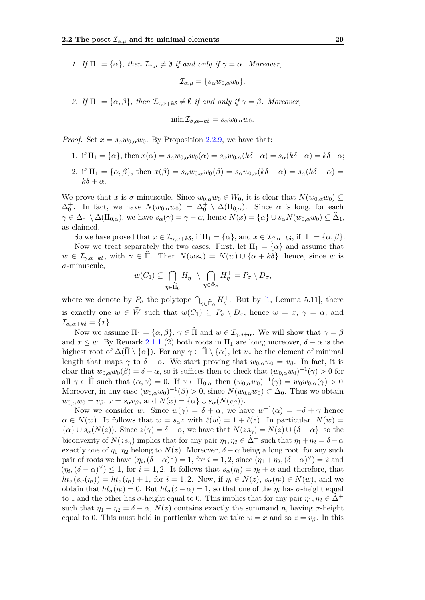*1. If*  $\Pi_1 = {\alpha}$ , *then*  $\mathcal{I}_{\gamma,\mu} \neq \emptyset$  *if and only if*  $\gamma = \alpha$ *. Moreover,* 

$$
\mathcal{I}_{\alpha,\mu} = \{s_\alpha w_{0,\alpha} w_0\}.
$$

*2. If*  $\Pi_1 = {\alpha, \beta}$ *, then*  $\mathcal{I}_{\gamma, \alpha+k\delta} \neq \emptyset$  *if and only if*  $\gamma = \beta$ *. Moreover,* 

$$
\min \mathcal{I}_{\beta,\alpha+k\delta} = s_{\alpha} w_{0,\alpha} w_0.
$$

*Proof.* Set  $x = s_\alpha w_{0,\alpha} w_0$ . By Proposition [2.2.9,](#page-33-1) we have that:

- 1. if  $\Pi_1 = {\alpha}$ , then  $x(\alpha) = s_\alpha w_{0,\alpha} w_0(\alpha) = s_\alpha w_{0,\alpha} (k\delta \alpha) = s_\alpha (k\delta \alpha) = k\delta + \alpha;$
- 2. if  $\Pi_1 = {\alpha, \beta}$ , then  $x(\beta) = s_\alpha w_{0,\alpha} w_0(\beta) = s_\alpha w_{0,\alpha} (k\delta \alpha) = s_\alpha (k\delta \alpha)$  $k\delta + \alpha$ .

We prove that *x* is  $\sigma$ -minuscule. Since  $w_{0,\alpha}w_0 \in W_0$ , it is clear that  $N(w_{0,\alpha}w_0) \subseteq$  $\Delta_0^+$ . In fact, we have  $N(w_{0,\alpha}w_0) = \Delta_0^+ \setminus \Delta(\Pi_{0,\alpha})$ . Since  $\alpha$  is long, for each  $\gamma \in \Delta_0^+ \setminus \Delta(\Pi_{0,\alpha})$ , we have  $s_\alpha(\gamma) = \gamma + \alpha$ , hence  $N(x) = {\alpha} \cup s_\alpha N(w_{0,\alpha}w_0) \subseteq \hat{\Delta}_1$ , as claimed.

So we have proved that  $x \in \mathcal{I}_{\alpha,\alpha+k\delta}$ , if  $\Pi_1 = \{\alpha\}$ , and  $x \in \mathcal{I}_{\beta,\alpha+k\delta}$ , if  $\Pi_1 = \{\alpha,\beta\}$ . Now we treat separately the two cases. First, let  $\Pi_1 = {\alpha}$  and assume that  $w \in \mathcal{I}_{\gamma,\alpha+k\delta}$ , with  $\gamma \in \Pi$ . Then  $N(ws_{\gamma}) = N(w) \cup \{\alpha+k\delta\}$ , hence, since *w* is *σ*-minuscule,

$$
w(C_1) \subseteq \bigcap_{\eta \in \widehat{\Pi}_0} H_{\eta}^+ \setminus \bigcap_{\eta \in \Phi_{\sigma}} H_{\eta}^+ = P_{\sigma} \setminus D_{\sigma},
$$

where we denote by  $P_{\sigma}$  the polytope  $\bigcap_{\eta \in \widehat{\Pi}_0}$  $H_{\eta}^+$ . But by [\[1,](#page-56-2) Lemma 5.11], there is exactly one  $w \in \widehat{W}$  such that  $w(C_1) \subseteq P_\sigma \setminus D_\sigma$ , hence  $w = x, \gamma = \alpha$ , and  $\mathcal{I}_{\alpha,\alpha+k\delta} = \{x\}.$ 

Now we assume  $\Pi_1 = {\alpha, \beta}, \gamma \in \widehat{\Pi}$  and  $w \in I_{\gamma, \delta + \alpha}$ . We will show that  $\gamma = \beta$ and  $x \leq w$ . By Remark [2.1.1](#page-26-0) (2) both roots in  $\Pi_1$  are long; moreover,  $\delta - \alpha$  is the highest root of  $\Delta(\Pi \setminus \{\alpha\})$ . For any  $\gamma \in \widehat{\Pi} \setminus \{\alpha\}$ , let  $v_{\gamma}$  be the element of minimal length that maps  $\gamma$  to  $\delta - \alpha$ . We start proving that  $w_{0,\alpha}w_0 = v_\beta$ . In fact, it is clear that  $w_{0,\alpha}w_0(\beta) = \delta - \alpha$ , so it suffices then to check that  $(w_{0,\alpha}w_0)^{-1}(\gamma) > 0$  for all  $\gamma \in \widehat{\Pi}$  such that  $(\alpha, \gamma) = 0$ . If  $\gamma \in \Pi_{0,\alpha}$  then  $(w_{0,\alpha}w_0)^{-1}(\gamma) = w_0w_{0,\alpha}(\gamma) > 0$ . Moreover, in any case  $(w_{0,\alpha}w_0)^{-1}(\beta) > 0$ , since  $N(w_{0,\alpha}w_0) \subset \Delta_0$ . Thus we obtain  $w_{0,\alpha}w_0 = v_\beta, x = s_\alpha v_\beta$ , and  $N(x) = {\alpha} \cup s_\alpha(N(v_\beta)).$ 

Now we consider *w*. Since  $w(\gamma) = \delta + \alpha$ , we have  $w^{-1}(\alpha) = -\delta + \gamma$  hence  $\alpha \in N(w)$ . It follows that  $w = s_\alpha z$  with  $\ell(w) = 1 + \ell(z)$ . In particular,  $N(w) =$  $\{\alpha\} \cup s_\alpha(N(z))$ . Since  $z(\gamma) = \delta - \alpha$ , we have that  $N(zs_\gamma) = N(z) \cup \{\delta - \alpha\}$ , so the biconvexity of  $N(zs_\gamma)$  implies that for any pair  $\eta_1, \eta_2 \in \widehat{\Delta}^+$  such that  $\eta_1 + \eta_2 = \delta - \alpha$ exactly one of  $\eta_1, \eta_2$  belong to  $N(z)$ . Moreover,  $\delta - \alpha$  being a long root, for any such pair of roots we have  $(\eta_i, (\delta - \alpha)^{\vee}) = 1$ , for  $i = 1, 2$ , since  $(\eta_1 + \eta_2, (\delta - \alpha)^{\vee}) = 2$  and  $(\eta_i, (\delta - \alpha)^{\vee}) \leq 1$ , for  $i = 1, 2$ . It follows that  $s_{\alpha}(\eta_i) = \eta_i + \alpha$  and therefore, that  $ht_{\sigma}(s_{\alpha}(\eta_i)) = ht_{\sigma}(\eta_i) + 1$ , for  $i = 1, 2$ . Now, if  $\eta_i \in N(z)$ ,  $s_{\alpha}(\eta_i) \in N(w)$ , and we obtain that *htσ*(*ηi*) = 0. But *htσ*(*δ* − *α*) = 1, so that one of the *η<sup>i</sup>* has *σ*-height equal to 1 and the other has  $\sigma$ -height equal to 0. This implies that for any pair  $\eta_1, \eta_2 \in \Delta^+$ such that  $\eta_1 + \eta_2 = \delta - \alpha$ ,  $N(z)$  contains exactly the summand  $\eta_i$  having  $\sigma$ -height equal to 0. This must hold in particular when we take  $w = x$  and so  $z = v_{\beta}$ . In this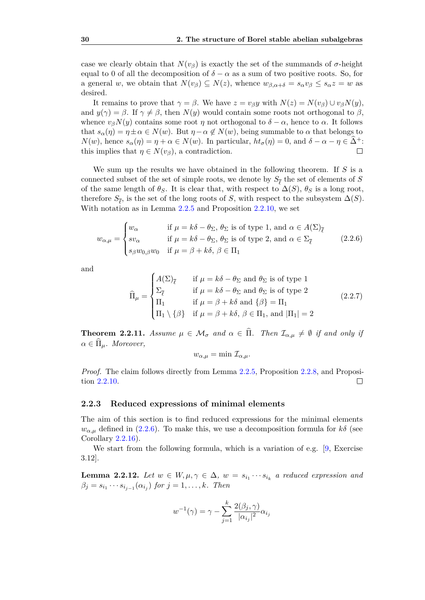case we clearly obtain that  $N(v_\beta)$  is exactly the set of the summands of  $\sigma$ -height equal to 0 of all the decomposition of  $\delta - \alpha$  as a sum of two positive roots. So, for a general *w*, we obtain that  $N(v_{\beta}) \subseteq N(z)$ , whence  $w_{\beta,\alpha+\delta} = s_{\alpha}v_{\beta} \le s_{\alpha}z = w$  as desired.

It remains to prove that  $\gamma = \beta$ . We have  $z = v_\beta y$  with  $N(z) = N(v_\beta) \cup v_\beta N(y)$ , and  $y(\gamma) = \beta$ . If  $\gamma \neq \beta$ , then  $N(y)$  would contain some roots not orthogonal to  $\beta$ , whence  $v_{\beta}N(y)$  contains some root *η* not orthogonal to  $\delta - \alpha$ , hence to  $\alpha$ . It follows that  $s_\alpha(\eta) = \eta \pm \alpha \in N(w)$ . But  $\eta - \alpha \notin N(w)$ , being summable to  $\alpha$  that belongs to *N*(*w*), hence *s*<sub>*α*</sub>(*η*) = *η* + *α* ∈ *N*(*w*). In particular,  $ht_{\sigma}(\eta) = 0$ , and  $\delta - \alpha - \eta \in \tilde{\Delta}^+$ : this implies that  $\eta \in N(v_{\beta})$ , a contradiction. this implies that  $\eta \in N(v_\beta)$ , a contradiction.

We sum up the results we have obtained in the following theorem. If *S* is a connected subset of the set of simple roots, we denote by  $S_{\overline{\ell}}$  the set of elements of *S* of the same length of  $\theta_S$ . It is clear that, with respect to  $\Delta(S)$ ,  $\theta_S$  is a long root, therefore  $S_{\overline{\ell}}$ , is the set of the long roots of *S*, with respect to the subsystem  $\Delta(S)$ . With notation as in Lemma [2.2.5](#page-30-0) and Proposition [2.2.10,](#page-33-2) we set

<span id="page-35-2"></span>
$$
w_{\alpha,\mu} = \begin{cases} w_{\alpha} & \text{if } \mu = k\delta - \theta_{\Sigma}, \ \theta_{\Sigma} \text{ is of type 1, and } \alpha \in A(\Sigma)_{\overline{\ell}} \\ sv_{\alpha} & \text{if } \mu = k\delta - \theta_{\Sigma}, \ \theta_{\Sigma} \text{ is of type 2, and } \alpha \in \Sigma_{\overline{\ell}} \\ s_{\beta}w_{0,\beta}w_{0} & \text{if } \mu = \beta + k\delta, \ \beta \in \Pi_{1} \end{cases} \tag{2.2.6}
$$

and

$$
\widehat{\Pi}_{\mu} = \begin{cases}\nA(\Sigma)_{\overline{\ell}} & \text{if } \mu = k\delta - \theta_{\Sigma} \text{ and } \theta_{\Sigma} \text{ is of type 1} \\
\Sigma_{\overline{\ell}} & \text{if } \mu = k\delta - \theta_{\Sigma} \text{ and } \theta_{\Sigma} \text{ is of type 2} \\
\Pi_1 & \text{if } \mu = \beta + k\delta \text{ and } {\beta} = \Pi_1 \\
\Pi_1 \setminus {\beta} & \text{if } \mu = \beta + k\delta, \ \beta \in \Pi_1, \text{ and } |\Pi_1| = 2\n\end{cases}
$$
\n(2.2.7)

<span id="page-35-1"></span>**Theorem 2.2.11.** *Assume*  $\mu \in \mathcal{M}_{\sigma}$  *and*  $\alpha \in \widehat{\Pi}$ *. Then*  $\mathcal{I}_{\alpha,\mu} \neq \emptyset$  *if and only if*  $\alpha \in \Pi_{\mu}$ *. Moreover,* 

$$
w_{\alpha,\mu} = \min \mathcal{I}_{\alpha,\mu}.
$$

*Proof.* The claim follows directly from Lemma [2.2.5,](#page-30-0) Proposition [2.2.8,](#page-32-0) and Proposition [2.2.10.](#page-33-2)  $\Box$ 

#### <span id="page-35-0"></span>**2.2.3 Reduced expressions of minimal elements**

The aim of this section is to find reduced expressions for the minimal elements  $w_{\alpha,\mu}$  defined in [\(2.2.6\)](#page-35-2). To make this, we use a decomposition formula for *kδ* (see Corollary [2.2.16\)](#page-37-0).

We start from the following formula, which is a variation of e.g. [\[9,](#page-56-7) Exercise 3.12].

<span id="page-35-3"></span>**Lemma 2.2.12.** *Let*  $w \in W, \mu, \gamma \in \Delta, w = s_{i_1} \cdots s_{i_k}$  a reduced expression and  $\beta_j = s_{i_1} \cdots s_{i_{j-1}} (\alpha_{i_j})$  for  $j = 1, \ldots, k$ *. Then* 

$$
w^{-1}(\gamma) = \gamma - \sum_{j=1}^{k} \frac{2(\beta_j, \gamma)}{|\alpha_{i_j}|^2} \alpha_{i_j}
$$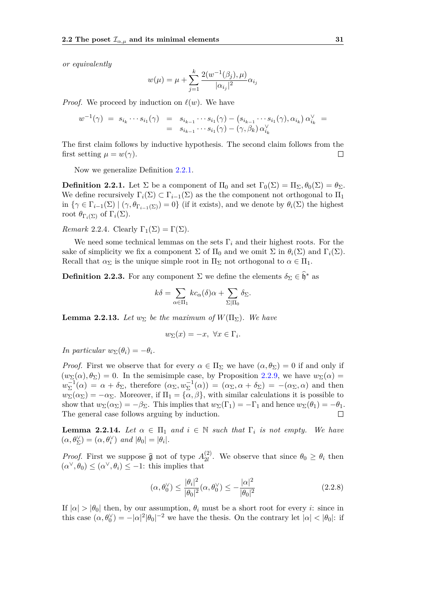*or equivalently*

$$
w(\mu) = \mu + \sum_{j=1}^{k} \frac{2(w^{-1}(\beta_j), \mu)}{|\alpha_{i_j}|^2} \alpha_{i_j}
$$

*Proof.* We proceed by induction on  $\ell(w)$ . We have

$$
w^{-1}(\gamma) = s_{i_k} \cdots s_{i_1}(\gamma) = s_{i_{k-1}} \cdots s_{i_1}(\gamma) - (s_{i_{k-1}} \cdots s_{i_1}(\gamma), \alpha_{i_k}) \alpha_{i_k}^{\vee} = = s_{i_{k-1}} \cdots s_{i_1}(\gamma) - (\gamma, \beta_k) \alpha_{i_k}^{\vee}
$$

The first claim follows by inductive hypothesis. The second claim follows from the first setting  $\mu = w(\gamma)$ .  $\Box$ 

Now we generalize Definition [2.2.1.](#page-27-4)

**Definition 2.2.1.** Let  $\Sigma$  be a component of  $\Pi_0$  and set  $\Gamma_0(\Sigma) = \Pi_{\Sigma_0} \theta_0(\Sigma) = \theta_{\Sigma_0}$ . We define recursively  $\Gamma_i(\Sigma) \subset \Gamma_{i-1}(\Sigma)$  as the the component not orthogonal to  $\Pi_1$ in  $\{\gamma \in \Gamma_{i-1}(\Sigma) \mid (\gamma, \theta_{\Gamma_{i-1}(\Sigma)}) = 0\}$  (if it exists), and we denote by  $\theta_i(\Sigma)$  the highest root  $θ_{\Gamma_i(Σ)}$  of  $\Gamma_i(Σ)$ .

*Remark* 2.2.4. Clearly  $\Gamma_1(\Sigma) = \Gamma(\Sigma)$ .

We need some technical lemmas on the sets  $\Gamma_i$  and their highest roots. For the sake of simplicity we fix a component  $\Sigma$  of  $\Pi_0$  and we omit  $\Sigma$  in  $\theta_i(\Sigma)$  and  $\Gamma_i(\Sigma)$ . Recall that  $\alpha_{\Sigma}$  is the unique simple root in  $\Pi_{\Sigma}$  not orthogonal to  $\alpha \in \Pi_1$ .

**Definition 2.2.3.** For any component  $\Sigma$  we define the elements  $\delta_{\Sigma} \in \hat{\mathfrak{h}}^*$  as

$$
k\delta = \sum_{\alpha \in \Pi_1} kc_{\alpha}(\delta)\alpha + \sum_{\Sigma|\Pi_0} \delta_{\Sigma}.
$$

<span id="page-36-2"></span>**Lemma 2.2.13.** Let  $w_{\Sigma}$  be the maximum of  $W(\Pi_{\Sigma})$ . We have

$$
w_{\Sigma}(x) = -x, \ \forall x \in \Gamma_i.
$$

*In particular*  $w_{\Sigma}(\theta_i) = -\theta_i$ *.* 

*Proof.* First we observe that for every  $\alpha \in \Pi_{\Sigma}$  we have  $(\alpha, \theta_{\Sigma}) = 0$  if and only if  $(w_{\Sigma}(\alpha), \theta_{\Sigma}) = 0$ . In the semisimple case, by Proposition [2.2.9,](#page-33-1) we have  $w_{\Sigma}(\alpha) =$  $w_{\Sigma}^{-1}(\alpha) = \alpha + \delta_{\Sigma}$ , therefore  $(\alpha_{\Sigma}, w_{\Sigma}^{-1}(\alpha)) = (\alpha_{\Sigma}, \alpha + \delta_{\Sigma}) = -(\alpha_{\Sigma}, \alpha)$  and then  $w_{\Sigma}(\alpha_{\Sigma}) = -\alpha_{\Sigma}$ . Moreover, if  $\Pi_1 = {\alpha, \beta}$ , with similar calculations it is possible to show that  $w_{\Sigma}(\alpha_{\Sigma}) = -\beta_{\Sigma}$ . This implies that  $w_{\Sigma}(\Gamma_1) = -\Gamma_1$  and hence  $w_{\Sigma}(\theta_1) = -\theta_1$ . The general case follows arguing by induction.  $\Box$ 

<span id="page-36-1"></span>**Lemma 2.2.14.** Let  $\alpha \in \Pi_1$  and  $i \in \mathbb{N}$  such that  $\Gamma_i$  is not empty. We have  $(\alpha, \theta_{\Sigma}^{\vee}) = (\alpha, \theta_{i}^{\vee})$  *and*  $|\theta_{0}| = |\theta_{i}|$ *.* 

*Proof.* First we suppose  $\hat{\mathfrak{g}}$  not of type  $A_{2l}^{(2)}$ <sup>(2)</sup>. We observe that since  $\theta_0 \geq \theta_i$  then  $(\alpha^{\vee}, \theta_0) \leq (\alpha^{\vee}, \theta_i) \leq -1$ : this implies that

<span id="page-36-0"></span>
$$
(\alpha, \theta_0^{\vee}) \le \frac{|\theta_i|^2}{|\theta_0|^2} (\alpha, \theta_0^{\vee}) \le -\frac{|\alpha|^2}{|\theta_0|^2}
$$
 (2.2.8)

If  $|\alpha| > |\theta_0|$  then, by our assumption,  $\theta_i$  must be a short root for every *i*: since in this case  $(\alpha, \theta_0^{\vee}) = -|\alpha|^2 |\theta_0|^{-2}$  we have the thesis. On the contrary let  $|\alpha| < |\theta_0|$ : if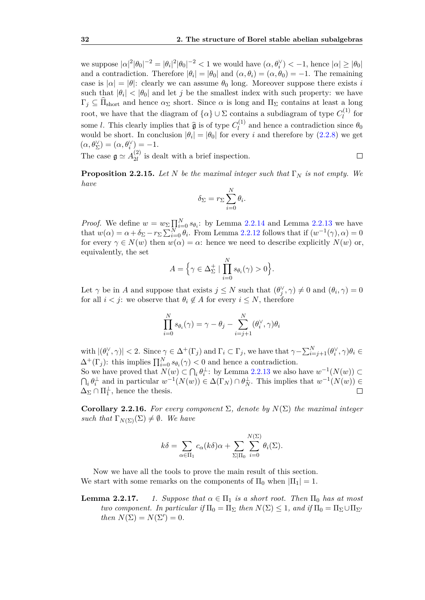we suppose  $|α|^2 |θ_0|^{-2} = |θ_i|^2 |θ_0|^{-2} < 1$  we would have  $(α, θ_i^γ) < -1$ , hence  $|α| ≥ |θ_0|$ and a contradiction. Therefore  $|\theta_i| = |\theta_0|$  and  $(\alpha, \theta_i) = (\alpha, \theta_0) = -1$ . The remaining case is  $|\alpha| = |\theta|$ : clearly we can assume  $\theta_0$  long. Moreover suppose there exists *i* such that  $|\theta_i| < |\theta_0|$  and let *j* be the smallest index with such property: we have  $\Gamma_j \subseteq \Pi_{\text{short}}$  and hence  $\alpha_{\Sigma}$  short. Since  $\alpha$  is long and  $\Pi_{\Sigma}$  contains at least a long root, we have that the diagram of  $\{\alpha\} \cup \Sigma$  contains a subdiagram of type  $C_l^{(1)}$  $\int_l^{(1)}$  for some *l*. This clearly implies that  $\hat{\mathfrak{g}}$  is of type  $C_l^{(1)}$  $\theta_l^{(1)}$  and hence a contradiction since  $\theta_0$ would be short. In conclusion  $|\theta_i| = |\theta_0|$  for every *i* and therefore by  $(2.2.8)$  we get  $(\alpha, \theta_{\Sigma}^{\vee}) = (\alpha, \theta_{i}^{\vee}) = -1.$ 

The case  $\mathfrak{g} \simeq A_{2l}^{(2)}$  $\frac{1}{2l}$  is dealt with a brief inspection.

 $\Box$ 

<span id="page-37-2"></span>**Proposition 2.2.15.** *Let N be the maximal integer such that* Γ*<sup>N</sup> is not empty. We have*

$$
\delta_{\Sigma} = r_{\Sigma} \sum_{i=0}^{N} \theta_i.
$$

*Proof.* We define  $w = w_{\Sigma} \prod_{i=0}^{N} s_{\theta_i}$ : by Lemma [2.2.14](#page-36-1) and Lemma [2.2.13](#page-36-2) we have that  $w(\alpha) = \alpha + \delta_{\Sigma} - r_{\Sigma} \sum_{i=0}^{N} \theta_i$ . From Lemma [2.2.12](#page-35-3) follows that if  $(w^{-1}(\gamma), \alpha) = 0$ for every  $\gamma \in N(w)$  then  $w(\alpha) = \alpha$ : hence we need to describe explicitly  $N(w)$  or, equivalently, the set

$$
A = \Big\{ \gamma \in \Delta_{\Sigma}^+ \mid \prod_{i=0}^N s_{\theta_i}(\gamma) > 0 \Big\}.
$$

Let  $\gamma$  be in *A* and suppose that exists  $j \leq N$  such that  $(\theta_j^{\vee}, \gamma) \neq 0$  and  $(\theta_i, \gamma) = 0$ for all  $i < j$ : we observe that  $\theta_i \notin A$  for every  $i \leq N$ , therefore

$$
\prod_{i=0}^{N} s_{\theta_i}(\gamma) = \gamma - \theta_j - \sum_{i=j+1}^{N} (\theta_i^{\vee}, \gamma) \theta_i
$$

with  $|(\theta_i^{\vee}, \gamma)| < 2$ . Since  $\gamma \in \Delta^+(\Gamma_j)$  and  $\Gamma_i \subset \Gamma_j$ , we have that  $\gamma - \sum_{i=j+1}^N (\theta_i^{\vee}, \gamma) \theta_i \in$  $\Delta^+(\Gamma_j)$ : this implies  $\prod_{i=0}^N s_{\theta_i}(\gamma) < 0$  and hence a contradiction.

So we have proved that  $N(w) \subset \bigcap_i \theta_i^{\perp}$ : by Lemma [2.2.13](#page-36-2) we also have  $w^{-1}(N(w)) \subset$  $\bigcap_i \theta_i^{\perp}$  and in particular  $w^{-1}(N(w)) \in \Delta(\Gamma_N) \cap \theta_N^{\perp}$ . This implies that  $w^{-1}(N(w)) \in$  $\Delta_{\Sigma} \cap \Pi_1^{\perp}$ , hence the thesis. П

<span id="page-37-0"></span>**Corollary 2.2.16.** *For every component*  $\Sigma$ , *denote by*  $N(\Sigma)$  *the maximal integer such that*  $\Gamma_{N(\Sigma)}(\Sigma) \neq \emptyset$ *. We have* 

$$
k\delta = \sum_{\alpha \in \Pi_1} c_{\alpha}(k\delta)\alpha + \sum_{\Sigma|\Pi_0} \sum_{i=0}^{N(\Sigma)} \theta_i(\Sigma).
$$

Now we have all the tools to prove the main result of this section. We start with some remarks on the components of  $\Pi_0$  when  $|\Pi_1| = 1$ .

### <span id="page-37-1"></span>**Lemma 2.2.17.** *1. Suppose that*  $\alpha \in \Pi_1$  *is a short root. Then*  $\Pi_0$  *has at most two component. In particular if*  $\Pi_0 = \Pi_{\Sigma}$  *then*  $N(\Sigma) \leq 1$ *, and if*  $\Pi_0 = \Pi_{\Sigma} \cup \Pi_{\Sigma'}$ *then*  $N(\Sigma) = N(\Sigma') = 0$ .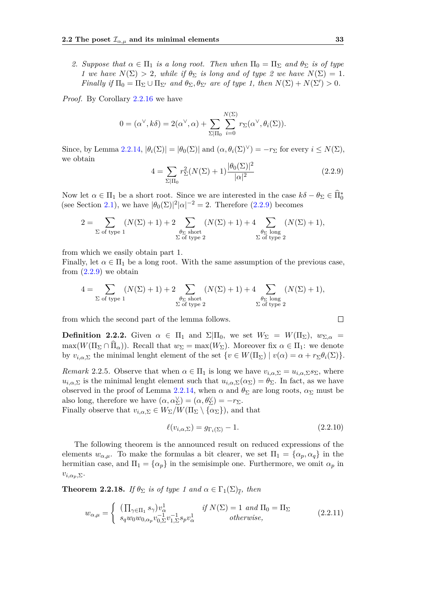*2. Suppose that*  $\alpha \in \Pi_1$  *is a long root. Then when*  $\Pi_0 = \Pi_{\Sigma}$  *and*  $\theta_{\Sigma}$  *is of type 1* we have  $N(\Sigma) > 2$ , while if  $\theta_{\Sigma}$  is long and of type 2 we have  $N(\Sigma) = 1$ . *Finally if*  $\Pi_0 = \Pi_\Sigma \cup \Pi_{\Sigma'}$  *and*  $\theta_\Sigma, \theta_{\Sigma'}$  *are of type 1, then*  $N(\Sigma) + N(\Sigma') > 0$ *.* 

*Proof.* By Corollary [2.2.16](#page-37-0) we have

$$
0 = (\alpha^{\vee}, k\delta) = 2(\alpha^{\vee}, \alpha) + \sum_{\Sigma \mid \Pi_0} \sum_{i=0}^{N(\Sigma)} r_{\Sigma}(\alpha^{\vee}, \theta_i(\Sigma)).
$$

Since, by Lemma [2.2.14,](#page-36-1)  $|\theta_i(\Sigma)| = |\theta_0(\Sigma)|$  and  $(\alpha, \theta_i(\Sigma)^{\vee}) = -r_{\Sigma}$  for every  $i \leq N(\Sigma)$ , we obtain

<span id="page-38-0"></span>
$$
4 = \sum_{\Sigma|\Pi_0} r_{\Sigma}^2 (N(\Sigma) + 1) \frac{|\theta_0(\Sigma)|^2}{|\alpha|^2}
$$
 (2.2.9)

Now let  $\alpha \in \Pi_1$  be a short root. Since we are interested in the case  $k\delta - \theta_\Sigma \in \widehat{\Pi}_0^*$ (see Section [2.1\)](#page-25-0), we have  $|\theta_0(\Sigma)|^2 |\alpha|^{-2} = 2$ . Therefore [\(2.2.9\)](#page-38-0) becomes

$$
2 = \sum_{\sum \text{ of type 1}} (N(\Sigma) + 1) + 2 \sum_{\substack{\theta_{\Sigma} \text{ short} \\ \sum \text{ of type 2}} (N(\Sigma) + 1) + 4 \sum_{\substack{\theta_{\Sigma} \text{ long} \\ \sum \text{ of type 2}} (N(\Sigma) + 1),
$$

from which we easily obtain part 1.

Finally, let  $\alpha \in \Pi_1$  be a long root. With the same assumption of the previous case, from  $(2.2.9)$  we obtain

$$
4 = \sum_{\sum \text{ of type 1}} (N(\Sigma) + 1) + 2 \sum_{\substack{\theta_{\Sigma} \text{ short} \\ \sum \text{ of type 2}} (N(\Sigma) + 1) + 4 \sum_{\substack{\theta_{\Sigma} \text{ long} \\ \sum \text{ of type 2}} (N(\Sigma) + 1),
$$

from which the second part of the lemma follows.

**Definition 2.2.2.** Given  $\alpha \in \Pi_1$  and  $\Sigma|\Pi_0$ , we set  $W_{\Sigma} = W(\Pi_{\Sigma})$ ,  $w_{\Sigma,\alpha} =$  $max(W(\Pi_{\Sigma} \cap \Pi_{\alpha}))$ . Recall that  $w_{\Sigma} = max(W_{\Sigma})$ . Moreover fix  $\alpha \in \Pi_1$ : we denote by  $v_{i,\alpha,\Sigma}$  the minimal lenght element of the set  $\{v \in W(\Pi_{\Sigma}) \mid v(\alpha) = \alpha + r_{\Sigma}\theta_i(\Sigma)\}.$ 

<span id="page-38-2"></span>*Remark* 2.2.5*.* Observe that when  $\alpha \in \Pi_1$  is long we have  $v_{i,\alpha,\Sigma} = u_{i,\alpha,\Sigma} s_{\Sigma}$ , where  $u_{i,\alpha,\Sigma}$  is the minimal lenght element such that  $u_{i,\alpha,\Sigma}(\alpha_{\Sigma}) = \theta_{\Sigma}$ . In fact, as we have observed in the proof of Lemma [2.2.14,](#page-36-1) when  $\alpha$  and  $\theta_{\Sigma}$  are long roots,  $\alpha_{\Sigma}$  must be also long, therefore we have  $(\alpha, \alpha_{\Sigma}^{\vee}) = (\alpha, \theta_{\Sigma}^{\vee}) = -r_{\Sigma}$ . Finally observe that  $v_{i,\alpha,\Sigma} \in W_{\Sigma}/W(\Pi_{\Sigma} \setminus {\alpha_{\Sigma}})$ , and that

<span id="page-38-3"></span>
$$
\ell(v_{i,\alpha,\Sigma}) = g_{\Gamma_i(\Sigma)} - 1.
$$
\n(2.2.10)

The following theorem is the announced result on reduced expressions of the elements  $w_{\alpha,\mu}$ . To make the formulas a bit clearer, we set  $\Pi_1 = {\alpha_p, \alpha_q}$  in the hermitian case, and  $\Pi_1 = {\alpha_p}$  in the semisimple one. Furthermore, we omit  $\alpha_p$  in  $v_{i,α_p,Σ}$ .

**Theorem 2.2.18.** *If*  $\theta_{\Sigma}$  *is of type 1 and*  $\alpha \in \Gamma_1(\Sigma)_{\overline{\ell}}$ *, then* 

<span id="page-38-1"></span>
$$
w_{\alpha,\mu} = \begin{cases} (\prod_{\gamma \in \Pi_1} s_{\gamma}) v_{\alpha}^1 & \text{if } N(\Sigma) = 1 \text{ and } \Pi_0 = \Pi_{\Sigma} \\ s_q w_0 w_{0,\alpha_p} v_{0,\Sigma}^{-1} v_{1,\Sigma}^{-1} s_p v_{\alpha}^1 & \text{otherwise,} \end{cases}
$$
(2.2.11)

$$
\Box
$$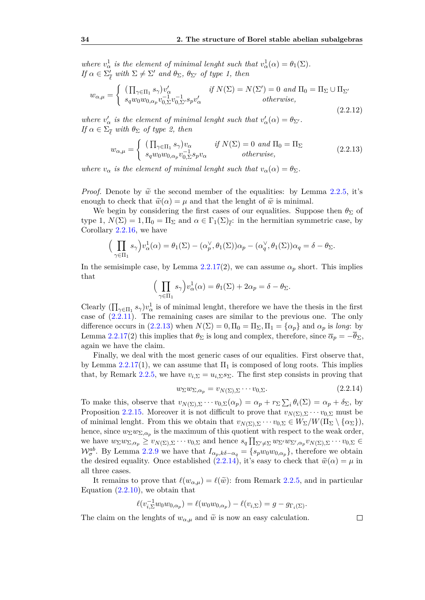*where*  $v^1_\alpha$  *is the element of minimal lenght such that*  $v^1_\alpha(\alpha) = \theta_1(\Sigma)$ *. If*  $\alpha \in \Sigma_{\overline{d}}'$  $\frac{\partial}{\partial \ell}$  *with*  $\Sigma \neq \Sigma'$  *and*  $\theta_{\Sigma}$ *,*  $\theta_{\Sigma'}$  *of type 1, then* 

<span id="page-39-2"></span>
$$
w_{\alpha,\mu} = \begin{cases} (\prod_{\gamma \in \Pi_1} s_{\gamma}) v_{\alpha}' & \text{if } N(\Sigma) = N(\Sigma') = 0 \text{ and } \Pi_0 = \Pi_{\Sigma} \cup \Pi_{\Sigma'} \\ s_q w_0 w_{0,\alpha_p} v_{0,\Sigma}^{-1} v_{0,\Sigma'}^{-1} s_p v_{\alpha}' & \text{otherwise,} \end{cases}
$$
\n(2.2.12)

*where*  $v'_\n\alpha$  *is the element of minimal lenght such that*  $v'_\n\alpha(\alpha) = \theta_{\Sigma'}$ . *If*  $\alpha \in \Sigma_{\overline{\ell}}$  *with*  $\theta_{\Sigma}$  *of type 2, then* 

<span id="page-39-0"></span>
$$
w_{\alpha,\mu} = \begin{cases} (\prod_{\gamma \in \Pi_1} s_{\gamma}) v_{\alpha} & \text{if } N(\Sigma) = 0 \text{ and } \Pi_0 = \Pi_{\Sigma} \\ s_q w_0 w_{0,\alpha_p} v_{0,\Sigma}^{-1} s_p v_{\alpha} & \text{otherwise,} \end{cases}
$$
(2.2.13)

*where*  $v_{\alpha}$  *is the element of minimal lenght such that*  $v_{\alpha}(\alpha) = \theta_{\Sigma}$ .

*Proof.* Denote by  $\tilde{w}$  the second member of the equalities: by Lemma [2.2.5,](#page-30-0) it's enough to check that  $\tilde{w}(\alpha) = \mu$  and that the lenght of  $\tilde{w}$  is minimal.

We begin by considering the first cases of our equalities. Suppose then  $\theta_{\Sigma}$  of type 1,  $N(\Sigma) = 1, \Pi_0 = \Pi_{\Sigma}$  and  $\alpha \in \Gamma_1(\Sigma)_{\bar{\ell}}$ : in the hermitian symmetric case, by Corollary [2.2.16,](#page-37-0) we have

$$
\Big(\prod_{\gamma \in \Pi_1} s_{\gamma}\Big)v_{\alpha}^1(\alpha) = \theta_1(\Sigma) - (\alpha_p^{\vee}, \theta_1(\Sigma))\alpha_p - (\alpha_q^{\vee}, \theta_1(\Sigma))\alpha_q = \delta - \theta_{\Sigma}.
$$

In the semisimple case, by Lemma  $2.2.17(2)$  $2.2.17(2)$ , we can assume  $\alpha_p$  short. This implies that

$$
\left(\prod_{\gamma \in \Pi_1} s_{\gamma}\right) v_{\alpha}^1(\alpha) = \theta_1(\Sigma) + 2\alpha_p = \delta - \theta_{\Sigma}.
$$

Clearly  $(\prod_{\gamma \in \Pi_1} s_{\gamma})v_{\alpha}^1$  is of minimal lenght, therefore we have the thesis in the first case of [\(2.2.11\)](#page-38-1). The remaining cases are similar to the previous one. The only difference occurs in [\(2.2.13\)](#page-39-0) when  $N(\Sigma) = 0, \Pi_0 = \Pi_{\Sigma}, \Pi_1 = {\alpha_p}$  and  $\alpha_p$  is *long*: by Lemma [2.2.17\(](#page-37-1)2) this implies that  $\theta_{\Sigma}$  is long and complex, therefore, since  $\overline{\alpha}_p = -\theta_{\Sigma}$ , again we have the claim.

Finally, we deal with the most generic cases of our equalities. First observe that, by Lemma [2.2.17\(](#page-37-1)1), we can assume that  $\Pi_1$  is composed of long roots. This implies that, by Remark [2.2.5,](#page-38-2) we have  $v_{i,\Sigma} = u_{i,\Sigma} s_{\Sigma}$ . The first step consists in proving that

<span id="page-39-1"></span>
$$
w_{\Sigma}w_{\Sigma,\alpha_p} = v_{N(\Sigma),\Sigma}\cdots v_{0,\Sigma}.\tag{2.2.14}
$$

To make this, observe that  $v_{N(\Sigma),\Sigma} \cdots v_{0,\Sigma}(\alpha_p) = \alpha_p + r_{\Sigma} \sum_i \theta_i(\Sigma) = \alpha_p + \delta_{\Sigma}$ , by Proposition [2.2.15.](#page-37-2) Moreover it is not difficult to prove that  $v_{N(\Sigma),\Sigma} \cdots v_{0,\Sigma}$  must be of minimal lenght. From this we obtain that  $v_{N(\Sigma),\Sigma} \cdots v_{0,\Sigma} \in W_{\Sigma}/W(\Pi_{\Sigma} \setminus {\{\alpha_{\Sigma}\}}),$ hence, since  $w_{\Sigma}w_{\Sigma,\alpha_p}$  is the maximum of this quotient with respect to the weak order, we have  $w_{\Sigma}w_{\Sigma,\alpha_p} \geq v_{N(\Sigma),\Sigma}\cdots v_{0,\Sigma}$  and hence  $s_q \prod_{\Sigma' \neq \Sigma} w_{\Sigma'}w_{\Sigma',\alpha_p}v_{N(\Sigma),\Sigma}\cdots v_{0,\Sigma} \in$  $\mathcal{W}_{\sigma}^{ab}$ . By Lemma [2.2.9](#page-33-1) we have that  $I_{\alpha_p,k\delta-\alpha_q} = \{s_p w_0 w_{0,\alpha_p}\}$ , therefore we obtain the desired equality. Once established [\(2.2.14\)](#page-39-1), it's easy to check that  $\tilde{w}(\alpha) = \mu$  in all three cases.

It remains to prove that  $\ell(w_{\alpha,\mu}) = \ell(\tilde{w})$ : from Remark [2.2.5,](#page-38-2) and in particular Equation  $(2.2.10)$ , we obtain that

$$
\ell(v_{i,\Sigma}^{-1}w_0w_{0,\alpha_p})=\ell(w_0w_{0,\alpha_p})-\ell(v_{i,\Sigma})=g-g_{\Gamma_i(\Sigma)}.
$$

The claim on the lenghts of  $w_{\alpha,\mu}$  and  $\tilde{w}$  is now an easy calculation.

 $\Box$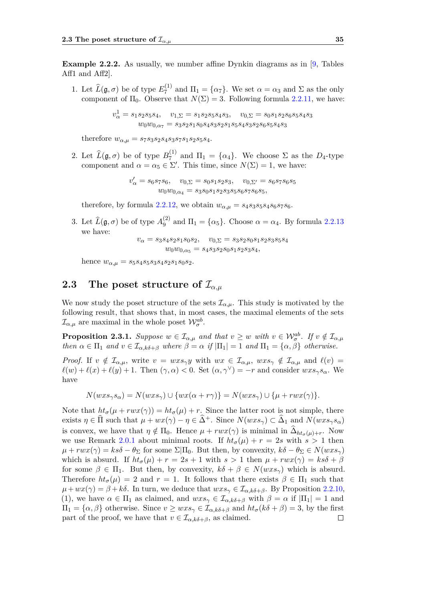**Example 2.2.2.** As usually, we number affine Dynkin diagrams as in [\[9,](#page-56-7) Tables Aff1 and Aff2].

1. Let  $\widehat{L}(\mathfrak{g}, \sigma)$  be of type  $E_7^{(1)}$  $T_7^{(1)}$  and  $\Pi_1 = {\alpha_7}$ . We set  $\alpha = \alpha_3$  and  $\Sigma$  as the only component of  $\Pi_0$ . Observe that  $N(\Sigma) = 3$ . Following formula [2.2.11,](#page-38-1) we have:

$$
v_{\alpha}^{1} = s_1 s_2 s_5 s_4, \quad v_{1,\Sigma} = s_1 s_2 s_5 s_4 s_3, \quad v_{0,\Sigma} = s_0 s_1 s_2 s_6 s_5 s_4 s_3 \nw_0 w_{0,\alpha_7} = s_3 s_2 s_1 s_0 s_4 s_3 s_2 s_1 s_5 s_4 s_3 s_2 s_6 s_5 s_4 s_3
$$

therefore  $w_{\alpha,\mu} = s_7s_3s_2s_4s_3s_7s_1s_2s_5s_4$ .

2. Let  $\widehat{L}(\mathfrak{g}, \sigma)$  be of type  $B_7^{(1)}$  $T_7^{(1)}$  and  $\Pi_1 = {\alpha_4}$ . We choose  $\Sigma$  as the  $D_4$ -type component and  $\alpha = \alpha_5 \in \Sigma'$ . This time, since  $N(\Sigma) = 1$ , we have:

$$
v'_{\alpha} = s_6 s_7 s_6, \quad v_{0,\Sigma} = s_0 s_1 s_2 s_3, \quad v_{0,\Sigma'} = s_6 s_7 s_6 s_5 \nw_0 w_{0,\alpha_4} = s_3 s_0 s_1 s_2 s_3 s_5 s_6 s_7 s_6 s_5,
$$

therefore, by formula [2.2.12,](#page-39-2) we obtain  $w_{\alpha,\mu} = s_4 s_3 s_5 s_4 s_6 s_7 s_6$ .

3. Let  $\widehat{L}(\mathfrak{g}, \sigma)$  be of type  $A_9^{(2)}$  $\binom{1}{9}$  and  $\Pi_1 = \{\alpha_5\}$ . Choose  $\alpha = \alpha_4$ . By formula [2.2.13](#page-39-0) we have:

$$
v_{\alpha} = s_3 s_4 s_2 s_1 s_0 s_2, \quad v_{0,\Sigma} = s_3 s_2 s_0 s_1 s_2 s_3 s_5 s_4
$$

$$
w_0 w_{0,\alpha_5} = s_4 s_3 s_2 s_0 s_1 s_2 s_3 s_4,
$$

hence  $w_{\alpha,\mu} = s_5s_4s_5s_3s_4s_2s_1s_0s_2.$ 

## <span id="page-40-0"></span>**2.3** The poset structure of  $\mathcal{I}_{\alpha,\mu}$

We now study the poset structure of the sets  $\mathcal{I}_{\alpha,\mu}$ . This study is motivated by the following result, that shows that, in most cases, the maximal elements of the sets  $\mathcal{I}_{\alpha,\mu}$  are maximal in the whole poset  $\mathcal{W}_{\sigma}^{ab}$ .

<span id="page-40-1"></span>**Proposition 2.3.1.** *Suppose*  $w \in \mathcal{I}_{\alpha,\mu}$  *and that*  $v \geq w$  *with*  $v \in \mathcal{W}_{\sigma}^{ab}$ *. If*  $v \notin \mathcal{I}_{\alpha,\mu}$ *then*  $\alpha \in \Pi_1$  *and*  $v \in \mathcal{I}_{\alpha,k\delta+\beta}$  *where*  $\beta = \alpha$  *if*  $|\Pi_1| = 1$  *and*  $\Pi_1 = {\alpha, \beta}$  *otherwise.* 

*Proof.* If  $v \notin \mathcal{I}_{\alpha,\mu}$ , write  $v = wxs_{\gamma}y$  with  $wx \in \mathcal{I}_{\alpha,\mu}$ ,  $wxs_{\gamma} \notin \mathcal{I}_{\alpha,\mu}$  and  $\ell(v) =$  $\ell(w) + \ell(x) + \ell(y) + 1$ . Then  $(\gamma, \alpha) < 0$ . Set  $(\alpha, \gamma^{\vee}) = -r$  and consider  $wxs_{\gamma}s_{\alpha}$ . We have

$$
N(wxs_{\gamma}s_{\alpha}) = N(wxs_{\gamma}) \cup \{wx(\alpha+r\gamma)\} = N(wxs_{\gamma}) \cup \{\mu+rwx(\gamma)\}.
$$

Note that  $ht_{\sigma}(\mu + rwx(\gamma)) = ht_{\sigma}(\mu) + r$ . Since the latter root is not simple, there exists  $\eta \in \widehat{\Pi}$  such that  $\mu + wx(\gamma) - \eta \in \widehat{\Delta}^+$ . Since  $N(wxs_{\gamma}) \subset \widehat{\Delta}_1$  and  $N(wxs_{\gamma}s_{\alpha})$ is convex, we have that  $\eta \notin \Pi_0$ . Hence  $\mu + rwx(\gamma)$  is minimal in  $\Delta_{ht_{\sigma}(\mu)+r}$ . Now we use Remark [2.0.1](#page-24-1) about minimal roots. If  $ht_{\sigma}(\mu) + r = 2s$  with  $s > 1$  then  $\mu + rwx(\gamma) = ks\delta - \theta_{\Sigma}$  for some  $\Sigma|\Pi_0$ . But then, by convexity,  $k\delta - \theta_{\Sigma} \in N(wxs_{\gamma})$ which is absurd. If  $ht_{\sigma}(\mu) + r = 2s + 1$  with  $s > 1$  then  $\mu + rwx(\gamma) = ks\delta + \beta$ for some  $\beta \in \Pi_1$ . But then, by convexity,  $k\delta + \beta \in N(wxs_\gamma)$  which is absurd. Therefore  $ht_{\sigma}(\mu) = 2$  and  $r = 1$ . It follows that there exists  $\beta \in \Pi_1$  such that  $\mu + wx(\gamma) = \beta + k\delta$ . In turn, we deduce that  $wxs_{\gamma} \in I_{\alpha,k\delta+\beta}$ . By Proposition [2.2.10,](#page-33-2) (1), we have  $\alpha \in \Pi_1$  as claimed, and  $wxs_\gamma \in \mathcal{I}_{\alpha,k\delta+\beta}$  with  $\beta = \alpha$  if  $|\Pi_1| = 1$  and  $\Pi_1 = {\alpha, \beta}$  otherwise. Since  $v \geq wxs_\gamma \in \mathcal{I}_{\alpha,k\delta+\beta}$  and  $ht_\sigma(k\delta+\beta)=3$ , by the first part of the proof, we have that  $v \in \mathcal{I}_{\alpha,k\delta+\beta}$ , as claimed.  $\Box$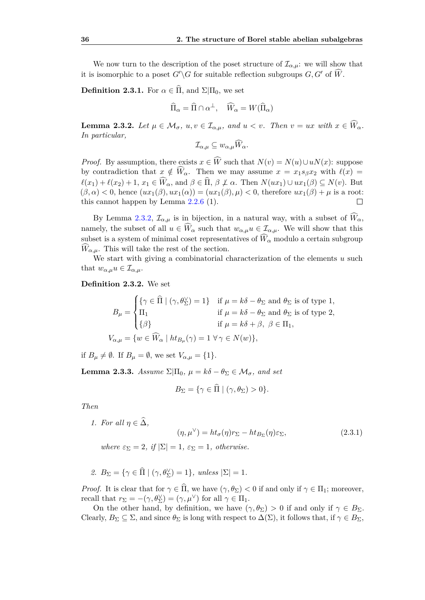We now turn to the description of the poset structure of  $\mathcal{I}_{\alpha,\mu}$ : we will show that it is isomorphic to a poset  $G'\G$  for suitable reflection subgroups  $G, G'$  of  $\widehat{W}$ .

**Definition 2.3.1.** For  $\alpha \in \widehat{\Pi}$ , and  $\Sigma|\Pi_0$ , we set

$$
\widehat{\Pi}_{\alpha} = \widehat{\Pi} \cap \alpha^{\perp}, \quad \widehat{W}_{\alpha} = W(\widehat{\Pi}_{\alpha})
$$

<span id="page-41-0"></span>**Lemma 2.3.2.** Let  $\mu \in \mathcal{M}_{\sigma}$ ,  $u, v \in \mathcal{I}_{\alpha,\mu}$ , and  $u < v$ . Then  $v = ux$  with  $x \in \widehat{W}_{\alpha}$ . *In particular,*

$$
\mathcal{I}_{\alpha,\mu} \subseteq w_{\alpha,\mu} \widehat{W}_{\alpha}.
$$

*Proof.* By assumption, there exists  $x \in \widehat{W}$  such that  $N(v) = N(u) \cup uN(x)$ : suppose by contradiction that  $x \notin \widehat{W}_{\alpha}$ . Then we may assume  $x = x_1 s_{\beta} x_2$  with  $\ell(x) =$  $\ell(x_1) + \ell(x_2) + 1$ ,  $x_1 \in \widehat{W}_\alpha$ , and  $\beta \in \widehat{\Pi}$ ,  $\beta \not\perp \alpha$ . Then  $N(ux_1) \cup ux_1(\beta) \subseteq N(v)$ . But  $(\beta, \alpha) < 0$ , hence  $(ux_1(\beta), ux_1(\alpha)) = (ux_1(\beta), \mu) < 0$ , therefore  $ux_1(\beta) + \mu$  is a root: this cannot happen by Lemma [2.2.6](#page-31-1) (1).

By Lemma [2.3.2,](#page-41-0)  $\mathcal{I}_{\alpha,\mu}$  is in bijection, in a natural way, with a subset of  $\widehat{W}_{\alpha}$ , namely, the subset of all  $u \in W_\alpha$  such that  $w_{\alpha,\mu}u \in \mathcal{I}_{\alpha,\mu}$ . We will show that this subset is a system of minimal coset representatives of  $\widehat{W}_{\alpha}$  modulo a certain subgroup  $\widehat{W}_{\alpha,\mu}$ . This will take the rest of the section.

We start with giving a combinatorial characterization of the elements *u* such that  $w_{\alpha,\mu}u \in \mathcal{I}_{\alpha,\mu}$ .

**Definition 2.3.2.** We set

$$
B_{\mu} = \begin{cases} \{ \gamma \in \widehat{\Pi} \mid (\gamma, \theta_{\Sigma}^{\vee}) = 1 \} & \text{if } \mu = k\delta - \theta_{\Sigma} \text{ and } \theta_{\Sigma} \text{ is of type 1}, \\ \Pi_{1} & \text{if } \mu = k\delta - \theta_{\Sigma} \text{ and } \theta_{\Sigma} \text{ is of type 2}, \\ \{ \beta \} & \text{if } \mu = k\delta + \beta, \ \beta \in \Pi_{1}, \end{cases}
$$

$$
V_{\alpha,\mu} = \{ w \in \widehat{W}_{\alpha} \mid ht_{B_{\mu}}(\gamma) = 1 \ \forall \gamma \in N(w) \},
$$

if  $B_u \neq \emptyset$ . If  $B_u = \emptyset$ , we set  $V_{\alpha,u} = \{1\}.$ 

<span id="page-41-2"></span>**Lemma 2.3.3.** *Assume*  $\Sigma|\Pi_0, \mu = k\delta - \theta_{\Sigma} \in \mathcal{M}_{\sigma}$ , and set

$$
B_{\Sigma} = \{ \gamma \in \Pi \mid (\gamma, \theta_{\Sigma}) > 0 \}.
$$

*Then*

*1. For all*  $\eta \in \widehat{\Delta}$ *,* 

<span id="page-41-1"></span>
$$
(\eta, \mu^{\vee}) = ht_{\sigma}(\eta)r_{\Sigma} - ht_{B_{\Sigma}}(\eta)\varepsilon_{\Sigma},
$$
\n(2.3.1)

*where*  $\varepsilon_{\Sigma} = 2$ , *if*  $|\Sigma| = 1$ ,  $\varepsilon_{\Sigma} = 1$ , *otherwise.* 

2.  $B_{\Sigma} = \{ \gamma \in \widehat{\Pi} \mid (\gamma, \theta_{\Sigma}^{\vee}) = 1 \}, \text{ unless } |\Sigma| = 1.$ 

*Proof.* It is clear that for  $\gamma \in \hat{\Pi}$ , we have  $(\gamma, \theta_{\Sigma}) < 0$  if and only if  $\gamma \in \Pi_1$ ; moreover, recall that  $r_{\Sigma} = -(\gamma, \theta_{\Sigma}^{\vee}) = (\gamma, \mu^{\vee})$  for all  $\gamma \in \Pi_1$ .

On the other hand, by definition, we have  $(\gamma, \theta_{\Sigma}) > 0$  if and only if  $\gamma \in B_{\Sigma}$ . Clearly,  $B_{\Sigma} \subseteq \Sigma$ , and since  $\theta_{\Sigma}$  is long with respect to  $\Delta(\Sigma)$ , it follows that, if  $\gamma \in B_{\Sigma}$ ,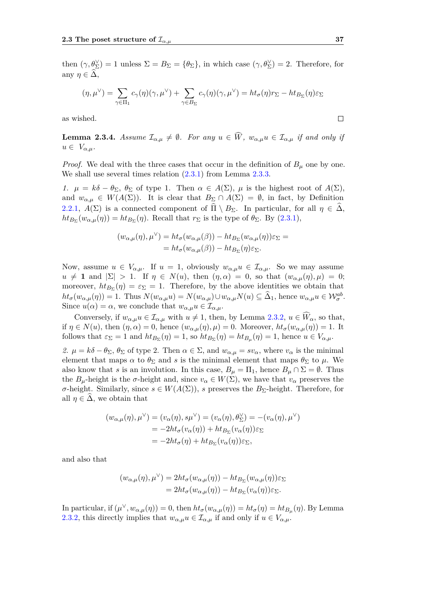then  $(\gamma, \theta_{\Sigma}^{\vee}) = 1$  unless  $\Sigma = B_{\Sigma} = {\theta_{\Sigma}}$ , in which case  $(\gamma, \theta_{\Sigma}^{\vee}) = 2$ . Therefore, for any  $\eta \in \Delta$ ,

$$
(\eta, \mu^{\vee}) = \sum_{\gamma \in \Pi_1} c_{\gamma}(\eta)(\gamma, \mu^{\vee}) + \sum_{\gamma \in B_{\Sigma}} c_{\gamma}(\eta)(\gamma, \mu^{\vee}) = ht_{\sigma}(\eta)r_{\Sigma} - ht_{B_{\Sigma}}(\eta)\varepsilon_{\Sigma}
$$

as wished.

<span id="page-42-0"></span>**Lemma 2.3.4.** *Assume*  $\mathcal{I}_{\alpha,\mu} \neq \emptyset$ *. For any*  $u \in \widehat{W}$ *,*  $w_{\alpha,\mu}u \in \mathcal{I}_{\alpha,\mu}$  *if and only if*  $u \in V_{\alpha,\mu}$ .

*Proof.* We deal with the three cases that occur in the definition of  $B_\mu$  one by one. We shall use several times relation  $(2.3.1)$  from Lemma [2.3.3.](#page-41-2)

*1.*  $\mu = k\delta - \theta_{\Sigma}, \theta_{\Sigma}$  of type 1. Then *α* ∈ *A*(Σ),  $\mu$  is the highest root of *A*(Σ), and  $w_{\alpha,\mu} \in W(A(\Sigma))$ . It is clear that  $B_{\Sigma} \cap A(\Sigma) = \emptyset$ , in fact, by Definition [2.2.1,](#page-27-4)  $A(\Sigma)$  is a connected component of  $\widehat{\Pi} \setminus B_{\Sigma}$ . In particular, for all  $\eta \in \widehat{\Delta}$ ,  $ht_{B_{\Sigma}}(w_{\alpha,\mu}(\eta)) = ht_{B_{\Sigma}}(\eta)$ . Recall that  $r_{\Sigma}$  is the type of  $\theta_{\Sigma}$ . By [\(2.3.1\)](#page-41-1),

$$
(w_{\alpha,\mu}(\eta),\mu^{\vee}) = ht_{\sigma}(w_{\alpha,\mu}(\beta)) - ht_{B_{\Sigma}}(w_{\alpha,\mu}(\eta))\varepsilon_{\Sigma} = = ht_{\sigma}(w_{\alpha,\mu}(\beta)) - ht_{B_{\Sigma}}(\eta)\varepsilon_{\Sigma}.
$$

Now, assume  $u \in V_{\alpha,\mu}$ . If  $u = 1$ , obviously  $w_{\alpha,\mu}u \in \mathcal{I}_{\alpha,\mu}$ . So we may assume  $u \neq 1$  and  $|\Sigma| > 1$ . If  $\eta \in N(u)$ , then  $(\eta, \alpha) = 0$ , so that  $(w_{\alpha,u}(\eta), \mu) = 0$ ; moreover,  $ht_{B_{\Sigma}}(\eta) = \varepsilon_{\Sigma} = 1$ . Therefore, by the above identities we obtain that  $ht_{\sigma}(w_{\alpha,\mu}(\eta)) = 1$ . Thus  $N(w_{\alpha,\mu}u) = N(w_{\alpha,\mu}) \cup w_{\alpha,\mu}N(u) \subseteq \hat{\Delta}_1$ , hence  $w_{\alpha,\mu}u \in \mathcal{W}_{\sigma}^{ab}$ . Since  $u(\alpha) = \alpha$ , we conclude that  $w_{\alpha,\mu}u \in I_{\alpha,\mu}$ .

Conversely, if  $w_{\alpha,\mu}u \in \mathcal{I}_{\alpha,\mu}$  with  $u \neq 1$ , then, by Lemma [2.3.2,](#page-41-0)  $u \in \widehat{W}_{\alpha}$ , so that, if  $\eta \in N(u)$ , then  $(\eta, \alpha) = 0$ , hence  $(w_{\alpha,\mu}(\eta), \mu) = 0$ . Moreover,  $ht_{\sigma}(w_{\alpha,\mu}(\eta)) = 1$ . It follows that  $\varepsilon_{\Sigma} = 1$  and  $ht_{B_{\Sigma}}(\eta) = 1$ , so  $ht_{B_{\Sigma}}(\eta) = ht_{B_{\mu}}(\eta) = 1$ , hence  $u \in V_{\alpha,\mu}$ .

*2. µ* = *kδ* − *θ*<sub>Σ</sub>, *θ*<sub>Σ</sub> of type 2. Then *α* ∈ Σ, and  $w_{α,μ} = sv_α$ , where  $v_α$  is the minimal element that maps  $\alpha$  to  $\theta_{\Sigma}$  and *s* is the minimal element that maps  $\theta_{\Sigma}$  to  $\mu$ . We also know that *s* is an involution. In this case,  $B_\mu = \Pi_1$ , hence  $B_\mu \cap \Sigma = \emptyset$ . Thus the  $B_\mu$ -height is the *σ*-height and, since  $v_\alpha \in W(\Sigma)$ , we have that  $v_\alpha$  preserves the *σ*-height. Similarly, since  $s \in W(A(\Sigma))$ , *s* preserves the *B*<sub>Σ</sub>-height. Therefore, for all  $\eta \in \Delta$ , we obtain that

$$
(w_{\alpha,\mu}(\eta), \mu^{\vee}) = (v_{\alpha}(\eta), s\mu^{\vee}) = (v_{\alpha}(\eta), \theta_{\Sigma}^{\vee}) = -(v_{\alpha}(\eta), \mu^{\vee})
$$
  
= -2ht<sub>\sigma</sub>(v<sub>\alpha</sub>(\eta)) + ht<sub>B<sub>\Sigma</sub></sub>(v<sub>\alpha</sub>(\eta))\varepsilon<sub>\Sigma</sub>  
= -2ht<sub>\sigma</sub>(\eta) + ht<sub>B<sub>\Sigma</sub></sub>(v<sub>\alpha</sub>(\eta))\varepsilon<sub>\Sigma</sub>,

and also that

$$
(w_{\alpha,\mu}(\eta),\mu^{\vee}) = 2ht_{\sigma}(w_{\alpha,\mu}(\eta)) - ht_{B_{\Sigma}}(w_{\alpha,\mu}(\eta))\varepsilon_{\Sigma}
$$
  
=  $2ht_{\sigma}(w_{\alpha,\mu}(\eta)) - ht_{B_{\Sigma}}(v_{\alpha}(\eta))\varepsilon_{\Sigma}.$ 

In particular, if  $(\mu^{\vee}, w_{\alpha,\mu}(\eta)) = 0$ , then  $ht_{\sigma}(w_{\alpha,\mu}(\eta)) = ht_{\sigma}(\eta) = ht_{B_{\mu}}(\eta)$ . By Lemma [2.3.2,](#page-41-0) this directly implies that  $w_{\alpha,\mu}u \in \mathcal{I}_{\alpha,\mu}$  if and only if  $u \in V_{\alpha,\mu}$ .

 $\Box$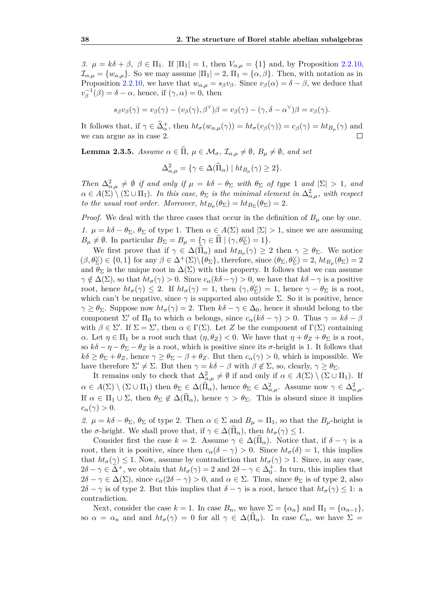*3. μ* =  $k\delta + \beta$ ,  $\beta \in \Pi_1$ . If  $|\Pi_1| = 1$ , then  $V_{\alpha,\mu} = \{1\}$  and, by Proposition [2.2.10,](#page-33-2)  $\mathcal{I}_{\alpha,\mu} = \{w_{\alpha,\mu}\}.$  So we may assume  $|\Pi_1| = 2, \Pi_1 = \{\alpha,\beta\}.$  Then, with notation as in Proposition [2.2.10,](#page-33-2) we have that  $w_{\alpha,\mu} = s_{\beta}v_{\beta}$ . Since  $v_{\beta}(\alpha) = \delta - \beta$ , we deduce that  $v_{\beta}^{-1}(\beta) = \delta - \alpha$ , hence, if  $(\gamma, \alpha) = 0$ , then

$$
s_{\beta}v_{\beta}(\gamma)=v_{\beta}(\gamma)-(v_{\beta}(\gamma),\beta^{\vee})\beta=v_{\beta}(\gamma)-(\gamma,\delta-\alpha^{\vee})\beta=v_{\beta}(\gamma).
$$

It follows that, if  $\gamma \in \hat{\Delta}_{\alpha}^+$ , then  $ht_{\sigma}(w_{\alpha,\mu}(\gamma)) = ht_{\sigma}(v_{\beta}(\gamma)) = c_{\beta}(\gamma) = ht_{B_{\mu}}(\gamma)$  and we can argue as in case 2.

<span id="page-43-0"></span>**Lemma 2.3.5.** *Assume*  $\alpha \in \widehat{\Pi}$ ,  $\mu \in \mathcal{M}_{\sigma}$ ,  $\mathcal{I}_{\alpha,\mu} \neq \emptyset$ ,  $B_{\mu} \neq \emptyset$ , and set

$$
\Delta_{\alpha,\mu}^2 = \{ \gamma \in \Delta(\widehat{\Pi}_{\alpha}) \mid ht_{B_{\mu}}(\gamma) \ge 2 \}.
$$

*Then*  $\Delta_{\alpha,\mu}^2 \neq \emptyset$  *if and only if*  $\mu = k\delta - \theta_{\Sigma}$  *with*  $\theta_{\Sigma}$  *of type* 1 *and*  $|\Sigma| > 1$ *, and*  $\alpha \in A(\Sigma) \setminus (\Sigma \cup \Pi_1)$ . In this case,  $\theta_{\Sigma}$  is the minimal element in  $\Delta^2_{\alpha,\mu}$ , with respect *to the usual root order. Moreover,*  $ht_{B_{\mu}}(\theta_{\Sigma}) = ht_{B_{\Sigma}}(\theta_{\Sigma}) = 2$ .

*Proof.* We deal with the three cases that occur in the definition of  $B_\mu$  one by one.

*1.*  $\mu = k\delta - \theta_{\Sigma}, \theta_{\Sigma}$  of type 1. Then  $\alpha \in A(\Sigma)$  and  $|\Sigma| > 1$ , since we are assuming  $B_{\mu} \neq \emptyset$ . In particular  $B_{\Sigma} = B_{\mu} = {\mathbf{\Omega} \setminus \{ \gamma, \theta_{\Sigma}^{\vee} \} = 1 \}.$ 

We first prove that if  $\gamma \in \Delta(\Pi_{\alpha})$  and  $ht_{B_{\mu}}(\gamma) \geq 2$  then  $\gamma \geq \theta_{\Sigma}$ . We notice  $(\beta, \theta_{\Sigma}^{\vee}) \in \{0, 1\}$  for any  $\beta \in \Delta^+(\Sigma) \setminus {\{\theta_{\Sigma}\}}$ , therefore, since  $(\theta_{\Sigma}, \theta_{\Sigma}^{\vee}) = 2$ ,  $ht_{B_{\mu}}(\theta_{\Sigma}) = 2$ and  $\theta_{\Sigma}$  is the unique root in  $\Delta(\Sigma)$  with this property. It follows that we can assume  $\gamma \notin \Delta(\Sigma)$ , so that  $ht_{\sigma}(\gamma) > 0$ . Since  $c_{\alpha}(k\delta - \gamma) > 0$ , we have that  $k\delta - \gamma$  is a positive root, hence  $ht_{\sigma}(\gamma) \leq 2$ . If  $ht_{\sigma}(\gamma) = 1$ , then  $(\gamma, \theta_{\Sigma}) = 1$ , hence  $\gamma - \theta_{\Sigma}$  is a root, which can't be negative, since  $\gamma$  is supported also outside  $\Sigma$ . So it is positive, hence  $\gamma \ge \theta_{\Sigma}$ . Suppose now  $ht_{\sigma}(\gamma) = 2$ . Then  $k\delta - \gamma \in \Delta_0$ , hence it should belong to the component  $\Sigma'$  of  $\Pi_0$  to which  $\alpha$  belongs, since  $c_{\alpha}(k\delta - \gamma) > 0$ . Thus  $\gamma = k\delta - \beta$ with  $\beta \in \Sigma'$ . If  $\Sigma = \Sigma'$ , then  $\alpha \in \Gamma(\Sigma)$ . Let *Z* be the component of  $\Gamma(\Sigma)$  containing *α*. Let  $\eta \in \Pi_1$  be a root such that  $(\eta, \theta_Z) < 0$ . We have that  $\eta + \theta_Z + \theta_{\Sigma}$  is a root, so  $k\delta - \eta - \theta_{\Sigma} - \theta_{Z}$  is a root, which is positive since its  $\sigma$ -height is 1. It follows that  $k\delta \geq \theta_{\Sigma} + \theta_{Z}$ , hence  $\gamma \geq \theta_{\Sigma} - \beta + \theta_{Z}$ . But then  $c_{\alpha}(\gamma) > 0$ , which is impossible. We have therefore  $\Sigma' \neq \Sigma$ . But then  $\gamma = k\delta - \beta$  with  $\beta \notin \Sigma$ , so, clearly,  $\gamma \geq \theta_{\Sigma}$ .

It remains only to check that  $\Delta_{\alpha,\mu}^2 \neq \emptyset$  if and only if  $\alpha \in A(\Sigma) \setminus (\Sigma \cup \Pi_1)$ . If  $\alpha \in A(\Sigma) \setminus (\Sigma \cup \Pi_1)$  then  $\theta_{\Sigma} \in \Delta(\widehat{\Pi}_{\alpha})$ , hence  $\theta_{\Sigma} \in \Delta^2_{\alpha,\mu}$ . Assume now  $\gamma \in \Delta^2_{\alpha,\mu}$ . If  $\alpha \in \Pi_1 \cup \Sigma$ , then  $\theta_{\Sigma} \notin \Delta(\Pi_\alpha)$ , hence  $\gamma > \theta_{\Sigma}$ . This is absurd since it implies  $c_{\alpha}(\gamma) > 0.$ 

*2. µ* = *kδ* − *θ*<sub>Σ</sub>, *θ*<sub>Σ</sub> of type 2. Then *α* ∈ Σ and *B<sub><i>u*</sub></sub> =  $\Pi_1$ , so that the *B<sub><i>u*</sub></sub>-height is the *σ*-height. We shall prove that, if  $\gamma \in \Delta(\Pi_{\alpha})$ , then  $ht_{\sigma}(\gamma) \leq 1$ .

Consider first the case  $k = 2$ . Assume  $\gamma \in \Delta(\Pi_{\alpha})$ . Notice that, if  $\delta - \gamma$  is a root, then it is positive, since then  $c_{\alpha}(\delta - \gamma) > 0$ . Since  $ht_{\sigma}(\delta) = 1$ , this implies that  $ht_{\sigma}(\gamma) \leq 1$ . Now, assume by contradiction that  $ht_{\sigma}(\gamma) > 1$ . Since, in any case,  $2\delta - \gamma \in \widehat{\Delta}^+$ , we obtain that  $ht_{\sigma}(\gamma) = 2$  and  $2\delta - \gamma \in \Delta_0^+$ . In turn, this implies that  $2\delta - \gamma \in \Delta(\Sigma)$ , since  $c_{\alpha}(2\delta - \gamma) > 0$ , and  $\alpha \in \Sigma$ . Thus, since  $\theta_{\Sigma}$  is of type 2, also  $2\delta - \gamma$  is of type 2. But this implies that  $\delta - \gamma$  is a root, hence that  $ht_{\sigma}(\gamma) \leq 1$ : a contradiction.

Next, consider the case  $k = 1$ . In case  $B_n$ , we have  $\Sigma = {\alpha_n}$  and  $\Pi_1 = {\alpha_{n-1}}$ , so  $\alpha = \alpha_n$  and and  $ht_{\sigma}(\gamma) = 0$  for all  $\gamma \in \Delta(\Pi_{\alpha})$ . In case  $C_n$ , we have  $\Sigma =$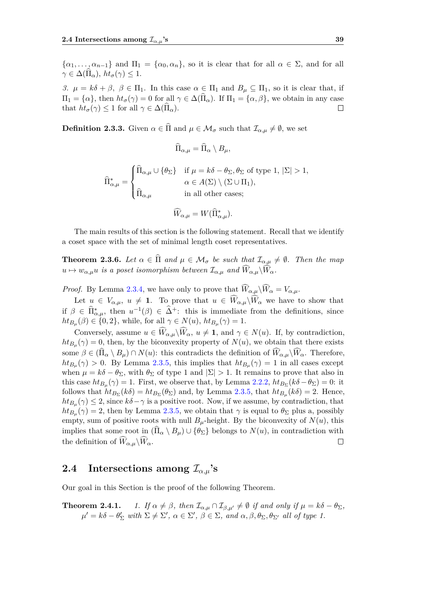$\{\alpha_1, \ldots, \alpha_{n-1}\}\$  and  $\Pi_1 = \{\alpha_0, \alpha_n\}\$ , so it is clear that for all  $\alpha \in \Sigma$ , and for all  $\gamma \in \Delta(\Pi_{\alpha}), \ ht_{\sigma}(\gamma) \leq 1.$ 

*3. µ* =  $k\delta + \beta$ ,  $\beta \in \Pi_1$ . In this case  $\alpha \in \Pi_1$  and  $B_\mu \subseteq \Pi_1$ , so it is clear that, if  $\Pi_1 = {\alpha}$ , then  $ht_{\sigma}(\gamma) = 0$  for all  $\gamma \in \Delta(\Pi_{\alpha})$ . If  $\Pi_1 = {\alpha, \beta}$ , we obtain in any case that  $ht_{\sigma}(\gamma) \leq 1$  for all  $\gamma \in \Delta(\Pi_{\alpha})$ .  $\Box$ 

<span id="page-44-3"></span>**Definition 2.3.3.** Given  $\alpha \in \widehat{\Pi}$  and  $\mu \in \mathcal{M}_{\sigma}$  such that  $\mathcal{I}_{\alpha,\mu} \neq \emptyset$ , we set

$$
\Pi_{\alpha,\mu} = \Pi_{\alpha} \setminus B_{\mu},
$$

$$
\widehat{\Pi}^*_{\alpha,\mu} = \begin{cases} \widehat{\Pi}_{\alpha,\mu} \cup \{\theta_\Sigma\} & \text{if } \mu = k\delta - \theta_\Sigma, \theta_\Sigma \text{ of type 1, } |\Sigma| > 1, \\ & \alpha \in A(\Sigma) \setminus (\Sigma \cup \Pi_1), \\ \widehat{\Pi}_{\alpha,\mu} & \text{in all other cases;} \end{cases}
$$

$$
\widehat{W}_{\alpha,\mu} = W(\widehat{\Pi}_{\alpha,\mu}^*).
$$

The main results of this section is the following statement. Recall that we identify a coset space with the set of minimal length coset representatives.

<span id="page-44-1"></span>**Theorem 2.3.6.** *Let*  $\alpha \in \widehat{\Pi}$  *and*  $\mu \in \mathcal{M}_{\sigma}$  *be such that*  $\mathcal{I}_{\alpha,\mu} \neq \emptyset$ *. Then the map*  $u \mapsto w_{\alpha,\mu}u$  *is a poset isomorphism between*  $\mathcal{I}_{\alpha,\mu}$  *and*  $\widehat{W}_{\alpha,\mu}\backslash\widehat{W}_{\alpha}$ *.* 

*Proof.* By Lemma [2.3.4,](#page-42-0) we have only to prove that  $\widehat{W}_{\alpha,\mu}\backslash \widehat{W}_{\alpha} = V_{\alpha,\mu}$ .

Let  $u \in V_{\alpha,\mu}$ ,  $u \neq 1$ . To prove that  $u \in \widehat{W}_{\alpha,\mu}\backslash\widehat{W}_{\alpha}$  we have to show that if  $\beta \in \widehat{\Pi}^*_{\alpha,\mu}$ , then  $u^{-1}(\beta) \in \widehat{\Delta}^+$ : this is immediate from the definitions, since  $ht_{B_{\mu}}(\beta) \in \{0, 2\}$ , while, for all  $\gamma \in N(u)$ ,  $ht_{B_{\mu}}(\gamma) = 1$ .

Conversely, assume  $u \in \widehat{W}_{\alpha,\mu}\backslash\widehat{W}_{\alpha}, u \neq 1$ , and  $\gamma \in N(u)$ . If, by contradiction,  $ht_{B_\mu}(\gamma) = 0$ , then, by the biconvexity property of  $N(u)$ , we obtain that there exists some  $\beta \in (\Pi_{\alpha} \setminus B_{\mu}) \cap N(u)$ : this contradicts the definition of  $W_{\alpha,\mu} \setminus W_{\alpha}$ . Therefore,  $ht_{B_{\mu}}(\gamma) > 0$ . By Lemma [2.3.5,](#page-43-0) this implies that  $ht_{B_{\mu}}(\gamma) = 1$  in all cases except when  $\mu = k\delta - \theta_{\Sigma}$ , with  $\theta_{\Sigma}$  of type 1 and  $|\Sigma| > 1$ . It remains to prove that also in this case  $ht_{B_\mu}(\gamma) = 1$ . First, we observe that, by Lemma [2.2.2,](#page-28-0)  $ht_{B_\Sigma}(k\delta - \theta_\Sigma) = 0$ : it follows that  $ht_{B_{\Sigma}}(k\delta) = ht_{B_{\Sigma}}(\theta_{\Sigma})$  and, by Lemma [2.3.5,](#page-43-0) that  $ht_{B_{\mu}}(k\delta) = 2$ . Hence,  $ht_{B_{\mu}}(\gamma) \leq 2$ , since  $k\delta - \gamma$  is a positive root. Now, if we assume, by contradiction, that  $ht_{B_\mu}(\gamma) = 2$ , then by Lemma [2.3.5,](#page-43-0) we obtain that  $\gamma$  is equal to  $\theta_{\Sigma}$  plus a, possibly empty, sum of positive roots with null  $B_\mu$ -height. By the biconvexity of  $N(u)$ , this implies that some root in  $(\Pi_{\alpha} \setminus B_{\mu}) \cup \{\theta_{\Sigma}\}\)$  belongs to  $N(u)$ , in contradiction with the definition of  $\widehat{W}_{\alpha,\mu}\backslash \widehat{W}_{\alpha}$ .  $\Box$ 

## <span id="page-44-0"></span>**2.4** Intersections among  $\mathcal{I}_{\alpha,\mu}$ 's

<span id="page-44-2"></span>Our goal in this Section is the proof of the following Theorem.

**Theorem 2.4.1.** 1. If 
$$
\alpha \neq \beta
$$
, then  $\mathcal{I}_{\alpha,\mu} \cap \mathcal{I}_{\beta,\mu'} \neq \emptyset$  if and only if  $\mu = k\delta - \theta_{\Sigma}$ ,  $\mu' = k\delta - \theta'_{\Sigma}$  with  $\Sigma \neq \Sigma'$ ,  $\alpha \in \Sigma'$ ,  $\beta \in \Sigma$ , and  $\alpha, \beta, \theta_{\Sigma}, \theta_{\Sigma'}$  all of type 1.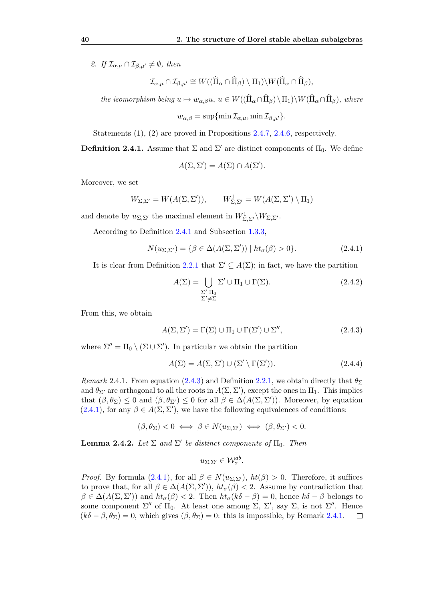*2. If*  $\mathcal{I}_{\alpha,\mu} \cap \mathcal{I}_{\beta,\mu'} \neq \emptyset$ , then

$$
\mathcal{I}_{\alpha,\mu} \cap \mathcal{I}_{\beta,\mu'} \cong W((\widehat{\Pi}_{\alpha} \cap \widehat{\Pi}_{\beta}) \setminus \Pi_1) \setminus W(\widehat{\Pi}_{\alpha} \cap \widehat{\Pi}_{\beta}),
$$

*the isomorphism being*  $u \mapsto w_{\alpha,\beta}u, u \in W((\Pi_{\alpha} \cap \Pi_{\beta}) \setminus \Pi_1) \setminus W(\Pi_{\alpha} \cap \Pi_{\beta}),$  where

$$
w_{\alpha,\beta} = \sup \{ \min \mathcal{I}_{\alpha,\mu}, \min \mathcal{I}_{\beta,\mu'} \}.
$$

Statements (1), (2) are proved in Propositions [2.4.7,](#page-48-0) [2.4.6,](#page-47-0) respectively.

<span id="page-45-0"></span>**Definition 2.4.1.** Assume that  $\Sigma$  and  $\Sigma'$  are distinct components of  $\Pi_0$ . We define

$$
A(\Sigma, \Sigma') = A(\Sigma) \cap A(\Sigma').
$$

Moreover, we set

$$
W_{\Sigma,\Sigma'} = W(A(\Sigma,\Sigma')), \qquad W^1_{\Sigma,\Sigma'} = W(A(\Sigma,\Sigma') \setminus \Pi_1)
$$

and denote by  $u_{\Sigma,\Sigma'}$  the maximal element in  $W^1_{\Sigma,\Sigma'}\backslash W_{\Sigma,\Sigma'}$ .

According to Definition [2.4.1](#page-45-0) and Subsection [1.3.3,](#page-19-1)

<span id="page-45-2"></span>
$$
N(u_{\Sigma,\Sigma'}) = \{ \beta \in \Delta(A(\Sigma,\Sigma')) \mid ht_{\sigma}(\beta) > 0 \}.
$$
 (2.4.1)

It is clear from Definition [2.2.1](#page-27-4) that  $\Sigma' \subseteq A(\Sigma)$ ; in fact, we have the partition

$$
A(\Sigma) = \bigcup_{\substack{\Sigma'|\Pi_0 \\ \Sigma' \neq \Sigma}} \Sigma' \cup \Pi_1 \cup \Gamma(\Sigma). \tag{2.4.2}
$$

From this, we obtain

<span id="page-45-1"></span>
$$
A(\Sigma, \Sigma') = \Gamma(\Sigma) \cup \Pi_1 \cup \Gamma(\Sigma') \cup \Sigma'', \tag{2.4.3}
$$

where  $\Sigma'' = \Pi_0 \setminus (\Sigma \cup \Sigma')$ . In particular we obtain the partition

$$
A(\Sigma) = A(\Sigma, \Sigma') \cup (\Sigma' \setminus \Gamma(\Sigma')). \tag{2.4.4}
$$

<span id="page-45-3"></span>*Remark* 2.4.1. From equation [\(2.4.3\)](#page-45-1) and Definition [2.2.1,](#page-27-4) we obtain directly that  $\theta_{\Sigma}$ and  $\theta_{\Sigma}$  are orthogonal to all the roots in  $A(\Sigma, \Sigma')$ , except the ones in  $\Pi_1$ . This implies that  $(\beta, \theta_{\Sigma}) \leq 0$  and  $(\beta, \theta_{\Sigma'}) \leq 0$  for all  $\beta \in \Delta(A(\Sigma, \Sigma'))$ . Moreover, by equation  $(2.4.1)$ , for any  $\beta \in A(\Sigma, \Sigma')$ , we have the following equivalences of conditions:

$$
(\beta, \theta_{\Sigma}) < 0 \iff \beta \in N(u_{\Sigma, \Sigma'}) \iff (\beta, \theta_{\Sigma'}) < 0.
$$

<span id="page-45-4"></span>**Lemma 2.4.2.** *Let*  $\Sigma$  *and*  $\Sigma'$  *be distinct components of*  $\Pi_0$ *. Then* 

$$
u_{\Sigma,\Sigma'} \in \mathcal{W}_{\sigma}^{ab}.
$$

<span id="page-45-5"></span>*Proof.* By formula [\(2.4.1\)](#page-45-2), for all  $\beta \in N(u_{\Sigma,\Sigma'})$ ,  $ht(\beta) > 0$ . Therefore, it suffices to prove that, for all  $\beta \in \Delta(A(\Sigma, \Sigma'))$ ,  $ht_{\sigma}(\beta) < 2$ . Assume by contradiction that  $\beta \in \Delta(A(\Sigma, \Sigma'))$  and  $ht_{\sigma}(\beta) < 2$ . Then  $ht_{\sigma}(k\delta - \beta) = 0$ , hence  $k\delta - \beta$  belongs to some component  $\Sigma''$  of  $\Pi_0$ . At least one among  $\Sigma$ ,  $\Sigma'$ , say  $\Sigma$ , is not  $\Sigma''$ . Hence  $(k\delta - \beta, \theta_{\Sigma}) = 0$ , which gives  $(\beta, \theta_{\Sigma}) = 0$ : this is impossible, by Remark [2.4.1.](#page-45-3)  $\Box$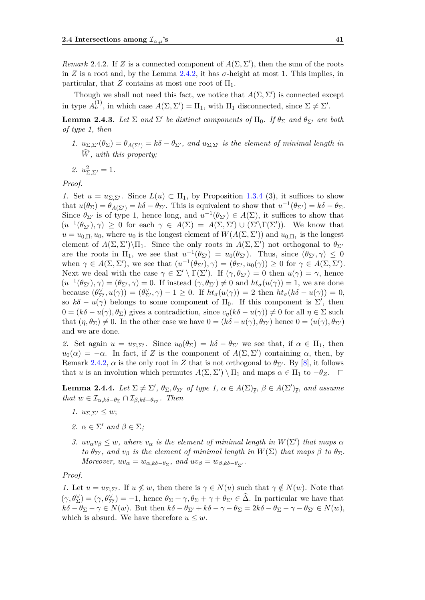*Remark* 2.4.2. If *Z* is a connected component of  $A(\Sigma, \Sigma')$ , then the sum of the roots in *Z* is a root and, by the Lemma [2.4.2,](#page-45-4) it has  $\sigma$ -height at most 1. This implies, in particular, that *Z* contains at most one root of  $\Pi_1$ .

Though we shall not need this fact, we notice that  $A(\Sigma, \Sigma')$  is connected except in type  $A_n^{(1)}$ , in which case  $A(\Sigma, \Sigma') = \Pi_1$ , with  $\Pi_1$  disconnected, since  $\Sigma \neq \Sigma'$ .

**Lemma 2.4.3.** Let  $\Sigma$  and  $\Sigma'$  be distinct components of  $\Pi_0$ . If  $\theta_{\Sigma}$  and  $\theta_{\Sigma'}$  are both *of type 1, then*

- *1.*  $u_{\Sigma,\Sigma'}(\theta_{\Sigma}) = \theta_{A(\Sigma')} = k\delta \theta_{\Sigma'}$ , and  $u_{\Sigma,\Sigma'}$  is the element of minimal length in  $\widehat{W}$ *, with this property:*
- *2.*  $u_{\Sigma,\Sigma'}^2 = 1$ *.*

*Proof.*

*1.* Set  $u = u_{\Sigma, \Sigma'}$ . Since  $L(u) \subset \Pi_1$ , by Proposition [1.3.4](#page-21-1) (3), it suffices to show that  $u(\theta_{\Sigma}) = \theta_{A(\Sigma')} = k\delta - \theta_{\Sigma'}$ . This is equivalent to show that  $u^{-1}(\theta_{\Sigma'}) = k\delta - \theta_{\Sigma}$ . Since  $\theta_{\Sigma}$  is of type 1, hence long, and  $u^{-1}(\theta_{\Sigma}) \in A(\Sigma)$ , it suffices to show that  $(u^{-1}(\theta_{\Sigma'}), \gamma) \geq 0$  for each  $\gamma \in A(\Sigma) = A(\Sigma, \Sigma') \cup (\Sigma' \backslash \Gamma(\Sigma'))$ . We know that  $u = u_{0,\Pi_1} u_0$ , where  $u_0$  is the longest element of  $W(A(\Sigma, \Sigma'))$  and  $u_{0,\Pi_1}$  is the longest element of  $A(\Sigma, \Sigma')\setminus\Pi_1$ . Since the only roots in  $A(\Sigma, \Sigma')$  not orthogonal to  $\theta_{\Sigma'}$ are the roots in  $\Pi_1$ , we see that  $u^{-1}(\theta_{\Sigma'}) = u_0(\theta_{\Sigma'})$ . Thus, since  $(\theta_{\Sigma'}, \gamma) \leq 0$ when  $\gamma \in A(\Sigma, \Sigma')$ , we see that  $(u^{-1}(\theta_{\Sigma'}), \gamma) = (\theta_{\Sigma'}, u_0(\gamma)) \geq 0$  for  $\gamma \in A(\Sigma, \Sigma')$ . Next we deal with the case  $\gamma \in \Sigma' \setminus \Gamma(\Sigma')$ . If  $(\gamma, \theta_{\Sigma'}) = 0$  then  $u(\gamma) = \gamma$ , hence  $(u^{-1}(\theta_{\Sigma'}), \gamma) = (\theta_{\Sigma'}, \gamma) = 0$ . If instead  $(\gamma, \theta_{\Sigma'}) \neq 0$  and  $ht_{\sigma}(u(\gamma)) = 1$ , we are done because  $(\theta_{\Sigma'}^{\vee}, u(\gamma)) = (\theta_{\Sigma'}^{\vee}, \gamma) - 1 \ge 0$ . If  $ht_{\sigma}(u(\gamma)) = 2$  then  $ht_{\sigma}(k\delta - u(\gamma)) = 0$ , so  $k\delta - u(\gamma)$  belongs to some component of  $\Pi_0$ . If this component is  $\Sigma'$ , then  $0 = (k\delta - u(\gamma), \theta_{\Sigma})$  gives a contradiction, since  $c_{\eta}(k\delta - u(\gamma)) \neq 0$  for all  $\eta \in \Sigma$  such that  $(\eta, \theta_{\Sigma}) \neq 0$ . In the other case we have  $0 = (k\delta - u(\gamma), \theta_{\Sigma'})$  hence  $0 = (u(\gamma), \theta_{\Sigma'})$ and we are done.

2. Set again  $u = u_{\Sigma, \Sigma'}$ . Since  $u_0(\theta_{\Sigma}) = k\delta - \theta_{\Sigma'}$  we see that, if  $\alpha \in \Pi_1$ , then  $u_0(\alpha) = -\alpha$ . In fact, if *Z* is the component of  $A(\Sigma, \Sigma')$  containing  $\alpha$ , then, by Remark [2.4.2,](#page-45-5)  $\alpha$  is the only root in Z that is not orthogonal to  $\theta_{\Sigma}$ . By [\[8\]](#page-56-12), it follows that *u* is an involution which permutes  $A(\Sigma, \Sigma') \setminus \Pi_1$  and maps  $\alpha \in \Pi_1$  to  $-\theta_Z$ .

<span id="page-46-0"></span>**Lemma 2.4.4.** *Let*  $\Sigma \neq \Sigma'$ ,  $\theta_{\Sigma}$ ,  $\theta_{\Sigma'}$  *of type 1*,  $\alpha \in A(\Sigma)_{\overline{\ell}}$ ,  $\beta \in A(\Sigma')_{\overline{\ell}}$ , and assume *that*  $w \in \mathcal{I}_{\alpha,k\delta-\theta_{\Sigma}} \cap \mathcal{I}_{\beta,k\delta-\theta_{\Sigma'}}$ *. Then* 

- *1.*  $u_{\Sigma, \Sigma'} < w$ ;
- *2.*  $\alpha \in \Sigma'$  *and*  $\beta \in \Sigma$ *;*
- *3.*  $uv_{\alpha}v_{\beta} \leq w$ , where  $v_{\alpha}$  *is the element of minimal length in*  $W(\Sigma')$  *that maps*  $\alpha$ *to*  $\theta_{\Sigma'}$ *, and*  $v_{\beta}$  *is the element of minimal length in*  $W(\Sigma)$  *that maps*  $\beta$  *to*  $\theta_{\Sigma}$ *. Moreover,*  $uv_{\alpha} = w_{\alpha,k\delta-\theta_{\Sigma}}$ *,*  $and$   $uv_{\beta} = w_{\beta,k\delta-\theta_{\Sigma'}}$ *.*

*Proof.*

*1.* Let  $u = u_{\Sigma, \Sigma'}$ . If  $u \nleq w$ , then there is  $\gamma \in N(u)$  such that  $\gamma \notin N(w)$ . Note that  $(\gamma, \theta_{\Sigma}^{\vee}) = (\gamma, \theta_{\Sigma^{\prime}}^{\vee}) = -1$ , hence  $\theta_{\Sigma} + \gamma, \theta_{\Sigma} + \gamma + \theta_{\Sigma^{\prime}} \in \hat{\Delta}$ . In particular we have that  $k\delta - \theta_{\Sigma} - \gamma \in N(w)$ . But then  $k\delta - \theta_{\Sigma'} + k\delta - \gamma - \theta_{\Sigma} = 2k\delta - \theta_{\Sigma} - \gamma - \theta_{\Sigma'} \in N(w)$ , which is absurd. We have therefore  $u \leq w$ .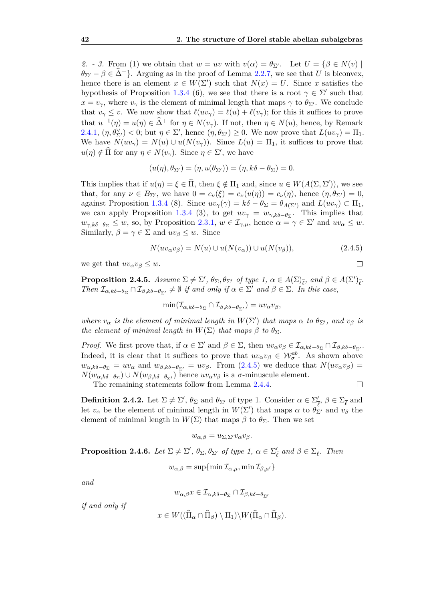2. - 3. From (1) we obtain that  $w = uv$  with  $v(\alpha) = \theta_{\Sigma'}$ . Let  $U = {\beta \in N(v) \mid \mathcal{E}}$  $\theta_{\Sigma'} - \beta \in \Delta^+$ . Arguing as in the proof of Lemma [2.2.7,](#page-31-2) we see that *U* is biconvex, hence there is an element  $x \in W(\Sigma')$  such that  $N(x) = U$ . Since *x* satisfies the hypothesis of Proposition [1.3.4](#page-21-1) (6), we see that there is a root  $\gamma \in \Sigma'$  such that  $x = v_{\gamma}$ , where  $v_{\gamma}$  is the element of minimal length that maps  $\gamma$  to  $\theta_{\Sigma'}$ . We conclude that  $v_\gamma \leq v$ . We now show that  $\ell(uv_\gamma) = \ell(u) + \ell(v_\gamma)$ ; for this it suffices to prove that  $u^{-1}(\eta) = u(\eta) \in \hat{\Delta}^+$  for  $\eta \in N(v_\gamma)$ . If not, then  $\eta \in N(u)$ , hence, by Remark [2.4.1,](#page-45-3)  $(\eta, \theta_{\Sigma'}) < 0$ ; but  $\eta \in \Sigma'$ , hence  $(\eta, \theta_{\Sigma'}) \geq 0$ . We now prove that  $L(uv_{\gamma}) = \Pi_1$ . We have  $N(uv_\gamma) = N(u) \cup u(N(v_\gamma))$ . Since  $L(u) = \Pi_1$ , it suffices to prove that  $u(\eta) \notin \hat{\Pi}$  for any  $\eta \in N(v_\gamma)$ . Since  $\eta \in \Sigma'$ , we have

$$
(u(\eta), \theta_{\Sigma'}) = (\eta, u(\theta_{\Sigma'})) = (\eta, k\delta - \theta_{\Sigma}) = 0.
$$

This implies that if  $u(\eta) = \xi \in \hat{\Pi}$ , then  $\xi \notin \Pi_1$  and, since  $u \in W(A(\Sigma, \Sigma'))$ , we see that, for any  $\nu \in B_{\Sigma'}$ , we have  $0 = c_{\nu}(\xi) = c_{\nu}(u(\eta)) = c_{\nu}(\eta)$ , hence  $(\eta, \theta_{\Sigma'}) = 0$ , against Proposition [1.3.4](#page-21-1) (8). Since  $uv_\gamma(\gamma) = k\delta - \theta_\Sigma = \theta_{A(\Sigma)}$  and  $L(uv_\gamma) \subset \Pi_1$ , we can apply Proposition [1.3.4](#page-21-1) (3), to get  $uv_{\gamma} = w_{\gamma,k\delta-\theta_{\Sigma}}$ . This implies that  $w_{\gamma,k\delta-\theta_{\Sigma}} \leq w$ , so, by Proposition [2.3.1,](#page-40-1)  $w \in I_{\gamma,\mu}$ , hence  $\alpha = \gamma \in \Sigma'$  and  $uv_{\alpha} \leq w$ . Similarly,  $\beta = \gamma \in \Sigma$  and  $uv_{\beta} \leq w$ . Since

<span id="page-47-1"></span>
$$
N(uv_{\alpha}v_{\beta}) = N(u) \cup u(N(v_{\alpha})) \cup u(N(v_{\beta})), \qquad (2.4.5)
$$

we get that  $uv_{\alpha}v_{\beta} \leq w$ .

<span id="page-47-2"></span>**Proposition 2.4.5.** *Assume*  $\Sigma \neq \Sigma'$ ,  $\theta_{\Sigma}$ ,  $\theta_{\Sigma'}$  *of type 1*,  $\alpha \in A(\Sigma)_{\overline{\ell}}$ , and  $\beta \in A(\Sigma')_{\overline{\ell}}$ . *Then*  $\mathcal{I}_{\alpha,k\delta-\theta_{\Sigma}} \cap \mathcal{I}_{\beta,k\delta-\theta_{\Sigma'}} \neq \emptyset$  *if and only if*  $\alpha \in \Sigma'$  *and*  $\beta \in \Sigma$ *. In this case,* 

$$
\min(\mathcal{I}_{\alpha,k\delta-\theta_{\Sigma}} \cap \mathcal{I}_{\beta,k\delta-\theta_{\Sigma'}}) = uv_{\alpha}v_{\beta},
$$

*where*  $v_{\alpha}$  *is the element of minimal length in*  $W(\Sigma')$  *that maps*  $\alpha$  *to*  $\theta_{\Sigma'}$ *, and*  $v_{\beta}$  *is the element of minimal length in*  $W(\Sigma)$  *that maps*  $\beta$  *to*  $\theta_{\Sigma}$ *.* 

*Proof.* We first prove that, if  $\alpha \in \Sigma'$  and  $\beta \in \Sigma$ , then  $uv_{\alpha}v_{\beta} \in I_{\alpha,k\delta-\theta_{\Sigma}} \cap I_{\beta,k\delta-\theta_{\Sigma'}}$ . Indeed, it is clear that it suffices to prove that  $uv_{\alpha}v_{\beta} \in W_{\sigma}^{ab}$ . As shown above  $w_{\alpha,k\delta-\theta_{\Sigma}} = uv_{\alpha}$  and  $w_{\beta,k\delta-\theta_{\Sigma'}} = uv_{\beta}$ . From [\(2.4.5\)](#page-47-1) we deduce that  $N(uv_{\alpha}v_{\beta}) =$  $N(w_{\alpha,k\delta-\theta_{\Sigma}}) \cup N(w_{\beta,k\delta-\theta_{\Sigma'}})$  hence  $uv_{\alpha}v_{\beta}$  is a *σ*-minuscule element.  $\Box$ 

The remaining statements follow from Lemma [2.4.4.](#page-46-0)

**Definition 2.4.2.** Let  $\Sigma \neq \Sigma'$ ,  $\theta_{\Sigma}$  and  $\theta_{\Sigma'}$  of type 1. Consider  $\alpha \in \Sigma'$  $\frac{\prime}{\ell}, \beta \in \Sigma_{\overline{\ell}}$  and let  $v_{\alpha}$  be the element of minimal length in  $W(\Sigma')$  that maps  $\alpha$  to  $\theta_{\Sigma'}^{\gamma}$  and  $v_{\beta}$  the element of minimal length in  $W(\Sigma)$  that maps  $\beta$  to  $\theta_{\Sigma}$ . Then we set

$$
w_{\alpha,\beta} = u_{\Sigma,\Sigma'} v_{\alpha} v_{\beta}.
$$

<span id="page-47-0"></span>**Proposition 2.4.6.** *Let*  $\Sigma \neq \Sigma'$ ,  $\theta_{\Sigma}$ ,  $\theta_{\Sigma'}$  *of type 1*,  $\alpha \in \Sigma'_{\overline{\ell}}$  *and*  $\beta \in \Sigma_{\overline{\ell}}$ *. Then* 

$$
w_{\alpha,\beta} = \sup \{ \min \mathcal{I}_{\alpha,\mu}, \min \mathcal{I}_{\beta,\mu'} \}
$$

*and*

$$
w_{\alpha,\beta}x\in\mathcal{I}_{\alpha,k\delta-\theta_{\Sigma}}\cap\mathcal{I}_{\beta,k\delta-\theta_{\Sigma'}}
$$

*if and only if*

$$
x\in W((\widehat{\Pi}_{\alpha}\cap \widehat{\Pi}_{\beta})\setminus \Pi_1)\backslash W(\widehat{\Pi}_{\alpha}\cap \widehat{\Pi}_{\beta}).
$$

$$
\qquad \qquad \Box
$$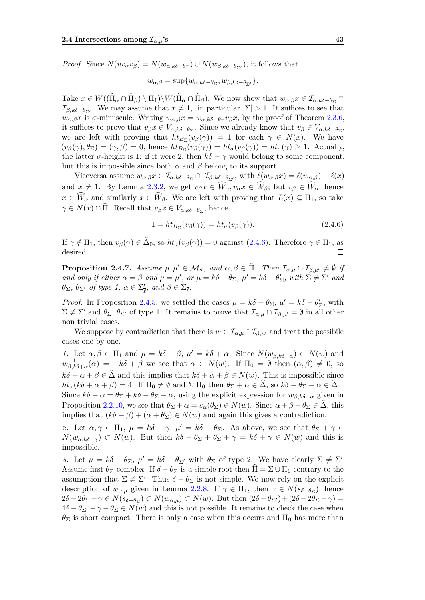*Proof.* Since  $N(uv_{\alpha}v_{\beta}) = N(w_{\alpha,k\delta-\theta_{\Sigma}}) \cup N(w_{\beta,k\delta-\theta_{\Sigma'}})$ , it follows that

$$
w_{\alpha,\beta} = \sup \{ w_{\alpha,k\delta - \theta_\Sigma}, w_{\beta,k\delta - \theta_{\Sigma'}} \}.
$$

Take  $x \in W((\Pi_{\alpha} \cap \Pi_{\beta}) \setminus \Pi_1) \setminus W(\Pi_{\alpha} \cap \Pi_{\beta})$ . We now show that  $w_{\alpha,\beta}x \in \mathcal{I}_{\alpha,k\delta-\theta_{\Sigma}} \cap$  $\mathcal{I}_{\beta,k\delta-\theta_{\Sigma'}}$ . We may assume that  $x \neq 1$ , in particular  $|\Sigma| > 1$ . It suffices to see that *w*<sub>α,β</sub>*x* is *σ*-minuscule. Writing  $w_{\alpha,\beta}x = w_{\alpha,k\delta-\theta_{\Sigma}}v_{\beta}x$ , by the proof of Theorem [2.3.6,](#page-44-1) it suffices to prove that  $v_{\beta}x \in V_{\alpha,k\delta-\theta_{\Sigma}}$ . Since we already know that  $v_{\beta} \in V_{\alpha,k\delta-\theta_{\Sigma}}$ , we are left with proving that  $ht_{B_{\Sigma}}(v_{\beta}(\gamma)) = 1$  for each  $\gamma \in N(x)$ . We have  $(v_{\beta}(\gamma), \theta_{\Sigma}) = (\gamma, \beta) = 0$ , hence  $ht_{B_{\Sigma}}(v_{\beta}(\gamma)) = ht_{\sigma}(v_{\beta}(\gamma)) = ht_{\sigma}(\gamma) \geq 1$ . Actually, the latter  $\sigma$ -height is 1: if it were 2, then  $k\delta - \gamma$  would belong to some component, but this is impossible since both  $\alpha$  and  $\beta$  belong to its support.

Viceversa assume  $w_{\alpha,\beta}x \in \mathcal{I}_{\alpha,k\delta-\theta_{\Sigma}} \cap \mathcal{I}_{\beta,k\delta-\theta_{\Sigma'}}$ , with  $\ell(w_{\alpha,\beta}x) = \ell(w_{\alpha,\beta}) + \ell(x)$ and  $x \neq 1$ . By Lemma [2.3.2,](#page-41-0) we get  $v_{\beta}x \in \widehat{W}_{\alpha}, v_{\alpha}x \in \widehat{W}_{\beta}$ ; but  $v_{\beta} \in \widehat{W}_{\alpha}$ , hence  $x \in \widehat{W}_{\alpha}$  and similarly  $x \in \widehat{W}_{\beta}$ . We are left with proving that  $L(x) \subseteq \Pi_1$ , so take  $\gamma \in N(x) \cap \Pi$ . Recall that  $v_{\beta}x \in V_{\alpha,k\delta-\theta_{\Sigma}}$ , hence

<span id="page-48-1"></span>
$$
1 = ht_{B_{\Sigma}}(v_{\beta}(\gamma)) = ht_{\sigma}(v_{\beta}(\gamma)). \tag{2.4.6}
$$

If  $\gamma \notin \Pi_1$ , then  $v_\beta(\gamma) \in \Delta_0$ , so  $ht_\sigma(v_\beta(\gamma)) = 0$  against [\(2.4.6\)](#page-48-1). Therefore  $\gamma \in \Pi_1$ , as desired.  $\Box$ 

<span id="page-48-0"></span>**Proposition 2.4.7.** *Assume*  $\mu, \mu' \in \mathcal{M}_{\sigma}$ , and  $\alpha, \beta \in \hat{\Pi}$ . Then  $\mathcal{I}_{\alpha,\mu} \cap \mathcal{I}_{\beta,\mu'} \neq \emptyset$  *if and only if either*  $\alpha = \beta$  *and*  $\mu = \mu'$ , *or*  $\mu = k\delta - \theta_{\Sigma}$ ,  $\mu' = k\delta - \theta'_{\Sigma}$ , with  $\Sigma \neq \Sigma'$  *and θ*<sub>Σ</sub>*, θ*<sub>Σ'</sub> *of type 1, α* ∈ Σ'<sub>*i*</sub>  $\frac{\prime}{\ell}$ *, and*  $\beta \in \Sigma_{\overline{\ell}}$ *.* 

*Proof.* In Proposition [2.4.5,](#page-47-2) we settled the cases  $\mu = k\delta - \theta_{\Sigma}$ ,  $\mu' = k\delta - \theta_{\Sigma}'$ , with  $\Sigma \neq \Sigma'$  and  $\theta_{\Sigma}$ ,  $\theta_{\Sigma'}$  of type 1. It remains to prove that  $\mathcal{I}_{\alpha,\mu} \cap \mathcal{I}_{\beta,\mu'} = \emptyset$  in all other non trivial cases.

We suppose by contradiction that there is  $w \in I_{\alpha,\mu} \cap I_{\beta,\mu'}$  and treat the possibile cases one by one.

*1.* Let  $\alpha, \beta \in \Pi_1$  and  $\mu = k\delta + \beta$ ,  $\mu' = k\delta + \alpha$ . Since  $N(w_{\beta,k\delta+\alpha}) \subset N(w)$  and  $w_{\beta,k\delta+\alpha}^{-1}(\alpha) = -k\delta + \beta$  we see that  $\alpha \in N(w)$ . If  $\Pi_0 = \emptyset$  then  $(\alpha, \beta) \neq 0$ , so  $k\delta + \alpha + \beta \in \Delta$  and this implies that  $k\delta + \alpha + \beta \in N(w)$ . This is impossible since  $ht_{\sigma}(k\delta + \alpha + \beta) = 4$ . If  $\Pi_0 \neq \emptyset$  and  $\Sigma|\Pi_0$  then  $\theta_{\Sigma} + \alpha \in \Delta$ , so  $k\delta - \theta_{\Sigma} - \alpha \in \Delta^+$ . Since  $k\delta - \alpha = \theta_{\Sigma} + k\delta - \theta_{\Sigma} - \alpha$ , using the explicit expression for  $w_{\beta,k\delta+\alpha}$  given in Proposition [2.2.10,](#page-33-2) we see that  $\theta_{\Sigma} + \alpha = s_{\alpha}(\theta_{\Sigma}) \in N(w)$ . Since  $\alpha + \beta + \theta_{\Sigma} \in \widehat{\Delta}$ , this implies that  $(k\delta + \beta) + (\alpha + \theta_{\Sigma}) \in N(w)$  and again this gives a contradiction.

2. Let  $\alpha, \gamma \in \Pi_1$ ,  $\mu = k\delta + \gamma$ ,  $\mu' = k\delta - \theta_{\Sigma}$ . As above, we see that  $\theta_{\Sigma} + \gamma \in$  $N(w_{\alpha,k\delta+\gamma}) \subset N(w)$ . But then  $k\delta - \theta_{\Sigma} + \theta_{\Sigma} + \gamma = k\delta + \gamma \in N(w)$  and this is impossible.

*3.* Let  $\mu = k\delta - \theta_{\Sigma}$ ,  $\mu' = k\delta - \theta_{\Sigma'}$  with  $\theta_{\Sigma}$  of type 2. We have clearly  $\Sigma \neq \Sigma'$ . Assume first  $\theta_{\Sigma}$  complex. If  $\delta - \theta_{\Sigma}$  is a simple root then  $\Pi = \Sigma \cup \Pi_1$  contrary to the assumption that  $\Sigma \neq \Sigma'$ . Thus  $\delta - \theta_{\Sigma}$  is not simple. We now rely on the explicit description of  $w_{\alpha,\mu}$  given in Lemma [2.2.8.](#page-32-0) If  $\gamma \in \Pi_1$ , then  $\gamma \in N(s_{\delta-\theta_{\Sigma}})$ , hence  $2\delta - 2\theta_{\Sigma} - \gamma \in N(s_{\delta - \theta_{\Sigma}}) \subset N(w_{\alpha,\mu}) \subset N(w)$ . But then  $(2\delta - \theta_{\Sigma'}) + (2\delta - 2\theta_{\Sigma} - \gamma) =$  $4\delta - \theta_{\Sigma'} - \gamma - \theta_{\Sigma} \in N(w)$  and this is not possible. It remains to check the case when  $\theta_{\Sigma}$  is short compact. There is only a case when this occurs and  $\Pi_0$  has more than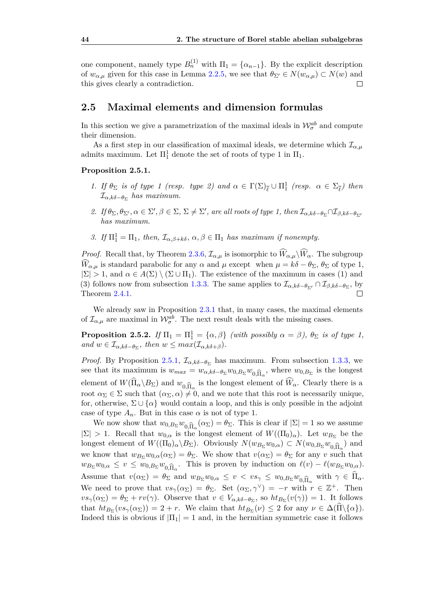one component, namely type  $B_n^{(1)}$  with  $\Pi_1 = \{\alpha_{n-1}\}\$ . By the explicit description of  $w_{\alpha,\mu}$  given for this case in Lemma [2.2.5,](#page-30-0) we see that  $\theta_{\Sigma'} \in N(w_{\alpha,\mu}) \subset N(w)$  and this gives clearly a contradiction.  $\Box$ 

## <span id="page-49-0"></span>**2.5 Maximal elements and dimension formulas**

In this section we give a parametrization of the maximal ideals in  $\mathcal{W}_{\sigma}^{ab}$  and compute their dimension.

As a first step in our classification of maximal ideals, we determine which  $\mathcal{I}_{\alpha,\mu}$ admits maximum. Let  $\Pi_1^1$  denote the set of roots of type 1 in  $\Pi_1$ .

#### <span id="page-49-1"></span>**Proposition 2.5.1.**

- *1. If*  $\theta_{\Sigma}$  *is of type 1 (resp. type 2)* and  $\alpha \in \Gamma(\Sigma)_{\overline{\ell}} \cup \Pi_1^1$  (resp.  $\alpha \in \Sigma_{\overline{\ell}}$ ) then I*α,kδ*−*θ*<sup>Σ</sup> *has maximum.*
- *2. If*  $\theta_{\Sigma}, \theta_{\Sigma'}, \alpha \in \Sigma', \beta \in \Sigma, \Sigma \neq \Sigma'$ , are all roots of type 1, then  $\mathcal{I}_{\alpha,k\delta-\theta_{\Sigma}} \cap \mathcal{I}_{\beta,k\delta-\theta_{\Sigma'}}$ *has maximum.*
- *3. If*  $\Pi_1^1 = \Pi_1$ , then,  $\mathcal{I}_{\alpha,\beta+k\delta}$ ,  $\alpha, \beta \in \Pi_1$  has maximum if nonempty.

*Proof.* Recall that, by Theorem [2.3.6,](#page-44-1)  $\mathcal{I}_{\alpha,\mu}$  is isomorphic to  $\widehat{W}_{\alpha,\mu}\backslash \widehat{W}_{\alpha}$ . The subgroup  $\widehat{W}_{\alpha,\mu}$  is standard parabolic for any  $\alpha$  and  $\mu$  except when  $\mu = k\delta - \theta_{\Sigma}, \theta_{\Sigma}$  of type 1,  $|\Sigma| > 1$ , and  $\alpha \in A(\Sigma) \setminus (\Sigma \cup \Pi_1)$ . The existence of the maximum in cases (1) and (3) follows now from subsection [1.3.3.](#page-19-1) The same applies to  $\mathcal{I}_{\alpha,k\delta-\theta_{\Sigma'}} \cap \mathcal{I}_{\beta,k\delta-\theta_{\Sigma}}$ , by Theorem [2.4.1.](#page-44-2)  $\Box$ 

We already saw in Proposition [2.3.1](#page-40-1) that, in many cases, the maximal elements of  $\mathcal{I}_{\alpha,\mu}$  are maximal in  $\mathcal{W}_{\sigma}^{ab}$ . The next result deals with the missing cases.

<span id="page-49-2"></span>**Proposition 2.5.2.** *If*  $\Pi_1 = \Pi_1^1 = {\alpha, \beta}$  *(with possibly*  $\alpha = \beta$ *),*  $\theta_{\Sigma}$  *is of type 1,*  $and \ w \in \mathcal{I}_{\alpha,k\delta-\theta_{\Sigma}}, \ then \ w \leq max(\mathcal{I}_{\alpha,k\delta+\beta}).$ 

*Proof.* By Proposition [2.5.1,](#page-49-1)  $\mathcal{I}_{\alpha,k\delta-\theta_{\Sigma}}$  has maximum. From subsection [1.3.3,](#page-19-1) we see that its maximum is  $w_{max} = w_{\alpha,k\delta-\theta\Sigma}w_{0,B_{\Sigma}}w_{0,\widehat{\Pi}_{\alpha}}$ , where  $w_{0,B_{\Sigma}}$  is the longest element of  $W(\Pi_{\alpha} \backslash B_{\Sigma})$  and  $w_{0,\widehat{\Pi}_{\alpha}}$  is the longest element of  $W_{\alpha}$ . Clearly there is a<br>root  $\alpha_{\Sigma} \in \Sigma$  such that  $(\alpha_{\Sigma}, \alpha) \neq 0$  and we note that this root is necessarily unique root  $\alpha_{\Sigma} \in \Sigma$  such that  $(\alpha_{\Sigma}, \alpha) \neq 0$ , and we note that this root is necessarily unique. for, otherwise,  $\Sigma \cup {\alpha}$  would contain a loop, and this is only possible in the adjoint case of type  $A_n$ . But in this case  $\alpha$  is not of type 1.

We now show that  $w_{0,B_{\Sigma}}w_{0,\widehat{\Pi}_{\alpha}}(\alpha_{\Sigma}) = \theta_{\Sigma}$ . This is clear if  $|\Sigma| = 1$  so we assume <br>> 1. Bocall that  $w_{0}$  is the longest element of  $W((\Pi_{\alpha})_{\alpha})$ . Let  $w_{\Sigma}$  be the  $|\Sigma| > 1$ . Recall that  $w_{0,\alpha}$  is the longest element of  $W((\Pi_0)_{\alpha})$ . Let  $w_{B_{\Sigma}}$  be the longest element of  $W((\Pi_0)_{\alpha} \setminus B_{\Sigma})$ . Obviously  $N(w_{B_{\Sigma}} w_{0,\alpha}) \subset N(w_{0,B_{\Sigma}} w_{0,\widehat{\Pi}_{\alpha}})$  and we know that  $w_{B_{\alpha}} w_{0,\widehat{\Pi}_{\alpha}} \subset (w_{\widehat{\Pi}_{\alpha}}) - \theta_{\widehat{\Pi}_{\alpha}}$  We show that  $w(\alpha_{\widehat{\Pi}_{\alpha}}) = \theta_{\widehat{\Pi}_{\alpha}}$  for any *v* such t we know that  $w_{B_{\Sigma}}w_{0,\alpha}(\alpha_{\Sigma}) = \theta_{\Sigma}$ . We show that  $v(\alpha_{\Sigma}) = \theta_{\Sigma}$  for any *v* such that  $w_{B_{\Sigma}}w_{0,\alpha} \leq v \leq w_{0,B_{\Sigma}}w_{0,\widehat{\Pi}_{\alpha}}$ . This is proven by induction on  $\ell(v) - \ell(w_{B_{\Sigma}}w_{0,\alpha})$ . Assume that  $v(\alpha_{\Sigma}) = \theta_{\Sigma}$  and  $w_{B_{\Sigma}}w_{0,\alpha} \leq v < vs_{\gamma} \leq w_{0,B_{\Sigma}}w_{0,\widehat{\Pi}_{\alpha}}$  with  $\gamma \in \Pi_{\alpha}$ .<br>We need to prove that  $ws(\alpha_{\Sigma}) = \theta_{\Sigma}$ . Set  $(\alpha_{\Sigma}, s_{\nu}) = x$  with  $x \in \mathbb{Z}^{+}$ . Then We need to prove that  $vs_{\gamma}(\alpha_{\Sigma}) = \theta_{\Sigma}$ . Set  $(\alpha_{\Sigma}, \gamma^{\vee}) = -r$  with  $r \in \mathbb{Z}^{+}$ . Then  $vs_{\gamma}(\alpha_{\Sigma}) = \theta_{\Sigma} + rv(\gamma)$ . Observe that  $v \in V_{\alpha,k\delta-\theta_{\Sigma}}$ , so  $ht_{B_{\Sigma}}(v(\gamma)) = 1$ . It follows that  $ht_{B_{\Sigma}}(vs_{\gamma}(\alpha_{\Sigma})) = 2 + r$ . We claim that  $ht_{B_{\Sigma}}(\nu) \leq 2$  for any  $\nu \in \Delta(\Pi \setminus {\{\alpha\}})$ . Indeed this is obvious if  $|\Pi_1| = 1$  and, in the hermitian symmetric case it follows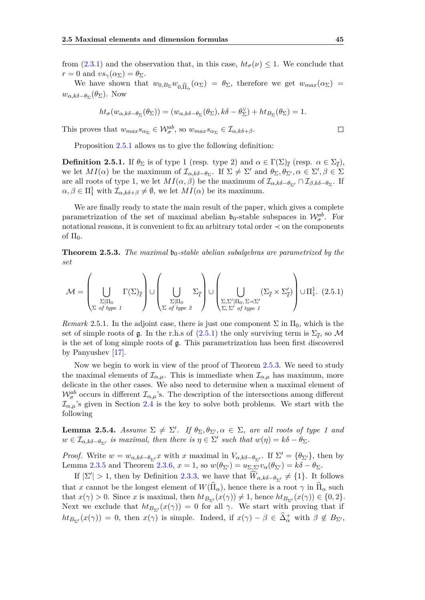from [\(2.3.1\)](#page-41-1) and the observation that, in this case,  $h t_{\sigma}(\nu) \leq 1$ . We conclude that  $r = 0$  and  $vs_{\gamma}(\alpha_{\Sigma}) = \theta_{\Sigma}$ .

We have shown that  $w_{0,B_{\Sigma}}w_{0,\widehat{\Pi}_{\alpha}}(\alpha_{\Sigma}) = \theta_{\Sigma}$ , therefore we get  $w_{max}(\alpha_{\Sigma}) =$ *w*<sub>α,kδ−θ</sup>Σ</sub>( $θ$ <sub>Σ</sub>). Now

$$
ht_{\sigma}(w_{\alpha,k\delta-\theta_{\Sigma}}(\theta_{\Sigma}))=(w_{\alpha,k\delta-\theta_{\Sigma}}(\theta_{\Sigma}),k\delta-\theta_{\Sigma}^{\vee})+ht_{B_{\Sigma}}(\theta_{\Sigma})=1.
$$

This proves that  $w_{max}s_{\alpha_{\Sigma}} \in \mathcal{W}_{\sigma}^{ab}$ , so  $w_{max}s_{\alpha_{\Sigma}} \in \mathcal{I}_{\alpha,k\delta+\beta}$ .

Proposition [2.5.1](#page-49-1) allows us to give the following definition:

<span id="page-50-3"></span>**Definition 2.5.1.** If  $\theta_{\Sigma}$  is of type 1 (resp. type 2) and  $\alpha \in \Gamma(\Sigma)_{\overline{\ell}}$  (resp.  $\alpha \in \Sigma_{\overline{\ell}}$ ), we let  $MI(\alpha)$  be the maximum of  $\mathcal{I}_{\alpha,k\delta-\theta_{\Sigma}}$ . If  $\Sigma \neq \Sigma'$  and  $\theta_{\Sigma}, \theta_{\Sigma'}, \alpha \in \Sigma', \beta \in \Sigma'$ are all roots of type 1, we let  $MI(\alpha, \beta)$  be the maximum of  $\mathcal{I}_{\alpha, k\delta-\theta_{\Sigma'}} \cap \mathcal{I}_{\beta, k\delta-\theta_{\Sigma}}$ . If  $\alpha, \beta \in \Pi_1^1$  with  $\mathcal{I}_{\alpha,k\delta+\beta} \neq \emptyset$ , we let  $MI(\alpha)$  be its maximum.

We are finally ready to state the main result of the paper, which gives a complete parametrization of the set of maximal abelian  $\mathfrak{b}_0$ -stable subspaces in  $\mathcal{W}_{\sigma}^{ab}$ . For notational reasons, it is convenient to fix an arbitrary total order  $\prec$  on the components of  $\Pi_0$ .

<span id="page-50-1"></span>**Theorem 2.5.3.** *The maximal*  $\mathfrak{b}_0$ -stable abelian subalgebras are parametrized by the *set*

<span id="page-50-2"></span>
$$
\mathcal{M} = \left(\bigcup_{\substack{\Sigma|\Pi_0 \\ \Sigma \text{ of type }1}} \Gamma(\Sigma)_{\overline{\ell}}\right) \cup \left(\bigcup_{\substack{\Sigma|\Pi_0 \\ \Sigma \text{ of type }2}} \Sigma_{\overline{\ell}}\right) \cup \left(\bigcup_{\substack{\Sigma,\Sigma'|\Pi_0, \Sigma \prec \Sigma' \\ \Sigma, \Sigma' \text{ of type }1}} (\Sigma_{\overline{\ell}} \times \Sigma'_{\overline{\ell}})\right) \cup \Pi_1^1. (2.5.1)
$$

*Remark* 2.5.1. In the adjoint case, there is just one component  $\Sigma$  in  $\Pi_0$ , which is the set of simple roots of  $\mathfrak g$ . In the r.h.s of  $(2.5.1)$  the only surviving term is  $\Sigma_{\overline{\ell}}$ , so  $\mathcal M$ is the set of long simple roots of g. This parametrization has been first discovered by Panyushev [\[17\]](#page-57-1).

Now we begin to work in view of the proof of Theorem [2.5.3.](#page-50-1) We need to study the maximal elements of  $\mathcal{I}_{\alpha,\mu}$ . This is immediate when  $\mathcal{I}_{\alpha,\mu}$  has maximum, more delicate in the other cases. We also need to determine when a maximal element of  $\mathcal{W}_{\sigma}^{ab}$  occurs in different  $\mathcal{I}_{\alpha,\mu}$ 's. The description of the intersections among different  $\mathcal{I}_{\alpha,\mu}$ 's given in Section [2.4](#page-44-0) is the key to solve both problems. We start with the following

<span id="page-50-0"></span>**Lemma 2.5.4.** *Assume*  $\Sigma \neq \Sigma'$ *. If*  $\theta_{\Sigma}, \theta_{\Sigma'}$ ,  $\alpha \in \Sigma$ *, are all roots of type 1 and*  $w \in \mathcal{I}_{\alpha,k\delta-\theta_{\Sigma'}}$  is maximal, then there is  $\eta \in \Sigma'$  such that  $w(\eta) = k\delta - \theta_{\Sigma}$ .

*Proof.* Write  $w = w_{\alpha,k\delta-\theta_{\Sigma'}}x$  with *x* maximal in  $V_{\alpha,k\delta-\theta_{\Sigma'}}$ . If  $\Sigma' = {\theta_{\Sigma'}}$ , then by Lemma [2.3.5](#page-43-0) and Theorem [2.3.6,](#page-44-1)  $x = 1$ , so  $w(\theta_{\Sigma'}) = u_{\Sigma, \Sigma'} v_{\alpha}(\theta_{\Sigma'}) = k\delta - \theta_{\Sigma}$ .

If  $|\Sigma'| > 1$ , then by Definition [2.3.3,](#page-44-3) we have that  $\widehat{W}_{\alpha,k\delta-\theta_{\Sigma'}} \neq \{1\}$ . It follows that *x* cannot be the longest element of  $W(\Pi_{\alpha})$ , hence there is a root  $\gamma$  in  $\Pi_{\alpha}$  such that  $x(\gamma) > 0$ . Since *x* is maximal, then  $ht_{B_{\Sigma'}}(x(\gamma)) \neq 1$ , hence  $ht_{B_{\Sigma'}}(x(\gamma)) \in \{0, 2\}$ . Next we exclude that  $ht_{B_{\Sigma'}}(x(\gamma)) = 0$  for all  $\gamma$ . We start with proving that if  $ht_{B_{\Sigma'}}(x(\gamma)) = 0$ , then  $x(\gamma)$  is simple. Indeed, if  $x(\gamma) - \beta \in \hat{\Delta}^+_{\alpha}$  with  $\beta \notin B_{\Sigma'}$ ,

$$
\Box
$$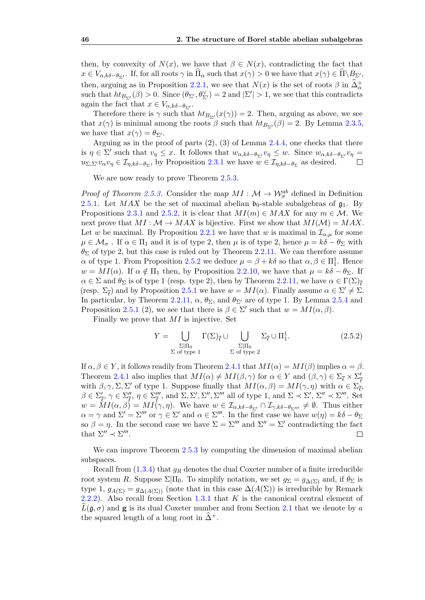then, by convexity of  $N(x)$ , we have that  $\beta \in N(x)$ , contradicting the fact that  $x \in V_{\alpha,k\delta-\theta_{\Sigma'}}$ . If, for all roots  $\gamma$  in  $\Pi_{\alpha}$  such that  $x(\gamma) > 0$  we have that  $x(\gamma) \in \Pi \backslash B_{\Sigma'}$ , then, arguing as in Proposition [2.2.1,](#page-27-2) we see that  $N(x)$  is the set of roots  $\beta$  in  $\widehat{\Delta}^+_{\alpha}$ such that  $ht_{B_{\Sigma'}}(\beta) > 0$ . Since  $(\theta_{\Sigma'}, \theta_{\Sigma'}^{\vee}) = 2$  and  $|\Sigma'| > 1$ , we see that this contradicts again the fact that  $x \in V_{\alpha,k\delta-\theta_{\Sigma'}}$ .

Therefore there is  $\gamma$  such that  $ht_{B_{\Sigma'}}(x(\gamma)) = 2$ . Then, arguing as above, we see that  $x(\gamma)$  is minimal among the roots  $\beta$  such that  $ht_{B_{\Sigma'}}(\beta) = 2$ . By Lemma [2.3.5,](#page-43-0) we have that  $x(\gamma) = \theta_{\Sigma'}$ .

Arguing as in the proof of parts  $(2)$ ,  $(3)$  of Lemma [2.4.4,](#page-46-0) one checks that there is  $\eta \in \Sigma'$  such that  $v_{\eta} \leq x$ . It follows that  $w_{\alpha,k\delta-\theta_{\Sigma'}}v_{\eta} \leq w$ . Since  $w_{\alpha,k\delta-\theta_{\Sigma'}}v_{\eta} =$  $u_{\Sigma,\Sigma'}v_{\alpha}v_{\eta} \in \mathcal{I}_{\eta,k\delta-\theta_{\Sigma}}$ , by Proposition [2.3.1](#page-40-1) we have  $w \in \mathcal{I}_{\eta,k\delta-\theta_{\Sigma}}$  as desired.

We are now ready to prove Theorem [2.5.3.](#page-50-1)

*Proof of Theorem [2.5.3.](#page-50-1)* Consider the map  $MI : \mathcal{M} \to \mathcal{W}_{\sigma}^{ab}$  defined in Definition [2.5.1.](#page-50-3) Let *MAX* be the set of maximal abelian  $\mathfrak{b}_0$ -stable subalgebras of  $\mathfrak{g}_1$ . By Propositions [2.3.1](#page-40-1) and [2.5.2,](#page-49-2) it is clear that  $MI(m) \in MAX$  for any  $m \in M$ . We next prove that  $MI : \mathcal{M} \to MAX$  is bijective. First we show that  $MI(\mathcal{M}) = MAX$ . Let *w* be maximal. By Proposition [2.2.1](#page-27-2) we have that *w* is maximal in  $\mathcal{I}_{\alpha,\mu}$  for some  $\mu \in \mathcal{M}_{\sigma}$ . If  $\alpha \in \Pi_1$  and it is of type 2, then  $\mu$  is of type 2, hence  $\mu = k\delta - \theta_{\Sigma}$  with *θ*<sup>Σ</sup> of type 2, but this case is ruled out by Theorem [2.2.11.](#page-35-1) We can therefore assume *α* of type 1. From Proposition [2.5.2](#page-49-2) we deduce  $μ = β + kδ$  so that  $α, β ∈ Π<sub>1</sub><sup>1</sup>$ . Hence  $w = MI(\alpha)$ . If  $\alpha \notin \Pi_1$  then, by Proposition [2.2.10,](#page-33-2) we have that  $\mu = k\delta - \theta_{\Sigma}$ . If  $\alpha \in \Sigma$  and  $\theta_{\Sigma}$  is of type 1 (resp. type 2), then by Theorem [2.2.11,](#page-35-1) we have  $\alpha \in \Gamma(\Sigma)_{\overline{\ell}}$ (resp.  $\Sigma_{\overline{\ell}}$ ) and by Proposition [2.5.1](#page-49-1) we have  $w = MI(\alpha)$ . Finally assume  $\alpha \in \Sigma' \neq \Sigma$ . In particular, by Theorem [2.2.11,](#page-35-1)  $\alpha$ ,  $\theta_{\Sigma}$ , and  $\theta_{\Sigma}$  are of type 1. By Lemma [2.5.4](#page-50-0) and Proposition [2.5.1](#page-49-1) (2), we see that there is  $\beta \in \Sigma'$  such that  $w = MI(\alpha, \beta)$ .

Finally we prove that *MI* is injective. Set

<span id="page-51-0"></span>
$$
Y = \bigcup_{\substack{\Sigma|\Pi_0 \\ \Sigma \text{ of type 1}}} \Gamma(\Sigma)_{\overline{\ell}} \cup \bigcup_{\substack{\Sigma|\Pi_0 \\ \Sigma \text{ of type 2}}} \Sigma_{\overline{\ell}} \cup \Pi_1^1. \tag{2.5.2}
$$

If  $\alpha, \beta \in Y$ , it follows readily from Theorem [2.4.1](#page-44-2) that  $MI(\alpha) = MI(\beta)$  implies  $\alpha = \beta$ . Theorem [2.4.1](#page-44-2) also implies that  $MI(\alpha) \neq MI(\beta, \gamma)$  for  $\alpha \in Y$  and  $(\beta, \gamma) \in \Sigma_{\overline{\ell}} \times \Sigma_{\overline{\ell}}'$ *`* with  $\beta, \gamma, \Sigma, \Sigma'$  of type 1. Suppose finally that  $MI(\alpha, \beta) = MI(\gamma, \eta)$  with  $\alpha \in \Sigma_{\overline{\ell}}^{\overline{\ell}}$ ,  $\beta \in \Sigma_{\overline{\ell}}', \gamma \in \Sigma_{\overline{\ell}}''', \gamma \in \Sigma_{\overline{\ell}}'''', \text{ and } \Sigma, \Sigma', \Sigma'', \Sigma'''' \text{ all of type } 1, \text{ and } \Sigma \prec \Sigma', \Sigma'' \prec \Sigma''''. \text{ Set }$  $w = MI(\alpha, \beta) = MI(\gamma, \eta)$ . We have  $w \in I_{\alpha, k\delta - \theta_{\Sigma'}} \cap I_{\gamma, k\delta - \theta_{\Sigma''}} \neq \emptyset$ . Thus either  $\alpha = \gamma$  and  $\Sigma' = \Sigma'''$  or  $\gamma \in \Sigma'$  and  $\alpha \in \Sigma'''$ . In the first case we have  $w(\eta) = k\delta - \theta_{\Sigma}$ so  $\beta = \eta$ . In the second case we have  $\Sigma = \Sigma''''$  and  $\Sigma'' = \Sigma'$  contradicting the fact that  $\Sigma'' \prec \Sigma'''$ .  $\Box$ 

We can improve Theorem [2.5.3](#page-50-1) by computing the dimension of maximal abelian subspaces.

<span id="page-51-1"></span>Recall from [\(1.3.4\)](#page-18-0) that *g<sup>R</sup>* denotes the dual Coxeter number of a finite irreducible root system *R*. Suppose  $\Sigma|\Pi_0$ . To simplify notation, we set  $g_{\Sigma} = g_{\Delta(\Sigma)}$  and, if  $\theta_{\Sigma}$  is type 1,  $g_{A(\Sigma)} = g_{\Delta(A(\Sigma))}$  (note that in this case  $\Delta(A(\Sigma))$ ) is irreducible by Remark [2.2.2\)](#page-27-5). Also recall from Section [1.3.1](#page-17-2) that *K* is the canonical central element of  $L(g, \sigma)$  and **g** is its dual Coxeter number and from Section [2.1](#page-25-0) that we denote by *a* the squared length of a long root in  $\Delta^+$ .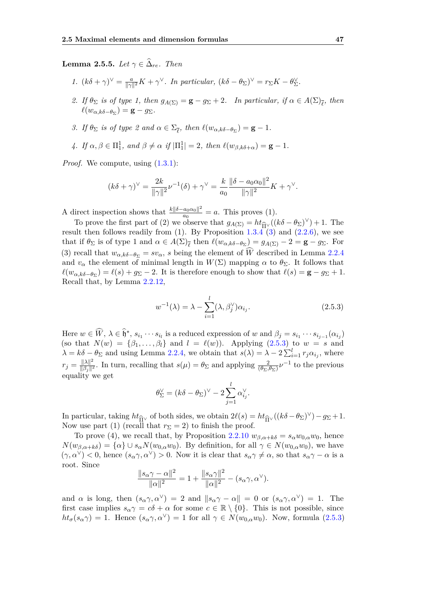**Lemma 2.5.5.** *Let*  $\gamma \in \Delta_{re}$ *. Then* 

- *1.*  $(k\delta + \gamma)^{\vee} = \frac{a}{\|\gamma\|}$  $\frac{a}{\|\gamma\|^2}K + \gamma^{\vee}$ . In particular,  $(k\delta - \theta_{\Sigma})^{\vee} = r_{\Sigma}K - \theta_{\Sigma}^{\vee}$ .
- 2. *If*  $\theta_{\Sigma}$  *is of type 1, then*  $g_{A(\Sigma)} = \mathbf{g} g_{\Sigma} + 2$ *. In particular, if*  $\alpha \in A(\Sigma)_{\overline{\ell}}$ *, then*  $\ell(w_{\alpha,k\delta-\theta_{\Sigma}})=$ **g** – *g*<sub> $\Sigma$ </sub>.
- *3. If*  $\theta_{\Sigma}$  *is of type* 2 and  $\alpha \in \Sigma_{\overline{\ell}}$ , then  $\ell(w_{\alpha,k\delta-\theta_{\Sigma}}) = \mathbf{g} 1$ .
- *4. If*  $\alpha, \beta \in \Pi_1^1$ , and  $\beta \neq \alpha$  *if*  $|\Pi_1^1| = 2$ , then  $\ell(w_{\beta,k\delta+\alpha}) = \mathbf{g} 1$ .

*Proof.* We compute, using  $(1.3.1)$ :

$$
(k\delta + \gamma)^{\vee} = \frac{2k}{\|\gamma\|^2} \nu^{-1}(\delta) + \gamma^{\vee} = \frac{k}{a_0} \frac{\|\delta - a_0 \alpha_0\|^2}{\|\gamma\|^2} K + \gamma^{\vee}.
$$

A direct inspection shows that  $\frac{k||\delta-a_0\alpha_0||^2}{a_0}$  $\frac{a_0 a_0}{a_0} = a$ . This proves (1).

To prove the first part of (2) we observe that  $g_{A(\Sigma)} = ht_{\widehat{\Pi}^{\vee}}((k\delta - \theta_{\Sigma})^{\vee}) + 1$ . The plt then follows readily from (1) By Proposition 1.3.4 (3) and (2.2.6) we see result then follows readily from (1). By Proposition  $1.3.4$  [\(3\)](#page-21-2) and [\(2.2.6\)](#page-35-2), we see that if  $\theta_{\Sigma}$  is of type 1 and  $\alpha \in A(\Sigma)_{\overline{\ell}}$  then  $\ell(w_{\alpha,k\delta-\theta_{\Sigma}})=g_{A(\Sigma)}-2=\mathbf{g}-g_{\Sigma}$ . For (3) recall that  $w_{\alpha,k\delta-\theta_{\Sigma}}=sv_{\alpha}$ , *s* being the element of  $\widehat{W}$  described in Lemma [2.2.4](#page-29-1) and  $v_{\alpha}$  the element of minimal length in  $W(\Sigma)$  mapping  $\alpha$  to  $\theta_{\Sigma}$ . It follows that  $\ell(w_{\alpha,k\delta-\theta_{\Sigma}}) = \ell(s) + g_{\Sigma} - 2$ . It is therefore enough to show that  $\ell(s) = \mathbf{g} - g_{\Sigma} + 1$ . Recall that, by Lemma [2.2.12,](#page-35-3)

<span id="page-52-0"></span>
$$
w^{-1}(\lambda) = \lambda - \sum_{i=1}^{l} (\lambda, \beta_j^{\vee}) \alpha_{i_j}.
$$
 (2.5.3)

Here  $w \in \widehat{W}$ ,  $\lambda \in \widehat{\mathfrak{h}}^*$ ,  $s_{i_1} \cdots s_{i_l}$  is a reduced expression of w and  $\beta_j = s_{i_1} \cdots s_{i_{j-1}}(\alpha_{i_j})$ (so that  $N(w) = {\beta_1, ..., \beta_l}$  and  $l = \ell(w)$ ). Applying [\(2.5.3\)](#page-52-0) to  $w = s$  and  $\lambda = k\delta - \theta_{\Sigma}$  and using Lemma [2.2.4,](#page-29-1) we obtain that  $s(\lambda) = \lambda - 2\sum_{i=1}^{l} r_j \alpha_{i_j}$ , where  $r_j = \frac{\|\lambda\|^2}{\|\beta_i\|^2}$ *l*<sub>*βj*</sub><sup>12</sup>. In turn, recalling that  $s(\mu) = \theta_{\Sigma}$  and applying  $\frac{2}{(\theta_{\Sigma}, \theta_{\Sigma})} \nu^{-1}$  to the previous equality we get

$$
\theta_{\Sigma}^{\vee} = (k\delta - \theta_{\Sigma})^{\vee} - 2\sum_{j=1}^{l} \alpha_{i_j}^{\vee}.
$$

In particular, taking  $ht_{\hat{\Pi}^\vee}$  of both sides, we obtain  $2\ell(s) = ht_{\hat{\Pi}^\vee}((k\delta - \theta_\Sigma)^\vee) - g_\Sigma + 1$ .<br>Now use part (1) (recall that  $r_{\Sigma} = 2$ ) to finish the proof Now use part (1) (recall that  $r_{\Sigma} = 2$ ) to finish the proof.

To prove (4), we recall that, by Proposition [2.2.10](#page-33-2)  $w_{\beta,\alpha+k\delta} = s_{\alpha}w_{0,\alpha}w_0$ , hence  $N(w_{\beta,\alpha+k\delta}) = {\alpha} \cup s_{\alpha}N(w_{0,\alpha}w_0)$ . By definition, for all  $\gamma \in N(w_{0,\alpha}w_0)$ , we have  $(\gamma, \alpha^{\vee}) < 0$ , hence  $(s_{\alpha} \gamma, \alpha^{\vee}) > 0$ . Now it is clear that  $s_{\alpha} \gamma \neq \alpha$ , so that  $s_{\alpha} \gamma - \alpha$  is a root. Since

$$
\frac{\|s_{\alpha}\gamma - \alpha\|^2}{\|\alpha\|^2} = 1 + \frac{\|s_{\alpha}\gamma\|^2}{\|\alpha\|^2} - (s_{\alpha}\gamma, \alpha^{\vee}).
$$

and *α* is long, then  $(s_\alpha \gamma, \alpha^\vee) = 2$  and  $||s_\alpha \gamma - \alpha|| = 0$  or  $(s_\alpha \gamma, \alpha^\vee) = 1$ . The first case implies  $s_\alpha \gamma = c\delta + \alpha$  for some  $c \in \mathbb{R} \setminus \{0\}$ . This is not possible, since  $ht_{\sigma}(s_{\alpha}\gamma) = 1$ . Hence  $(s_{\alpha}\gamma, \alpha^{\vee}) = 1$  for all  $\gamma \in N(w_{0,\alpha}w_0)$ . Now, formula [\(2.5.3\)](#page-52-0)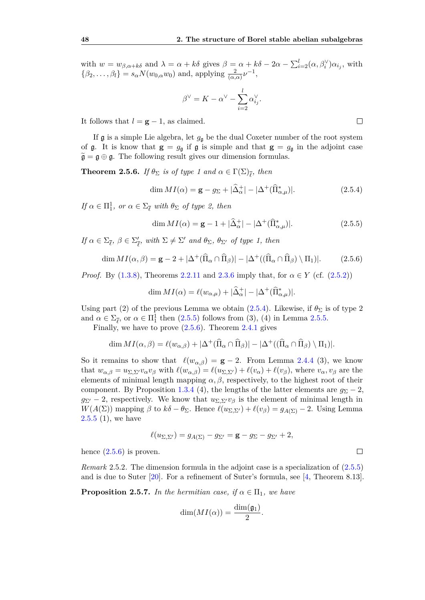with  $w = w_{\beta,\alpha+k\delta}$  and  $\lambda = \alpha + k\delta$  gives  $\beta = \alpha + k\delta - 2\alpha - \sum_{i=2}^{l} (\alpha, \beta_i^{\vee}) \alpha_{i_j}$ , with  $\{\beta_2, \ldots, \beta_l\} = s_\alpha N(w_{0,\alpha}w_0)$  and, applying  $\frac{2}{(\alpha,\alpha)}\nu^{-1}$ ,

$$
\beta^{\vee} = K - \alpha^{\vee} - \sum_{i=2}^{l} \alpha_{ij}^{\vee}.
$$

It follows that  $l = g - 1$ , as claimed.

If  $\mathfrak g$  is a simple Lie algebra, let  $g_{\mathfrak g}$  be the dual Coxeter number of the root system of  $\mathfrak{g}$ . It is know that  $\mathfrak{g} = g_{\mathfrak{g}}$  if  $\mathfrak{g}$  is simple and that  $\mathfrak{g} = g_{\mathfrak{g}}$  in the adjoint case  $\widetilde{\mathfrak{g}} = \mathfrak{g} \oplus \mathfrak{g}$ . The following result gives our dimension formulas.

<span id="page-53-0"></span>**Theorem 2.5.6.** *If*  $\theta_{\Sigma}$  *is of type 1 and*  $\alpha \in \Gamma(\Sigma)_{\overline{\ell}}$ *, then* 

<span id="page-53-1"></span>
$$
\dim MI(\alpha) = \mathbf{g} - g_{\Sigma} + |\hat{\Delta}_{\alpha}^{+}| - |\Delta^{+}(\hat{\Pi}_{\alpha,\mu}^{*})|.
$$
\n(2.5.4)

 $If \alpha \in \Pi_1^1$ , or  $\alpha \in \Sigma_{\overline{\ell}}$  with  $\theta_{\Sigma}$  of type 2, then

<span id="page-53-2"></span>
$$
\dim MI(\alpha) = \mathbf{g} - 1 + |\hat{\Delta}_{\alpha}^{+}| - |\Delta^{+}(\hat{\Pi}_{\alpha,\mu}^{*})|.
$$
\n(2.5.5)

*If*  $\alpha \in \Sigma_{\overline{\ell}}$ ,  $\beta \in \Sigma_{\overline{\ell}}'$  $\frac{\partial}{\partial \ell}$ , with  $\Sigma \neq \Sigma'$  and  $\theta_{\Sigma}$ ,  $\theta_{\Sigma'}$  of type 1, then

<span id="page-53-3"></span>
$$
\dim MI(\alpha, \beta) = \mathbf{g} - 2 + |\Delta^+(\hat{\Pi}_{\alpha} \cap \hat{\Pi}_{\beta})| - |\Delta^+(\hat{\Pi}_{\alpha} \cap \hat{\Pi}_{\beta}) \setminus \Pi_1)|. \tag{2.5.6}
$$

*Proof.* By [\(1.3.8\)](#page-20-1), Theorems [2.2.11](#page-35-1) and [2.3.6](#page-44-1) imply that, for  $\alpha \in Y$  (cf. [\(2.5.2\)](#page-51-0))

$$
\dim MI(\alpha) = \ell(w_{\alpha,\mu}) + |\hat{\Delta}_{\alpha}^{+}| - |\Delta^{+}(\hat{\Pi}_{\alpha,\mu}^{*})|.
$$

Using part (2) of the previous Lemma we obtain  $(2.5.4)$ . Likewise, if  $\theta_{\Sigma}$  is of type 2 and  $\alpha \in \Sigma_{\overline{\ell}}$ , or  $\alpha \in \Pi_1^1$  then  $(2.5.5)$  follows from  $(3)$ ,  $(4)$  in Lemma [2.5.5.](#page-51-1)

Finally, we have to prove [\(2.5.6\)](#page-53-3). Theorem [2.4.1](#page-44-2) gives

$$
\dim MI(\alpha, \beta) = \ell(w_{\alpha, \beta}) + |\Delta^+(\hat{\Pi}_{\alpha} \cap \hat{\Pi}_{\beta})| - |\Delta^+(\hat{\Pi}_{\alpha} \cap \hat{\Pi}_{\beta}) \setminus \Pi_1)|.
$$

So it remains to show that  $\ell(w_{\alpha,\beta}) = \mathbf{g} - 2$ . From Lemma [2.4.4](#page-46-0) (3), we know that  $w_{\alpha,\beta} = u_{\Sigma,\Sigma'}v_{\alpha}v_{\beta}$  with  $\ell(w_{\alpha,\beta}) = \ell(u_{\Sigma,\Sigma'}) + \ell(v_{\alpha}) + \ell(v_{\beta})$ , where  $v_{\alpha},v_{\beta}$  are the elements of minimal length mapping  $\alpha, \beta$ , respectively, to the highest root of their component. By Proposition [1.3.4](#page-21-1) (4), the lengths of the latter elements are  $q_{\Sigma} - 2$ ,  $g_{\Sigma}$  – 2, respectively. We know that  $u_{\Sigma,\Sigma'}v_{\beta}$  is the element of minimal length in *W*(*A*( $\Sigma$ )) mapping  $\beta$  to  $k\delta - \theta_{\Sigma}$ . Hence  $\ell(u_{\Sigma,\Sigma'}) + \ell(v_{\beta}) = g_{A(\Sigma)} - 2$ . Using Lemma  $2.5.5(1)$  $2.5.5(1)$ , we have

$$
\ell(u_{\Sigma,\Sigma'})=g_{A(\Sigma)}-g_{\Sigma'}=\mathbf{g}-g_{\Sigma}-g_{\Sigma'}+2,
$$

hence  $(2.5.6)$  is proven.

*Remark* 2.5.2*.* The dimension formula in the adjoint case is a specialization of [\(2.5.5\)](#page-53-2) and is due to Suter [\[20\]](#page-57-2). For a refinement of Suter's formula, see [\[4,](#page-56-4) Theorem 8.13].

**Proposition 2.5.7.** *In the hermitian case, if*  $\alpha \in \Pi_1$ *, we have* 

$$
\dim(MI(\alpha))=\frac{\dim(\mathfrak{g}_1)}{2}.
$$

 $\Box$ 

 $\Box$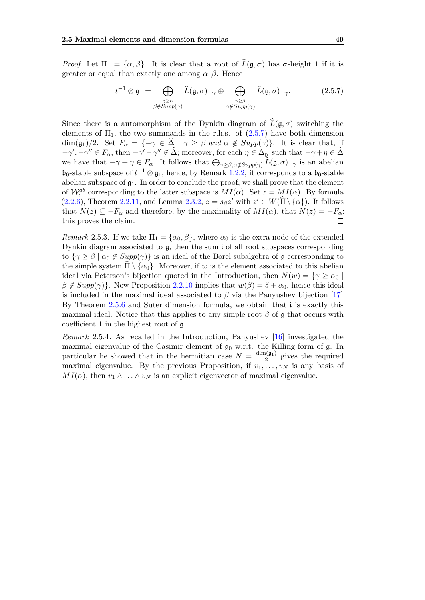*Proof.* Let  $\Pi_1 = {\alpha, \beta}$ . It is clear that a root of  $\widehat{L}(\mathfrak{g}, \sigma)$  has *σ*-height 1 if it is greater or equal than exactly one among  $\alpha$ ,  $\beta$ . Hence

<span id="page-54-0"></span>
$$
t^{-1} \otimes \mathfrak{g}_1 = \bigoplus_{\substack{\gamma \geq \alpha \\ \beta \notin Supp(\gamma)}} \widehat{L}(\mathfrak{g}, \sigma)_{-\gamma} \oplus \bigoplus_{\substack{\gamma \geq \beta \\ \alpha \notin Supp(\gamma)}} \widehat{L}(\mathfrak{g}, \sigma)_{-\gamma}.
$$
 (2.5.7)

Since there is a automorphism of the Dynkin diagram of  $\widehat{L}(\mathfrak{g}, \sigma)$  switching the elements of  $\Pi_1$ , the two summands in the r.h.s. of  $(2.5.7)$  have both dimension dim( $\mathfrak{g}_1$ )/2. Set  $F_\alpha = \{-\gamma \in \Delta \mid \gamma \geq \beta \text{ and } \alpha \notin Supp(\gamma)\}.$  It is clear that, if  $-\gamma', -\gamma'' \in F_\alpha$ , then  $-\gamma' - \gamma'' \notin \widehat{\Delta}$ ; moreover, for each  $\eta \in \Delta_{\mathbb{Q}}^+$  such that  $-\gamma + \eta \in \widehat{\Delta}$ we have that  $-\gamma + \eta \in F_\alpha$ . It follows that  $\bigoplus_{\gamma \geq \beta, \alpha \notin Supp(\gamma)} L(\mathfrak{g}, \sigma)_{-\gamma}$  is an abelian  $\mathfrak{b}_0$ -stable subspace of  $t^{-1} \otimes \mathfrak{g}_1$ , hence, by Remark [1.2.2,](#page-17-4) it corresponds to a  $\mathfrak{b}_0$ -stable abelian subspace of  $\mathfrak{g}_1$ . In order to conclude the proof, we shall prove that the element of  $\mathcal{W}_{\sigma}^{ab}$  corresponding to the latter subspace is  $MI(\alpha)$ . Set  $z = MI(\alpha)$ . By formula [\(2.2.6\)](#page-35-2), Theorem [2.2.11,](#page-35-1) and Lemma [2.3.2,](#page-41-0)  $z = s_\beta z'$  with  $z' \in W(\widehat{\Pi} \setminus {\{\alpha\}})$ . It follows that  $N(z) \subseteq -F_\alpha$  and therefore, by the maximality of  $MI(\alpha)$ , that  $N(z) = -F_\alpha$ : this proves the claim.  $\Box$ 

*Remark* 2.5.3. If we take  $\Pi_1 = {\alpha_0, \beta}$ , where  $\alpha_0$  is the extra node of the extended Dynkin diagram associated to  $\mathfrak{g}$ , then the sum i of all root subspaces corresponding to  $\{\gamma \geq \beta \mid \alpha_0 \notin Supp(\gamma)\}\$ is an ideal of the Borel subalgebra of g corresponding to the simple system  $\Pi \setminus {\alpha_0}$ . Moreover, if *w* is the element associated to this abelian ideal via Peterson's bijection quoted in the Introduction, then  $N(w) = \{ \gamma \ge \alpha_0 \mid$  $\beta \notin Supp(\gamma)$ . Now Proposition [2.2.10](#page-33-2) implies that  $w(\beta) = \delta + \alpha_0$ , hence this ideal is included in the maximal ideal associated to  $\beta$  via the Panyushev bijection [\[17\]](#page-57-1). By Theorem [2.5.6](#page-53-0) and Suter dimension formula, we obtain that i is exactly this maximal ideal. Notice that this applies to any simple root  $\beta$  of g that occurs with coefficient 1 in the highest root of g.

*Remark* 2.5.4*.* As recalled in the Introduction, Panyushev [\[16\]](#page-57-3) investigated the maximal eigenvalue of the Casimir element of  $g_0$  w.r.t. the Killing form of  $g$ . In particular he showed that in the hermitian case  $N = \frac{\dim(\mathfrak{g}_1)}{2}$  $\frac{q_1(q_1)}{2}$  gives the required maximal eigenvalue. By the previous Proposition, if  $v_1, \ldots, v_N$  is any basis of  $MI(\alpha)$ , then  $v_1 \wedge \ldots \wedge v_N$  is an explicit eigenvector of maximal eigenvalue.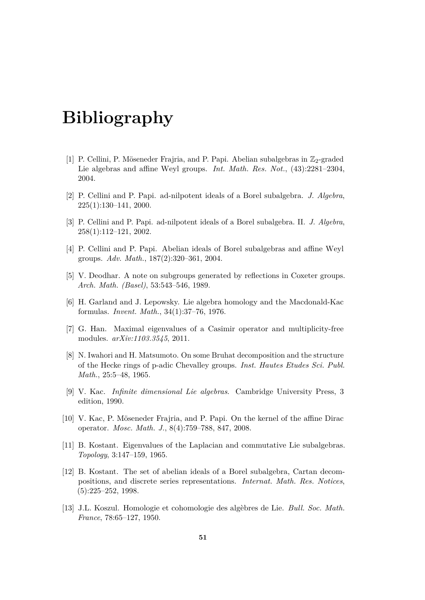# **Bibliography**

- <span id="page-56-2"></span>[1] P. Cellini, P. Möseneder Frajria, and P. Papi. Abelian subalgebras in  $\mathbb{Z}_2$ -graded Lie algebras and affine Weyl groups. *Int. Math. Res. Not.*, (43):2281–2304, 2004.
- <span id="page-56-5"></span>[2] P. Cellini and P. Papi. ad-nilpotent ideals of a Borel subalgebra. *J. Algebra*, 225(1):130–141, 2000.
- <span id="page-56-6"></span>[3] P. Cellini and P. Papi. ad-nilpotent ideals of a Borel subalgebra. II. *J. Algebra*, 258(1):112–121, 2002.
- <span id="page-56-4"></span>[4] P. Cellini and P. Papi. Abelian ideals of Borel subalgebras and affine Weyl groups. *Adv. Math.*, 187(2):320–361, 2004.
- <span id="page-56-11"></span>[5] V. Deodhar. A note on subgroups generated by reflections in Coxeter groups. *Arch. Math. (Basel)*, 53:543–546, 1989.
- <span id="page-56-9"></span>[6] H. Garland and J. Lepowsky. Lie algebra homology and the Macdonald-Kac formulas. *Invent. Math.*, 34(1):37–76, 1976.
- <span id="page-56-10"></span>[7] G. Han. Maximal eigenvalues of a Casimir operator and multiplicity-free modules. *arXiv:1103.3545*, 2011.
- <span id="page-56-12"></span>[8] N. Iwahori and H. Matsumoto. On some Bruhat decomposition and the structure of the Hecke rings of p-adic Chevalley groups. *Inst. Hautes Etudes Sci. Publ. Math.*, 25:5–48, 1965.
- <span id="page-56-7"></span>[9] V. Kac. *Infinite dimensional Lie algebras*. Cambridge University Press, 3 edition, 1990.
- <span id="page-56-8"></span>[10] V. Kac, P. Möseneder Frajria, and P. Papi. On the kernel of the affine Dirac operator. *Mosc. Math. J.*, 8(4):759–788, 847, 2008.
- <span id="page-56-0"></span>[11] B. Kostant. Eigenvalues of the Laplacian and commutative Lie subalgebras. *Topology*, 3:147–159, 1965.
- <span id="page-56-1"></span>[12] B. Kostant. The set of abelian ideals of a Borel subalgebra, Cartan decompositions, and discrete series representations. *Internat. Math. Res. Notices*,  $(5):225-252, 1998.$
- <span id="page-56-3"></span>[13] J.L. Koszul. Homologie et cohomologie des algèbres de Lie. *Bull. Soc. Math. France*, 78:65–127, 1950.